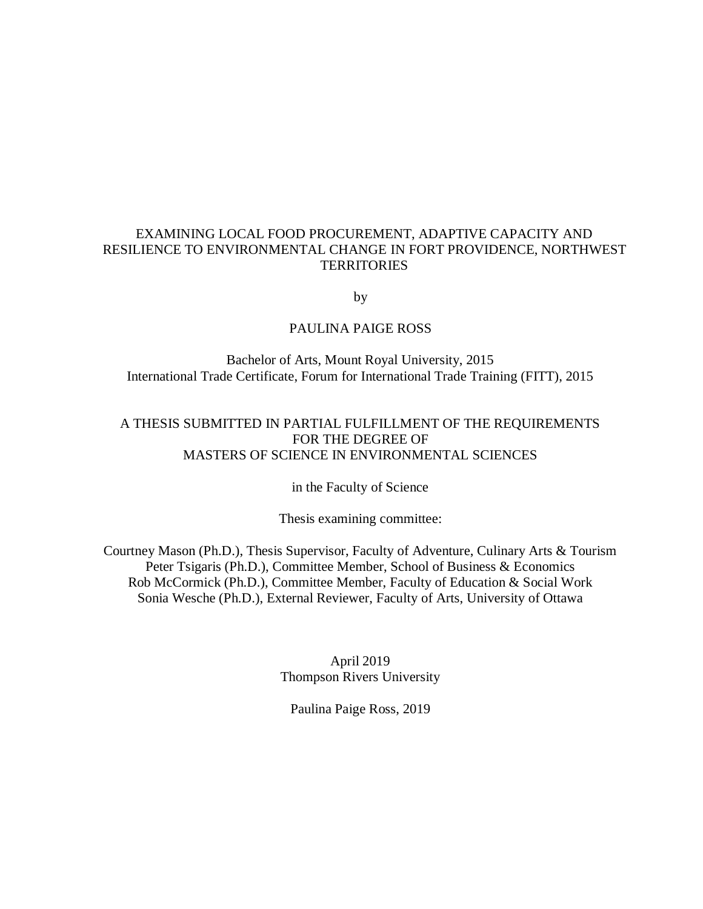# EXAMINING LOCAL FOOD PROCUREMENT, ADAPTIVE CAPACITY AND RESILIENCE TO ENVIRONMENTAL CHANGE IN FORT PROVIDENCE, NORTHWEST **TERRITORIES**

by

# PAULINA PAIGE ROSS

Bachelor of Arts, Mount Royal University, 2015 International Trade Certificate, Forum for International Trade Training (FITT), 2015

# A THESIS SUBMITTED IN PARTIAL FULFILLMENT OF THE REQUIREMENTS FOR THE DEGREE OF MASTERS OF SCIENCE IN ENVIRONMENTAL SCIENCES

in the Faculty of Science

Thesis examining committee:

Courtney Mason (Ph.D.), Thesis Supervisor, Faculty of Adventure, Culinary Arts & Tourism Peter Tsigaris (Ph.D.), Committee Member, School of Business & Economics Rob McCormick (Ph.D.), Committee Member, Faculty of Education & Social Work Sonia Wesche (Ph.D.), External Reviewer, Faculty of Arts, University of Ottawa

> April 2019 Thompson Rivers University

Paulina Paige Ross, 2019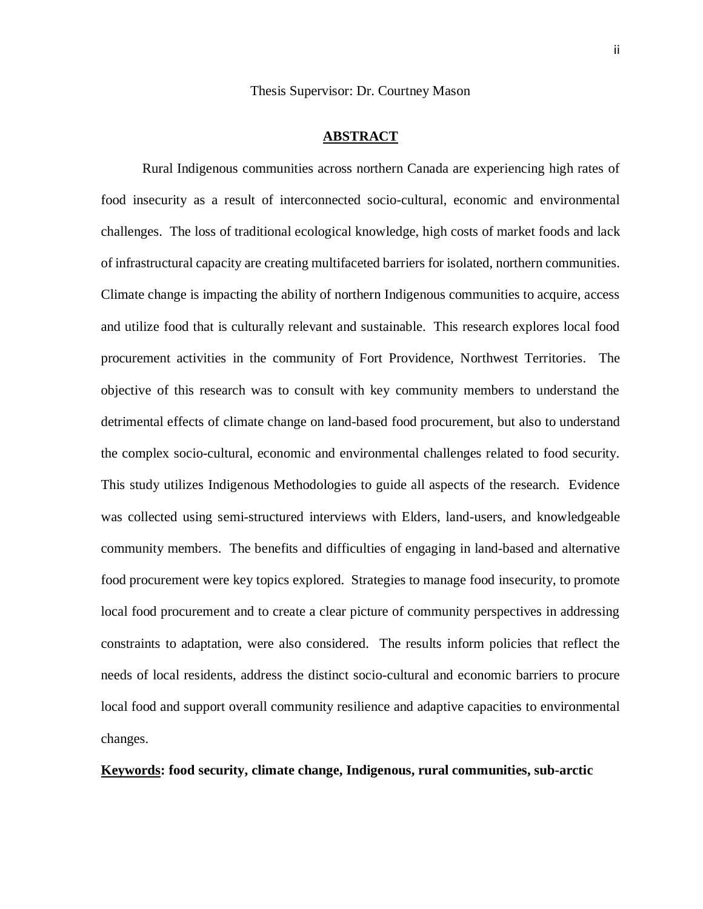Thesis Supervisor: Dr. Courtney Mason

#### **ABSTRACT**

<span id="page-1-0"></span>Rural Indigenous communities across northern Canada are experiencing high rates of food insecurity as a result of interconnected socio-cultural, economic and environmental challenges. The loss of traditional ecological knowledge, high costs of market foods and lack of infrastructural capacity are creating multifaceted barriers for isolated, northern communities. Climate change is impacting the ability of northern Indigenous communities to acquire, access and utilize food that is culturally relevant and sustainable. This research explores local food procurement activities in the community of Fort Providence, Northwest Territories. The objective of this research was to consult with key community members to understand the detrimental effects of climate change on land-based food procurement, but also to understand the complex socio-cultural, economic and environmental challenges related to food security. This study utilizes Indigenous Methodologies to guide all aspects of the research. Evidence was collected using semi-structured interviews with Elders, land-users, and knowledgeable community members. The benefits and difficulties of engaging in land-based and alternative food procurement were key topics explored. Strategies to manage food insecurity, to promote local food procurement and to create a clear picture of community perspectives in addressing constraints to adaptation, were also considered. The results inform policies that reflect the needs of local residents, address the distinct socio-cultural and economic barriers to procure local food and support overall community resilience and adaptive capacities to environmental changes.

### **Keywords: food security, climate change, Indigenous, rural communities, sub-arctic**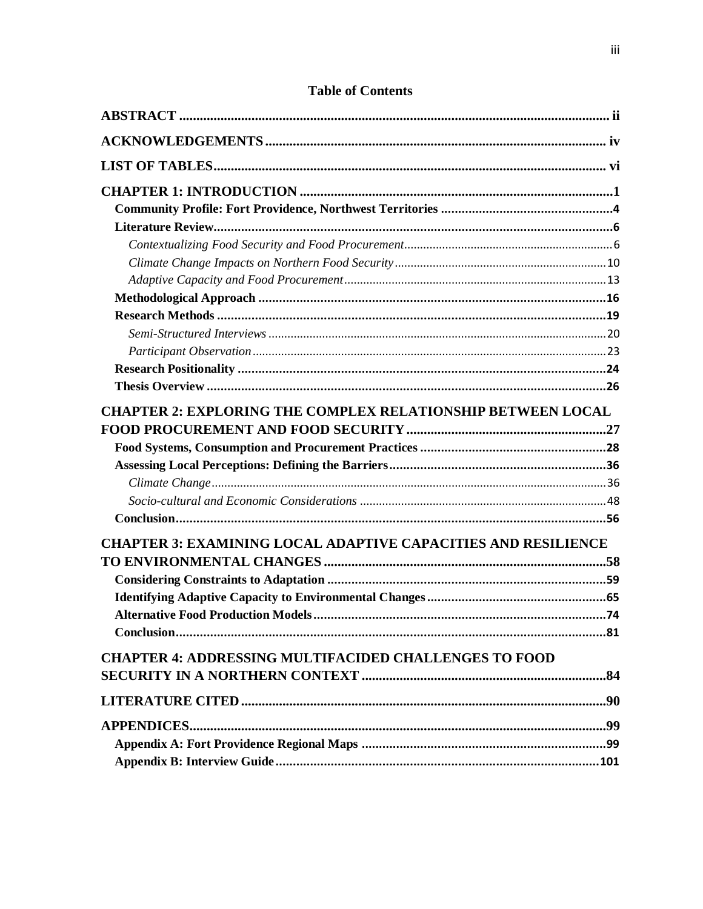| <b>CHAPTER 2: EXPLORING THE COMPLEX RELATIONSHIP BETWEEN LOCAL</b>   |  |
|----------------------------------------------------------------------|--|
|                                                                      |  |
|                                                                      |  |
|                                                                      |  |
|                                                                      |  |
| <b>CHAPTER 3: EXAMINING LOCAL ADAPTIVE CAPACITIES AND RESILIENCE</b> |  |
|                                                                      |  |
|                                                                      |  |
|                                                                      |  |
|                                                                      |  |
|                                                                      |  |
| <b>CHAPTER 4: ADDRESSING MULTIFACIDED CHALLENGES TO FOOD</b>         |  |
|                                                                      |  |
|                                                                      |  |
|                                                                      |  |
|                                                                      |  |
|                                                                      |  |

# **Table of Contents**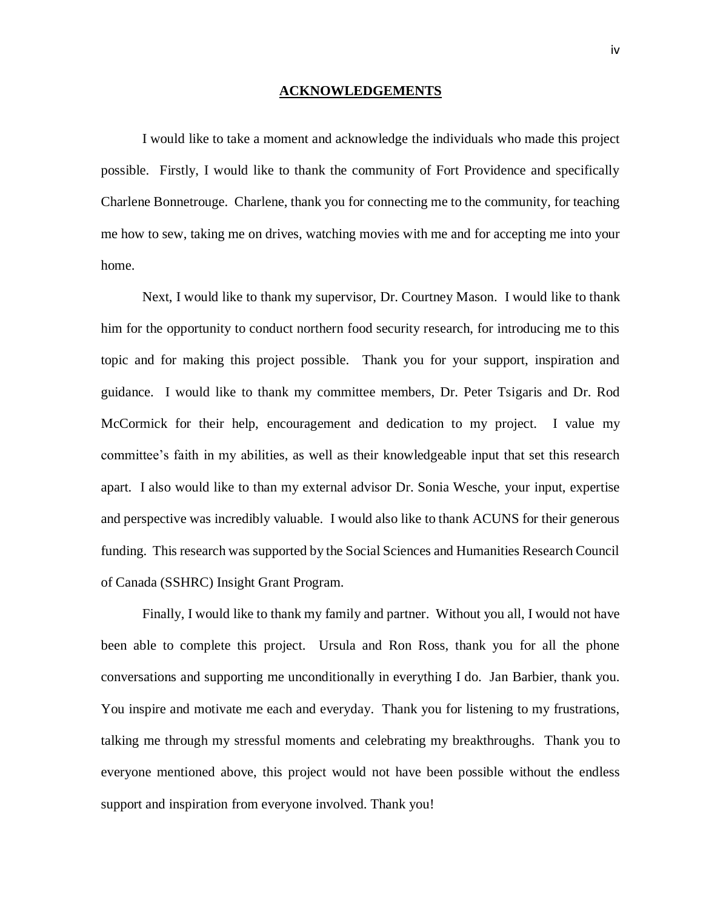#### **ACKNOWLEDGEMENTS**

<span id="page-3-0"></span>I would like to take a moment and acknowledge the individuals who made this project possible. Firstly, I would like to thank the community of Fort Providence and specifically Charlene Bonnetrouge. Charlene, thank you for connecting me to the community, for teaching me how to sew, taking me on drives, watching movies with me and for accepting me into your home.

Next, I would like to thank my supervisor, Dr. Courtney Mason. I would like to thank him for the opportunity to conduct northern food security research, for introducing me to this topic and for making this project possible. Thank you for your support, inspiration and guidance. I would like to thank my committee members, Dr. Peter Tsigaris and Dr. Rod McCormick for their help, encouragement and dedication to my project. I value my committee's faith in my abilities, as well as their knowledgeable input that set this research apart. I also would like to than my external advisor Dr. Sonia Wesche, your input, expertise and perspective was incredibly valuable. I would also like to thank ACUNS for their generous funding. This research was supported by the Social Sciences and Humanities Research Council of Canada (SSHRC) Insight Grant Program.

Finally, I would like to thank my family and partner. Without you all, I would not have been able to complete this project. Ursula and Ron Ross, thank you for all the phone conversations and supporting me unconditionally in everything I do. Jan Barbier, thank you. You inspire and motivate me each and everyday. Thank you for listening to my frustrations, talking me through my stressful moments and celebrating my breakthroughs. Thank you to everyone mentioned above, this project would not have been possible without the endless support and inspiration from everyone involved. Thank you!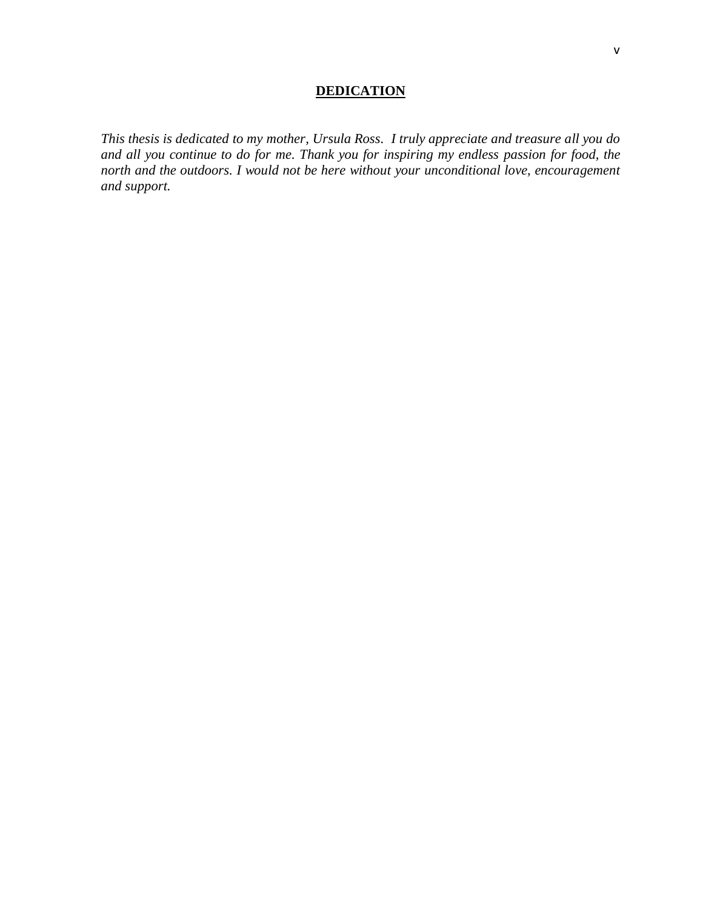# **DEDICATION**

*This thesis is dedicated to my mother, Ursula Ross. I truly appreciate and treasure all you do and all you continue to do for me. Thank you for inspiring my endless passion for food, the north and the outdoors. I would not be here without your unconditional love, encouragement and support.*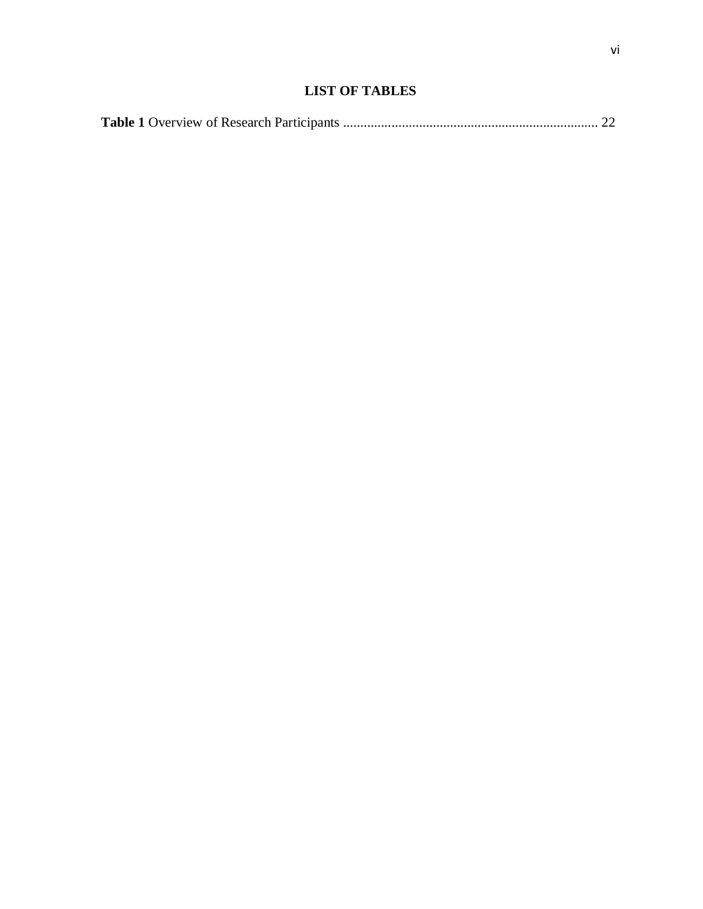# **LIST OF TABLES**

<span id="page-5-0"></span>

|--|--|--|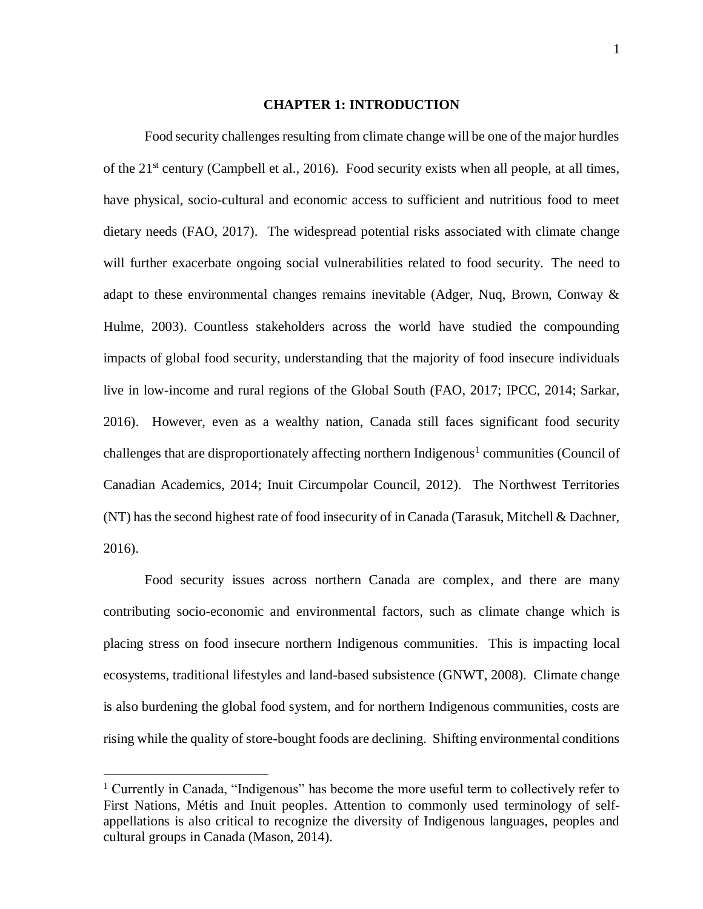#### **CHAPTER 1: INTRODUCTION**

<span id="page-6-0"></span>Food security challenges resulting from climate change will be one of the major hurdles of the  $21<sup>st</sup>$  century (Campbell et al., 2016). Food security exists when all people, at all times, have physical, socio-cultural and economic access to sufficient and nutritious food to meet dietary needs (FAO, 2017). The widespread potential risks associated with climate change will further exacerbate ongoing social vulnerabilities related to food security. The need to adapt to these environmental changes remains inevitable (Adger, Nuq, Brown, Conway & Hulme, 2003). Countless stakeholders across the world have studied the compounding impacts of global food security, understanding that the majority of food insecure individuals live in low-income and rural regions of the Global South (FAO, 2017; IPCC, 2014; Sarkar, 2016). However, even as a wealthy nation, Canada still faces significant food security challenges that are disproportionately affecting northern Indigenous<sup>1</sup> communities (Council of Canadian Academics, 2014; Inuit Circumpolar Council, 2012). The Northwest Territories (NT) has the second highest rate of food insecurity of in Canada (Tarasuk, Mitchell & Dachner, 2016).

Food security issues across northern Canada are complex, and there are many contributing socio-economic and environmental factors, such as climate change which is placing stress on food insecure northern Indigenous communities. This is impacting local ecosystems, traditional lifestyles and land-based subsistence (GNWT, 2008). Climate change is also burdening the global food system, and for northern Indigenous communities, costs are rising while the quality of store-bought foods are declining. Shifting environmental conditions

 $\overline{a}$ 

<sup>&</sup>lt;sup>1</sup> Currently in Canada, "Indigenous" has become the more useful term to collectively refer to First Nations, Métis and Inuit peoples. Attention to commonly used terminology of selfappellations is also critical to recognize the diversity of Indigenous languages, peoples and cultural groups in Canada (Mason, 2014).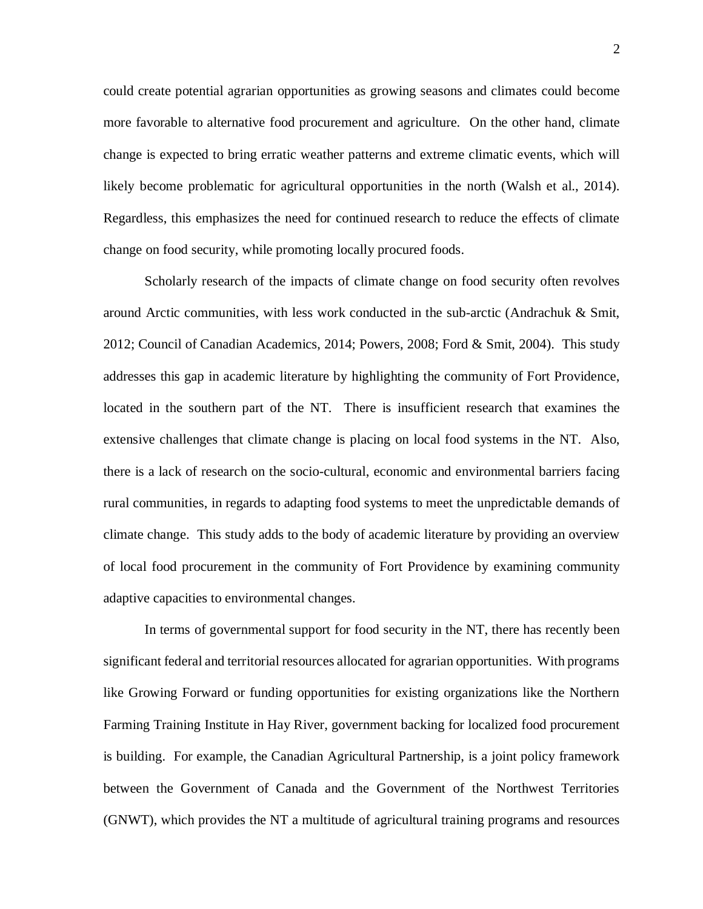could create potential agrarian opportunities as growing seasons and climates could become more favorable to alternative food procurement and agriculture. On the other hand, climate change is expected to bring erratic weather patterns and extreme climatic events, which will likely become problematic for agricultural opportunities in the north (Walsh et al., 2014). Regardless, this emphasizes the need for continued research to reduce the effects of climate change on food security, while promoting locally procured foods.

Scholarly research of the impacts of climate change on food security often revolves around Arctic communities, with less work conducted in the sub-arctic (Andrachuk & Smit, 2012; Council of Canadian Academics, 2014; Powers, 2008; Ford & Smit, 2004). This study addresses this gap in academic literature by highlighting the community of Fort Providence, located in the southern part of the NT. There is insufficient research that examines the extensive challenges that climate change is placing on local food systems in the NT. Also, there is a lack of research on the socio-cultural, economic and environmental barriers facing rural communities, in regards to adapting food systems to meet the unpredictable demands of climate change. This study adds to the body of academic literature by providing an overview of local food procurement in the community of Fort Providence by examining community adaptive capacities to environmental changes.

In terms of governmental support for food security in the NT, there has recently been significant federal and territorial resources allocated for agrarian opportunities. With programs like Growing Forward or funding opportunities for existing organizations like the Northern Farming Training Institute in Hay River, government backing for localized food procurement is building. For example, the Canadian Agricultural Partnership, is a joint policy framework between the Government of Canada and the Government of the Northwest Territories (GNWT), which provides the NT a multitude of agricultural training programs and resources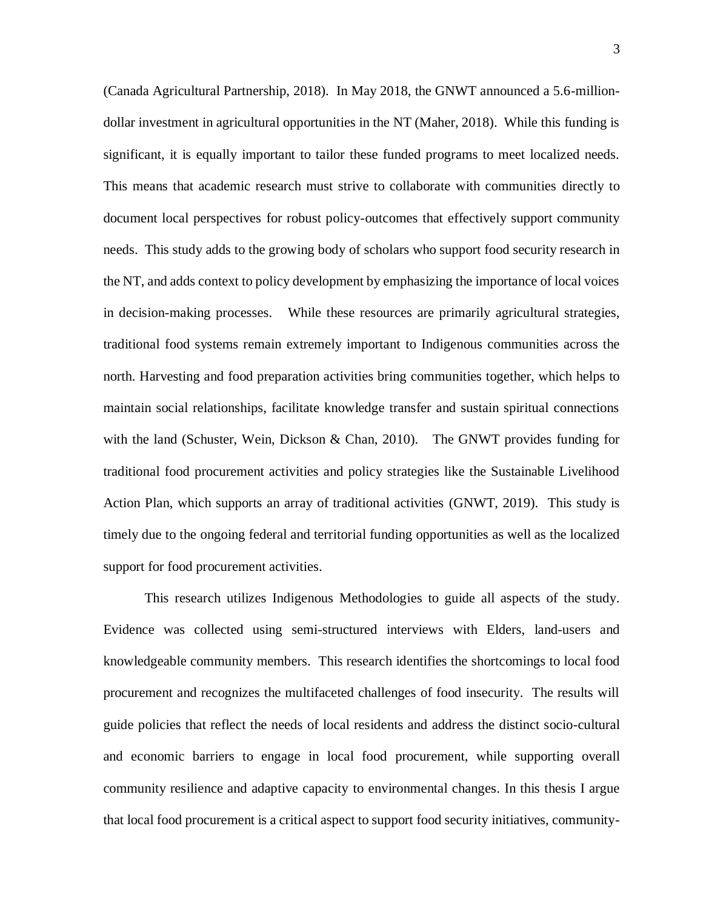(Canada Agricultural Partnership, 2018). In May 2018, the GNWT announced a 5.6-milliondollar investment in agricultural opportunities in the NT (Maher, 2018). While this funding is significant, it is equally important to tailor these funded programs to meet localized needs. This means that academic research must strive to collaborate with communities directly to document local perspectives for robust policy-outcomes that effectively support community needs. This study adds to the growing body of scholars who support food security research in the NT, and adds context to policy development by emphasizing the importance of local voices in decision-making processes. While these resources are primarily agricultural strategies, traditional food systems remain extremely important to Indigenous communities across the north. Harvesting and food preparation activities bring communities together, which helps to maintain social relationships, facilitate knowledge transfer and sustain spiritual connections with the land (Schuster, Wein, Dickson & Chan, 2010). The GNWT provides funding for traditional food procurement activities and policy strategies like the Sustainable Livelihood Action Plan, which supports an array of traditional activities (GNWT, 2019). This study is timely due to the ongoing federal and territorial funding opportunities as well as the localized support for food procurement activities.

This research utilizes Indigenous Methodologies to guide all aspects of the study. Evidence was collected using semi-structured interviews with Elders, land-users and knowledgeable community members. This research identifies the shortcomings to local food procurement and recognizes the multifaceted challenges of food insecurity. The results will guide policies that reflect the needs of local residents and address the distinct socio-cultural and economic barriers to engage in local food procurement, while supporting overall community resilience and adaptive capacity to environmental changes. In this thesis I argue that local food procurement is a critical aspect to support food security initiatives, community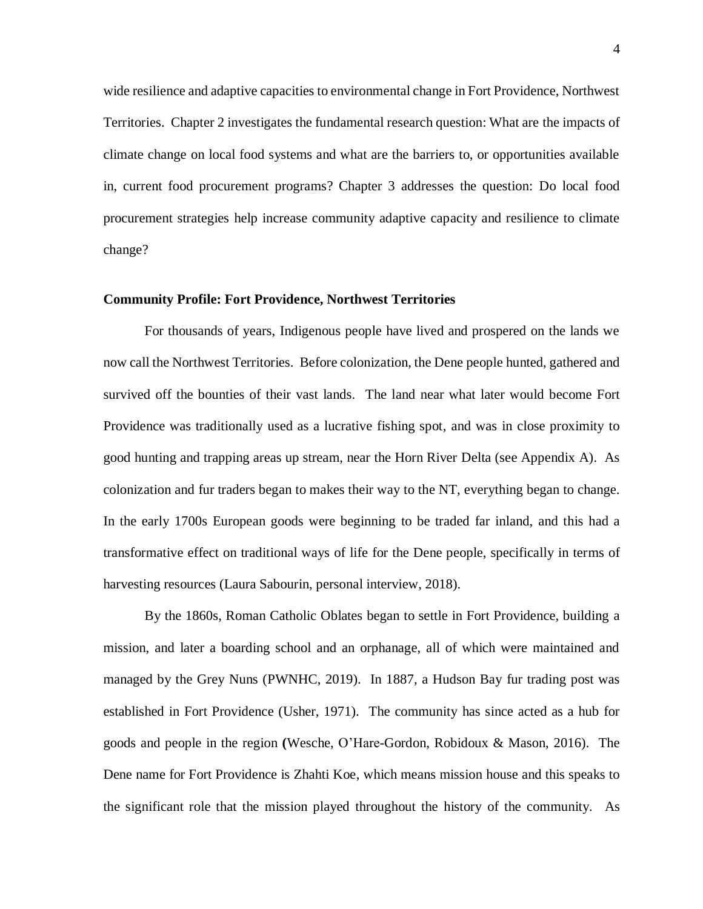wide resilience and adaptive capacities to environmental change in Fort Providence, Northwest Territories. Chapter 2 investigates the fundamental research question: What are the impacts of climate change on local food systems and what are the barriers to, or opportunities available in, current food procurement programs? Chapter 3 addresses the question: Do local food procurement strategies help increase community adaptive capacity and resilience to climate change?

### <span id="page-9-0"></span>**Community Profile: Fort Providence, Northwest Territories**

For thousands of years, Indigenous people have lived and prospered on the lands we now call the Northwest Territories. Before colonization, the Dene people hunted, gathered and survived off the bounties of their vast lands. The land near what later would become Fort Providence was traditionally used as a lucrative fishing spot, and was in close proximity to good hunting and trapping areas up stream, near the Horn River Delta (see Appendix A). As colonization and fur traders began to makes their way to the NT, everything began to change. In the early 1700s European goods were beginning to be traded far inland, and this had a transformative effect on traditional ways of life for the Dene people, specifically in terms of harvesting resources (Laura Sabourin, personal interview, 2018).

By the 1860s, Roman Catholic Oblates began to settle in Fort Providence, building a mission, and later a boarding school and an orphanage, all of which were maintained and managed by the Grey Nuns (PWNHC, 2019). In 1887, a Hudson Bay fur trading post was established in Fort Providence (Usher, 1971). The community has since acted as a hub for goods and people in the region **(**Wesche, O'Hare-Gordon, Robidoux & Mason, 2016). The Dene name for Fort Providence is Zhahti Koe, which means mission house and this speaks to the significant role that the mission played throughout the history of the community. As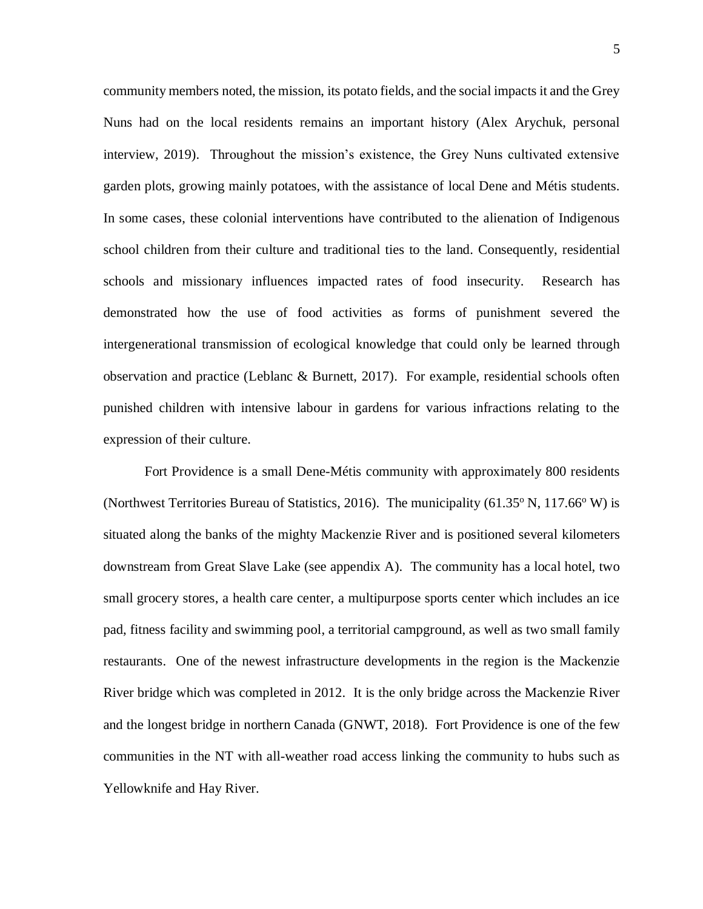community members noted, the mission, its potato fields, and the social impacts it and the Grey Nuns had on the local residents remains an important history (Alex Arychuk, personal interview, 2019). Throughout the mission's existence, the Grey Nuns cultivated extensive garden plots, growing mainly potatoes, with the assistance of local Dene and Métis students. In some cases, these colonial interventions have contributed to the alienation of Indigenous school children from their culture and traditional ties to the land. Consequently, residential schools and missionary influences impacted rates of food insecurity. Research has demonstrated how the use of food activities as forms of punishment severed the intergenerational transmission of ecological knowledge that could only be learned through observation and practice (Leblanc & Burnett, 2017). For example, residential schools often punished children with intensive labour in gardens for various infractions relating to the expression of their culture.

Fort Providence is a small Dene-Métis community with approximately 800 residents (Northwest Territories Bureau of Statistics, 2016). The municipality  $(61.35^{\circ} N, 117.66^{\circ} W)$  is situated along the banks of the mighty Mackenzie River and is positioned several kilometers downstream from Great Slave Lake (see appendix A). The community has a local hotel, two small grocery stores, a health care center, a multipurpose sports center which includes an ice pad, fitness facility and swimming pool, a territorial campground, as well as two small family restaurants. One of the newest infrastructure developments in the region is the Mackenzie River bridge which was completed in 2012. It is the only bridge across the Mackenzie River and the longest bridge in northern Canada (GNWT, 2018). Fort Providence is one of the few communities in the NT with all-weather road access linking the community to hubs such as Yellowknife and Hay River.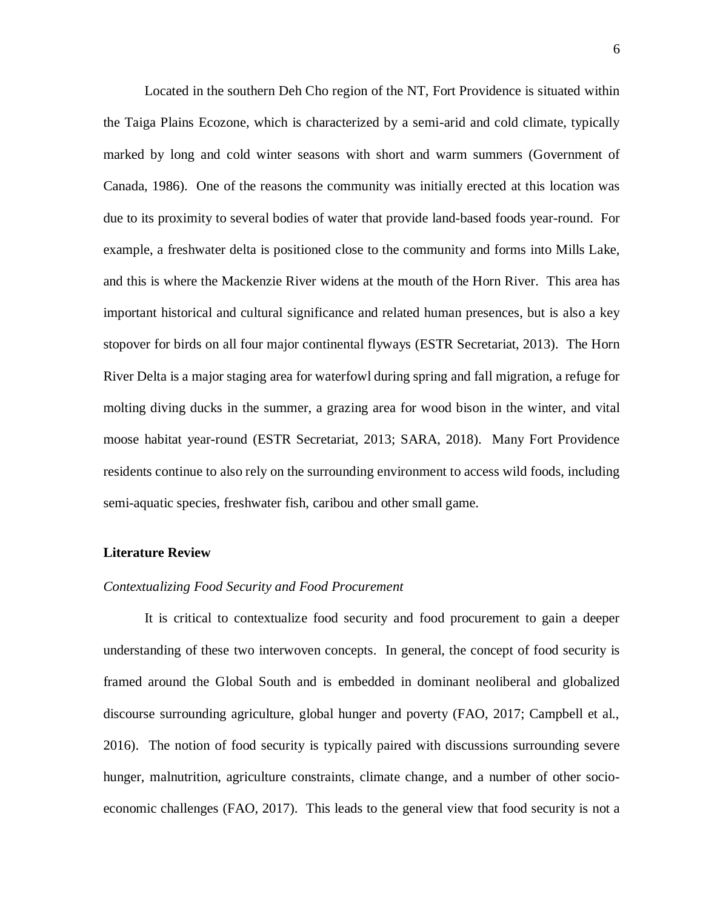Located in the southern Deh Cho region of the NT, Fort Providence is situated within the Taiga Plains Ecozone, which is characterized by a semi-arid and cold climate, typically marked by long and cold winter seasons with short and warm summers (Government of Canada, 1986). One of the reasons the community was initially erected at this location was due to its proximity to several bodies of water that provide land-based foods year-round. For example, a freshwater delta is positioned close to the community and forms into Mills Lake, and this is where the Mackenzie River widens at the mouth of the Horn River. This area has important historical and cultural significance and related human presences, but is also a key stopover for birds on all four major continental flyways (ESTR Secretariat, 2013). The Horn River Delta is a major staging area for waterfowl during spring and fall migration, a refuge for molting diving ducks in the summer, a grazing area for wood bison in the winter, and vital moose habitat year-round (ESTR Secretariat, 2013; SARA, 2018). Many Fort Providence residents continue to also rely on the surrounding environment to access wild foods, including semi-aquatic species, freshwater fish, caribou and other small game.

### <span id="page-11-0"></span>**Literature Review**

## <span id="page-11-1"></span>*Contextualizing Food Security and Food Procurement*

It is critical to contextualize food security and food procurement to gain a deeper understanding of these two interwoven concepts. In general, the concept of food security is framed around the Global South and is embedded in dominant neoliberal and globalized discourse surrounding agriculture, global hunger and poverty (FAO, 2017; Campbell et al., 2016). The notion of food security is typically paired with discussions surrounding severe hunger, malnutrition, agriculture constraints, climate change, and a number of other socioeconomic challenges (FAO, 2017). This leads to the general view that food security is not a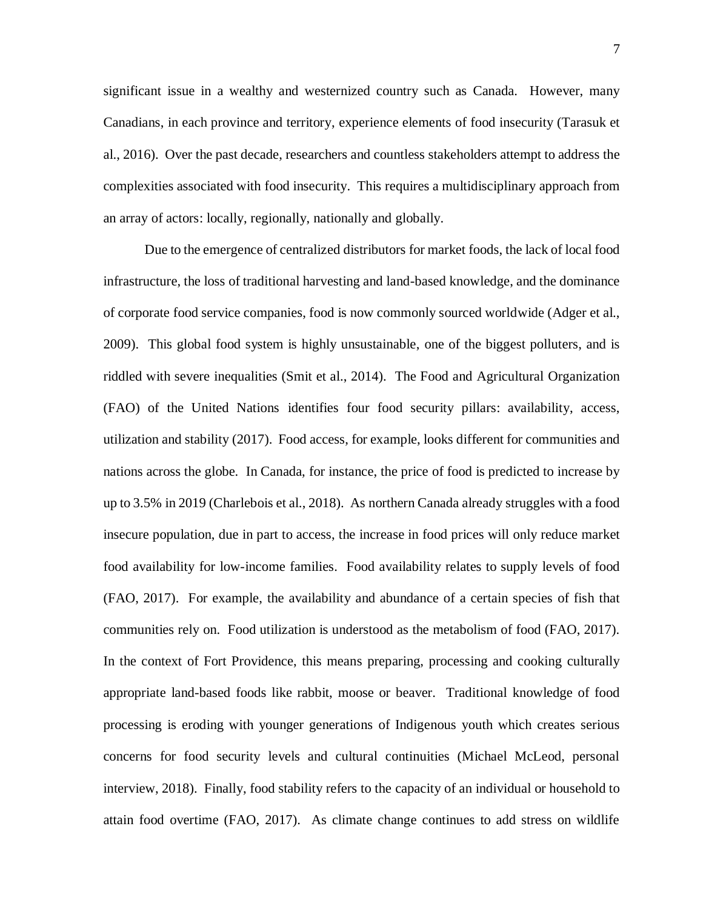significant issue in a wealthy and westernized country such as Canada. However, many Canadians, in each province and territory, experience elements of food insecurity (Tarasuk et al., 2016). Over the past decade, researchers and countless stakeholders attempt to address the complexities associated with food insecurity. This requires a multidisciplinary approach from an array of actors: locally, regionally, nationally and globally.

Due to the emergence of centralized distributors for market foods, the lack of local food infrastructure, the loss of traditional harvesting and land-based knowledge, and the dominance of corporate food service companies, food is now commonly sourced worldwide (Adger et al., 2009). This global food system is highly unsustainable, one of the biggest polluters, and is riddled with severe inequalities (Smit et al., 2014). The Food and Agricultural Organization (FAO) of the United Nations identifies four food security pillars: availability, access, utilization and stability (2017). Food access, for example, looks different for communities and nations across the globe. In Canada, for instance, the price of food is predicted to increase by up to 3.5% in 2019 (Charlebois et al., 2018). As northern Canada already struggles with a food insecure population, due in part to access, the increase in food prices will only reduce market food availability for low-income families. Food availability relates to supply levels of food (FAO, 2017). For example, the availability and abundance of a certain species of fish that communities rely on. Food utilization is understood as the metabolism of food (FAO, 2017). In the context of Fort Providence, this means preparing, processing and cooking culturally appropriate land-based foods like rabbit, moose or beaver. Traditional knowledge of food processing is eroding with younger generations of Indigenous youth which creates serious concerns for food security levels and cultural continuities (Michael McLeod, personal interview, 2018). Finally, food stability refers to the capacity of an individual or household to attain food overtime (FAO, 2017). As climate change continues to add stress on wildlife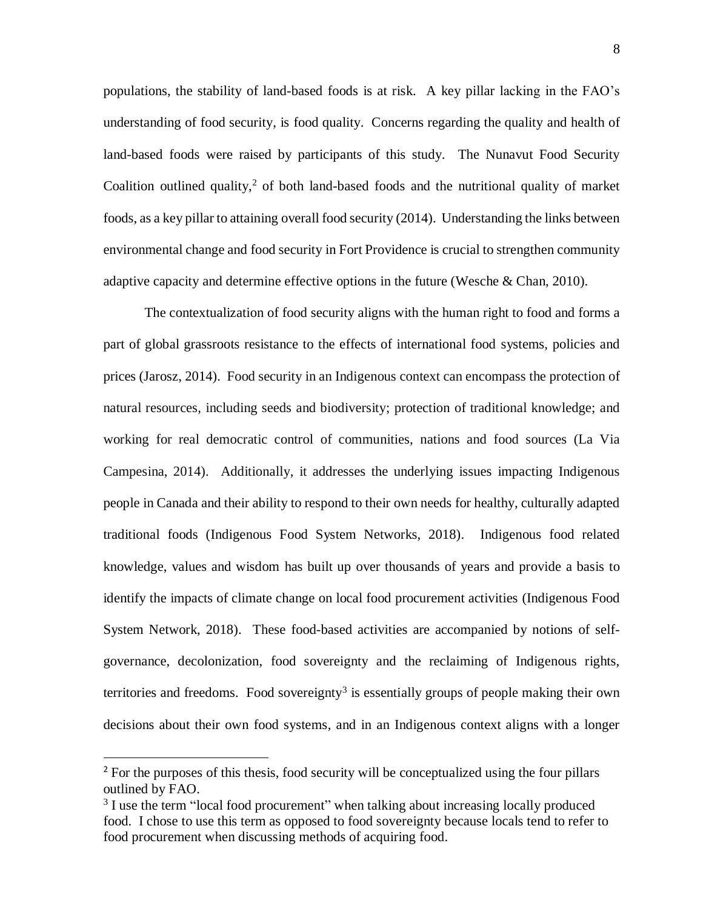populations, the stability of land-based foods is at risk. A key pillar lacking in the FAO's understanding of food security, is food quality. Concerns regarding the quality and health of land-based foods were raised by participants of this study. The Nunavut Food Security Coalition outlined quality, <sup>2</sup> of both land-based foods and the nutritional quality of market foods, as a key pillar to attaining overall food security (2014). Understanding the links between environmental change and food security in Fort Providence is crucial to strengthen community adaptive capacity and determine effective options in the future (Wesche & Chan, 2010).

The contextualization of food security aligns with the human right to food and forms a part of global grassroots resistance to the effects of international food systems, policies and prices (Jarosz, 2014). Food security in an Indigenous context can encompass the protection of natural resources, including seeds and biodiversity; protection of traditional knowledge; and working for real democratic control of communities, nations and food sources (La Via Campesina, 2014). Additionally, it addresses the underlying issues impacting Indigenous people in Canada and their ability to respond to their own needs for healthy, culturally adapted traditional foods (Indigenous Food System Networks, 2018). Indigenous food related knowledge, values and wisdom has built up over thousands of years and provide a basis to identify the impacts of climate change on local food procurement activities (Indigenous Food System Network, 2018). These food-based activities are accompanied by notions of selfgovernance, decolonization, food sovereignty and the reclaiming of Indigenous rights, territories and freedoms. Food sovereignty<sup>3</sup> is essentially groups of people making their own decisions about their own food systems, and in an Indigenous context aligns with a longer

 $\overline{a}$ 

<sup>&</sup>lt;sup>2</sup> For the purposes of this thesis, food security will be conceptualized using the four pillars outlined by FAO.

<sup>&</sup>lt;sup>3</sup> I use the term "local food procurement" when talking about increasing locally produced food. I chose to use this term as opposed to food sovereignty because locals tend to refer to food procurement when discussing methods of acquiring food.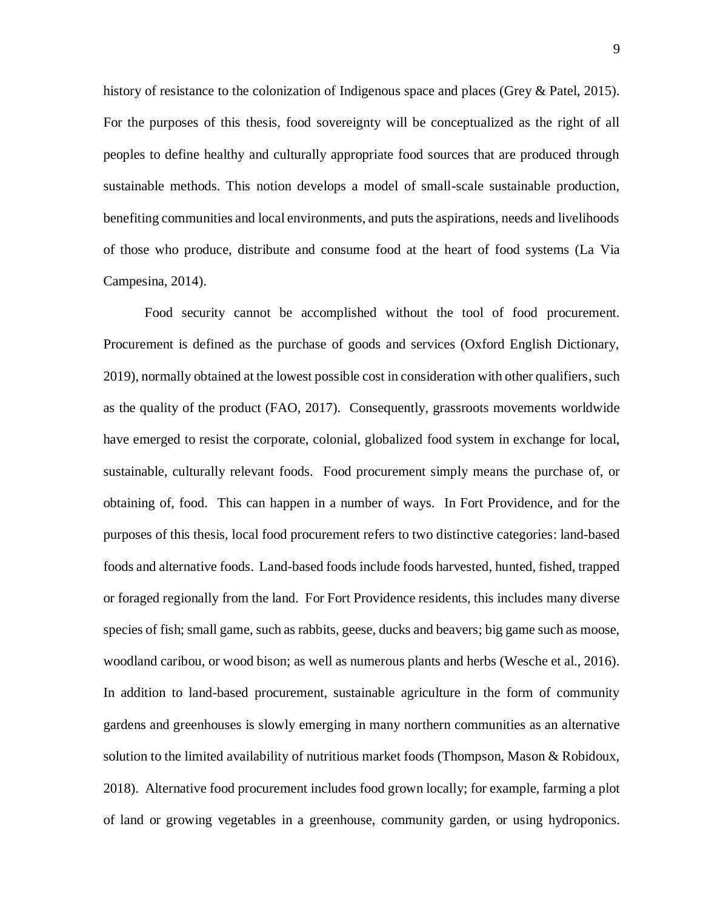history of resistance to the colonization of Indigenous space and places (Grey & Patel, 2015). For the purposes of this thesis, food sovereignty will be conceptualized as the right of all peoples to define healthy and culturally appropriate food sources that are produced through sustainable methods. This notion develops a model of small-scale sustainable production, benefiting communities and local environments, and puts the aspirations, needs and livelihoods of those who produce, distribute and consume food at the heart of food systems (La Via Campesina, 2014).

Food security cannot be accomplished without the tool of food procurement. Procurement is defined as the purchase of goods and services (Oxford English Dictionary, 2019), normally obtained at the lowest possible cost in consideration with other qualifiers, such as the quality of the product (FAO, 2017). Consequently, grassroots movements worldwide have emerged to resist the corporate, colonial, globalized food system in exchange for local, sustainable, culturally relevant foods. Food procurement simply means the purchase of, or obtaining of, food. This can happen in a number of ways. In Fort Providence, and for the purposes of this thesis, local food procurement refers to two distinctive categories: land-based foods and alternative foods. Land-based foods include foods harvested, hunted, fished, trapped or foraged regionally from the land. For Fort Providence residents, this includes many diverse species of fish; small game, such as rabbits, geese, ducks and beavers; big game such as moose, woodland caribou, or wood bison; as well as numerous plants and herbs (Wesche et al., 2016). In addition to land-based procurement, sustainable agriculture in the form of community gardens and greenhouses is slowly emerging in many northern communities as an alternative solution to the limited availability of nutritious market foods (Thompson, Mason & Robidoux, 2018). Alternative food procurement includes food grown locally; for example, farming a plot of land or growing vegetables in a greenhouse, community garden, or using hydroponics.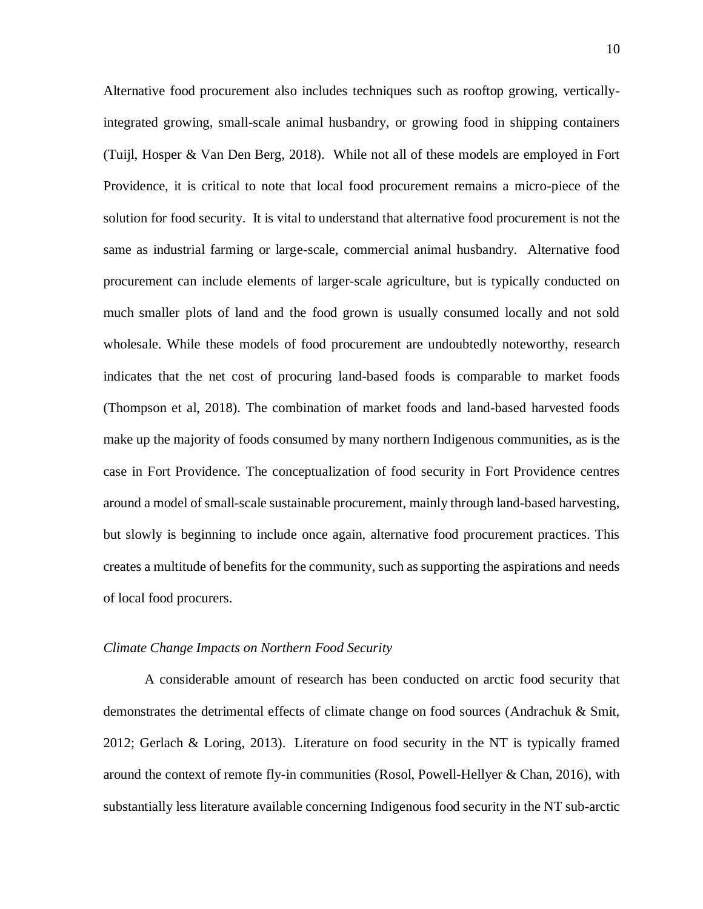Alternative food procurement also includes techniques such as rooftop growing, verticallyintegrated growing, small-scale animal husbandry, or growing food in shipping containers (Tuijl, Hosper & Van Den Berg, 2018). While not all of these models are employed in Fort Providence, it is critical to note that local food procurement remains a micro-piece of the solution for food security. It is vital to understand that alternative food procurement is not the same as industrial farming or large-scale, commercial animal husbandry. Alternative food procurement can include elements of larger-scale agriculture, but is typically conducted on much smaller plots of land and the food grown is usually consumed locally and not sold wholesale. While these models of food procurement are undoubtedly noteworthy, research indicates that the net cost of procuring land-based foods is comparable to market foods (Thompson et al, 2018). The combination of market foods and land-based harvested foods make up the majority of foods consumed by many northern Indigenous communities, as is the case in Fort Providence. The conceptualization of food security in Fort Providence centres around a model of small-scale sustainable procurement, mainly through land-based harvesting, but slowly is beginning to include once again, alternative food procurement practices. This creates a multitude of benefits for the community, such as supporting the aspirations and needs of local food procurers.

#### <span id="page-15-0"></span>*Climate Change Impacts on Northern Food Security*

A considerable amount of research has been conducted on arctic food security that demonstrates the detrimental effects of climate change on food sources (Andrachuk & Smit, 2012; Gerlach & Loring, 2013). Literature on food security in the NT is typically framed around the context of remote fly-in communities (Rosol, Powell-Hellyer & Chan, 2016), with substantially less literature available concerning Indigenous food security in the NT sub-arctic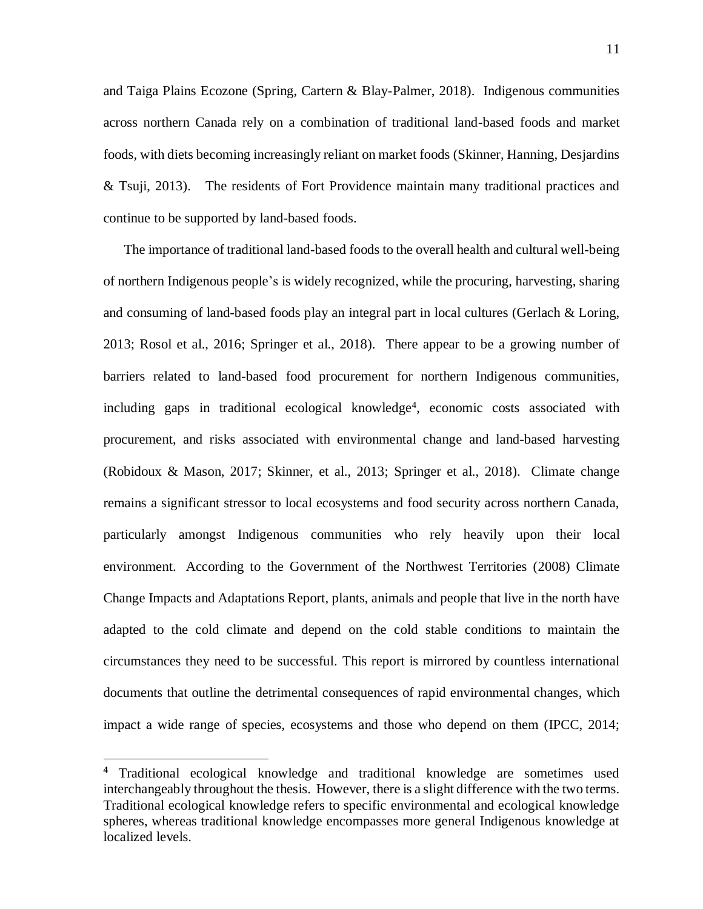and Taiga Plains Ecozone (Spring, Cartern & Blay-Palmer, 2018). Indigenous communities across northern Canada rely on a combination of traditional land-based foods and market foods, with diets becoming increasingly reliant on market foods (Skinner, Hanning, Desjardins & Tsuji, 2013). The residents of Fort Providence maintain many traditional practices and continue to be supported by land-based foods.

The importance of traditional land-based foods to the overall health and cultural well-being of northern Indigenous people's is widely recognized, while the procuring, harvesting, sharing and consuming of land-based foods play an integral part in local cultures (Gerlach & Loring, 2013; Rosol et al., 2016; Springer et al., 2018). There appear to be a growing number of barriers related to land-based food procurement for northern Indigenous communities, including gaps in traditional ecological knowledge<sup>4</sup>, economic costs associated with procurement, and risks associated with environmental change and land-based harvesting (Robidoux & Mason, 2017; Skinner, et al., 2013; Springer et al., 2018). Climate change remains a significant stressor to local ecosystems and food security across northern Canada, particularly amongst Indigenous communities who rely heavily upon their local environment. According to the Government of the Northwest Territories (2008) Climate Change Impacts and Adaptations Report, plants, animals and people that live in the north have adapted to the cold climate and depend on the cold stable conditions to maintain the circumstances they need to be successful. This report is mirrored by countless international documents that outline the detrimental consequences of rapid environmental changes, which impact a wide range of species, ecosystems and those who depend on them (IPCC, 2014;

 $\overline{a}$ 

**<sup>4</sup>** Traditional ecological knowledge and traditional knowledge are sometimes used interchangeably throughout the thesis. However, there is a slight difference with the two terms. Traditional ecological knowledge refers to specific environmental and ecological knowledge spheres, whereas traditional knowledge encompasses more general Indigenous knowledge at localized levels.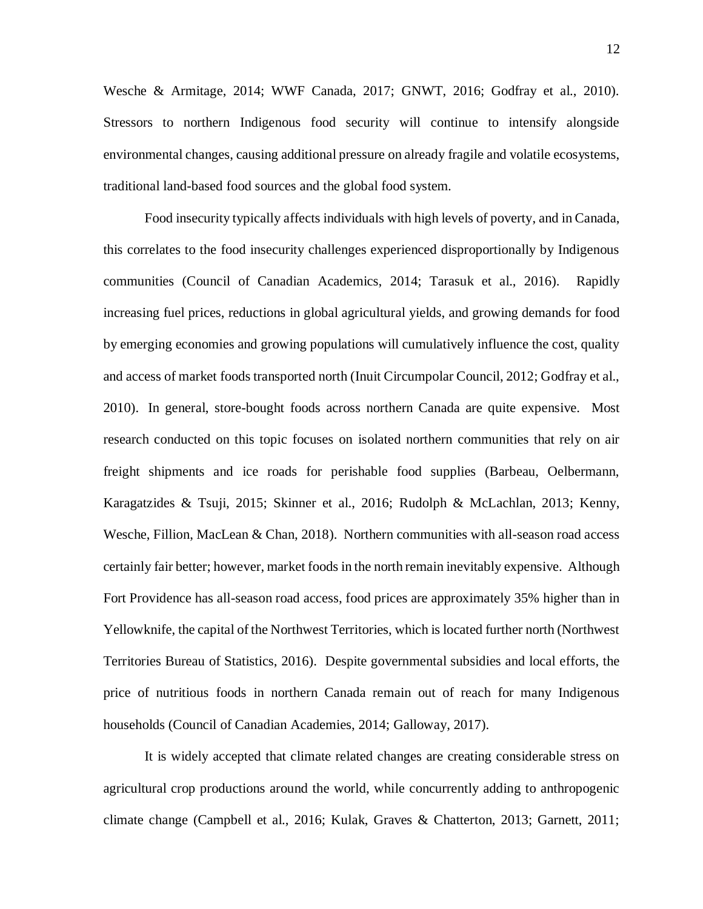Wesche & Armitage, 2014; WWF Canada, 2017; GNWT, 2016; Godfray et al., 2010). Stressors to northern Indigenous food security will continue to intensify alongside environmental changes, causing additional pressure on already fragile and volatile ecosystems, traditional land-based food sources and the global food system.

Food insecurity typically affects individuals with high levels of poverty, and in Canada, this correlates to the food insecurity challenges experienced disproportionally by Indigenous communities (Council of Canadian Academics, 2014; Tarasuk et al., 2016). Rapidly increasing fuel prices, reductions in global agricultural yields, and growing demands for food by emerging economies and growing populations will cumulatively influence the cost, quality and access of market foods transported north (Inuit Circumpolar Council, 2012; Godfray et al., 2010). In general, store-bought foods across northern Canada are quite expensive. Most research conducted on this topic focuses on isolated northern communities that rely on air freight shipments and ice roads for perishable food supplies (Barbeau, Oelbermann, Karagatzides & Tsuji, 2015; Skinner et al., 2016; Rudolph & McLachlan, 2013; Kenny, Wesche, Fillion, MacLean & Chan, 2018). Northern communities with all-season road access certainly fair better; however, market foods in the north remain inevitably expensive. Although Fort Providence has all-season road access, food prices are approximately 35% higher than in Yellowknife, the capital of the Northwest Territories, which is located further north (Northwest Territories Bureau of Statistics, 2016). Despite governmental subsidies and local efforts, the price of nutritious foods in northern Canada remain out of reach for many Indigenous households (Council of Canadian Academies, 2014; Galloway, 2017).

It is widely accepted that climate related changes are creating considerable stress on agricultural crop productions around the world, while concurrently adding to anthropogenic climate change (Campbell et al., 2016; Kulak, Graves & Chatterton, 2013; Garnett, 2011;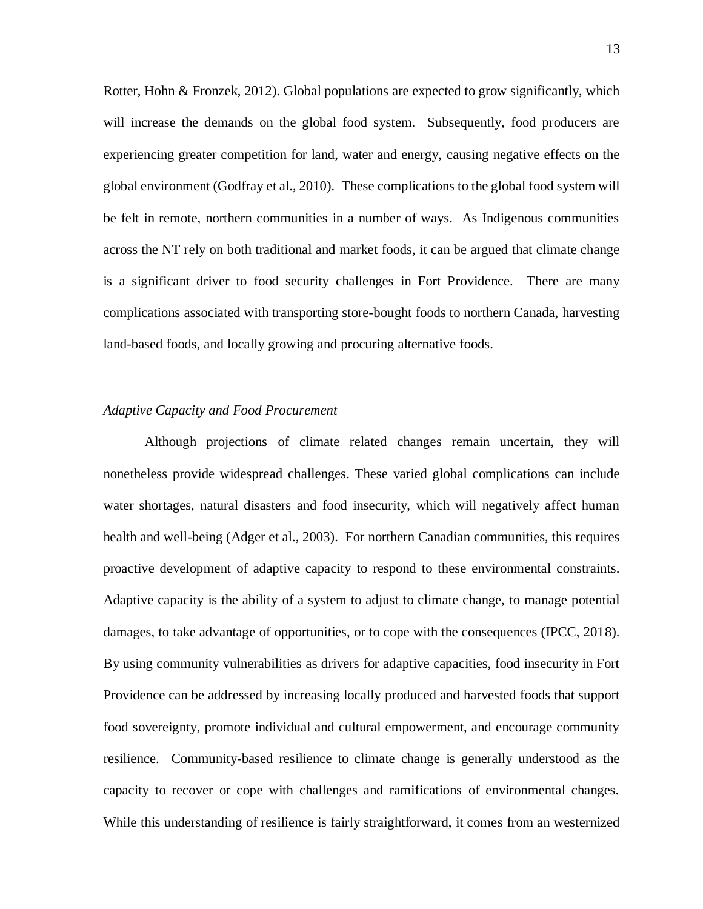Rotter, Hohn & Fronzek, 2012). Global populations are expected to grow significantly, which will increase the demands on the global food system. Subsequently, food producers are experiencing greater competition for land, water and energy, causing negative effects on the global environment (Godfray et al., 2010). These complications to the global food system will be felt in remote, northern communities in a number of ways. As Indigenous communities across the NT rely on both traditional and market foods, it can be argued that climate change is a significant driver to food security challenges in Fort Providence. There are many complications associated with transporting store-bought foods to northern Canada, harvesting land-based foods, and locally growing and procuring alternative foods.

# <span id="page-18-0"></span>*Adaptive Capacity and Food Procurement*

Although projections of climate related changes remain uncertain, they will nonetheless provide widespread challenges. These varied global complications can include water shortages, natural disasters and food insecurity, which will negatively affect human health and well-being (Adger et al., 2003). For northern Canadian communities, this requires proactive development of adaptive capacity to respond to these environmental constraints. Adaptive capacity is the ability of a system to adjust to climate change, to manage potential damages, to take advantage of opportunities, or to cope with the consequences (IPCC, 2018). By using community vulnerabilities as drivers for adaptive capacities, food insecurity in Fort Providence can be addressed by increasing locally produced and harvested foods that support food sovereignty, promote individual and cultural empowerment, and encourage community resilience. Community-based resilience to climate change is generally understood as the capacity to recover or cope with challenges and ramifications of environmental changes. While this understanding of resilience is fairly straightforward, it comes from an westernized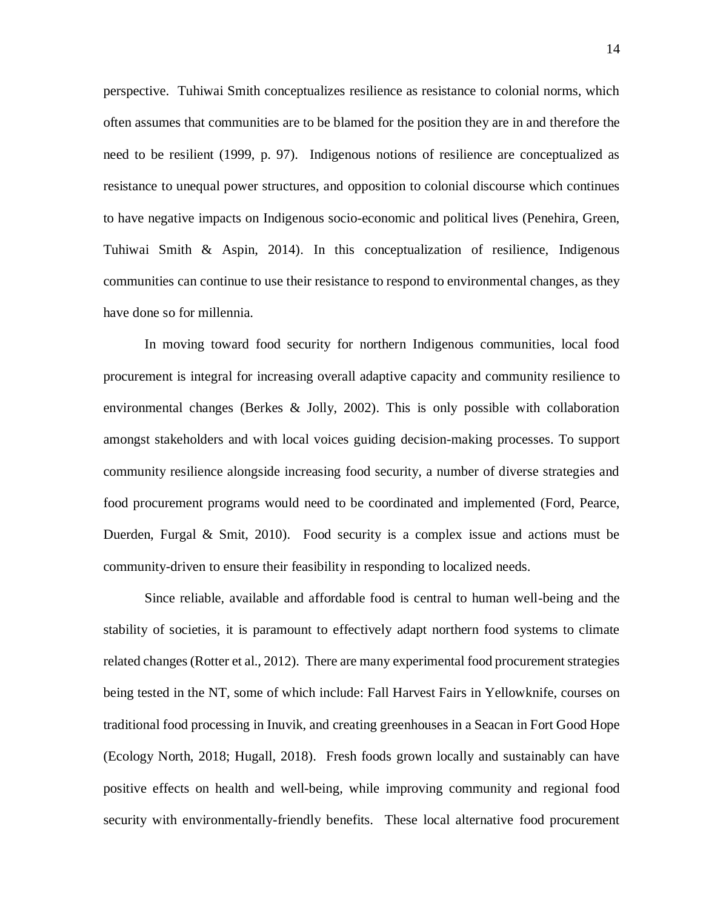perspective. Tuhiwai Smith conceptualizes resilience as resistance to colonial norms, which often assumes that communities are to be blamed for the position they are in and therefore the need to be resilient (1999, p. 97). Indigenous notions of resilience are conceptualized as resistance to unequal power structures, and opposition to colonial discourse which continues to have negative impacts on Indigenous socio-economic and political lives (Penehira, Green, Tuhiwai Smith & Aspin, 2014). In this conceptualization of resilience, Indigenous communities can continue to use their resistance to respond to environmental changes, as they have done so for millennia.

In moving toward food security for northern Indigenous communities, local food procurement is integral for increasing overall adaptive capacity and community resilience to environmental changes (Berkes & Jolly, 2002). This is only possible with collaboration amongst stakeholders and with local voices guiding decision-making processes. To support community resilience alongside increasing food security, a number of diverse strategies and food procurement programs would need to be coordinated and implemented (Ford, Pearce, Duerden, Furgal & Smit, 2010). Food security is a complex issue and actions must be community-driven to ensure their feasibility in responding to localized needs.

Since reliable, available and affordable food is central to human well-being and the stability of societies, it is paramount to effectively adapt northern food systems to climate related changes (Rotter et al., 2012). There are many experimental food procurement strategies being tested in the NT, some of which include: Fall Harvest Fairs in Yellowknife, courses on traditional food processing in Inuvik, and creating greenhouses in a Seacan in Fort Good Hope (Ecology North, 2018; Hugall, 2018). Fresh foods grown locally and sustainably can have positive effects on health and well-being, while improving community and regional food security with environmentally-friendly benefits. These local alternative food procurement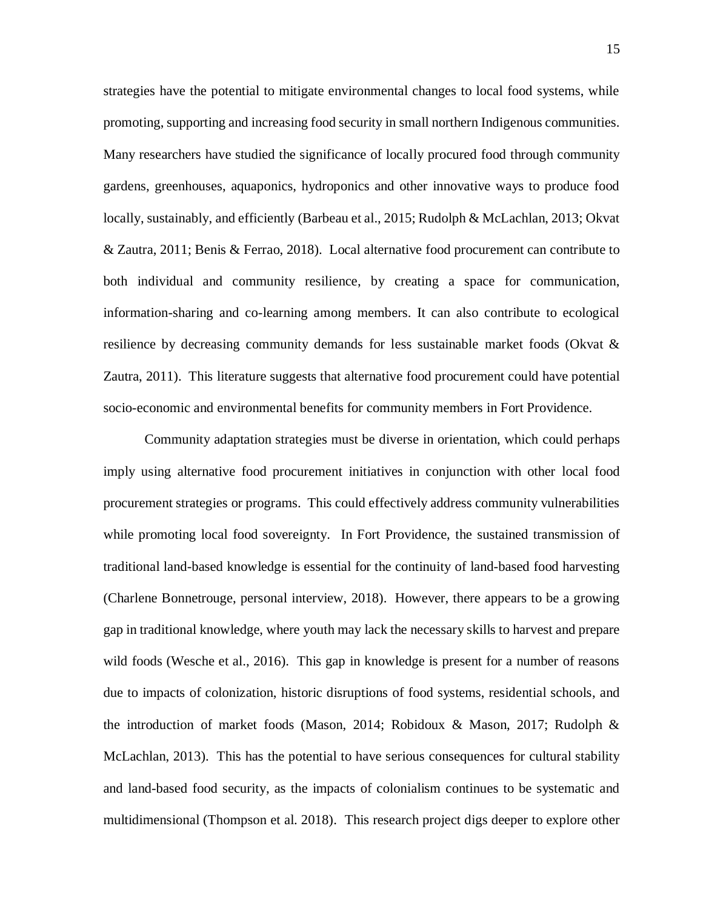strategies have the potential to mitigate environmental changes to local food systems, while promoting, supporting and increasing food security in small northern Indigenous communities. Many researchers have studied the significance of locally procured food through community gardens, greenhouses, aquaponics, hydroponics and other innovative ways to produce food locally, sustainably, and efficiently (Barbeau et al., 2015; Rudolph & McLachlan, 2013; Okvat & Zautra, 2011; Benis & Ferrao, 2018). Local alternative food procurement can contribute to both individual and community resilience, by creating a space for communication, information-sharing and co-learning among members. It can also contribute to ecological resilience by decreasing community demands for less sustainable market foods (Okvat & Zautra, 2011). This literature suggests that alternative food procurement could have potential socio-economic and environmental benefits for community members in Fort Providence.

Community adaptation strategies must be diverse in orientation, which could perhaps imply using alternative food procurement initiatives in conjunction with other local food procurement strategies or programs. This could effectively address community vulnerabilities while promoting local food sovereignty. In Fort Providence, the sustained transmission of traditional land-based knowledge is essential for the continuity of land-based food harvesting (Charlene Bonnetrouge, personal interview, 2018). However, there appears to be a growing gap in traditional knowledge, where youth may lack the necessary skills to harvest and prepare wild foods (Wesche et al., 2016). This gap in knowledge is present for a number of reasons due to impacts of colonization, historic disruptions of food systems, residential schools, and the introduction of market foods (Mason, 2014; Robidoux & Mason, 2017; Rudolph & McLachlan, 2013). This has the potential to have serious consequences for cultural stability and land-based food security, as the impacts of colonialism continues to be systematic and multidimensional (Thompson et al. 2018). This research project digs deeper to explore other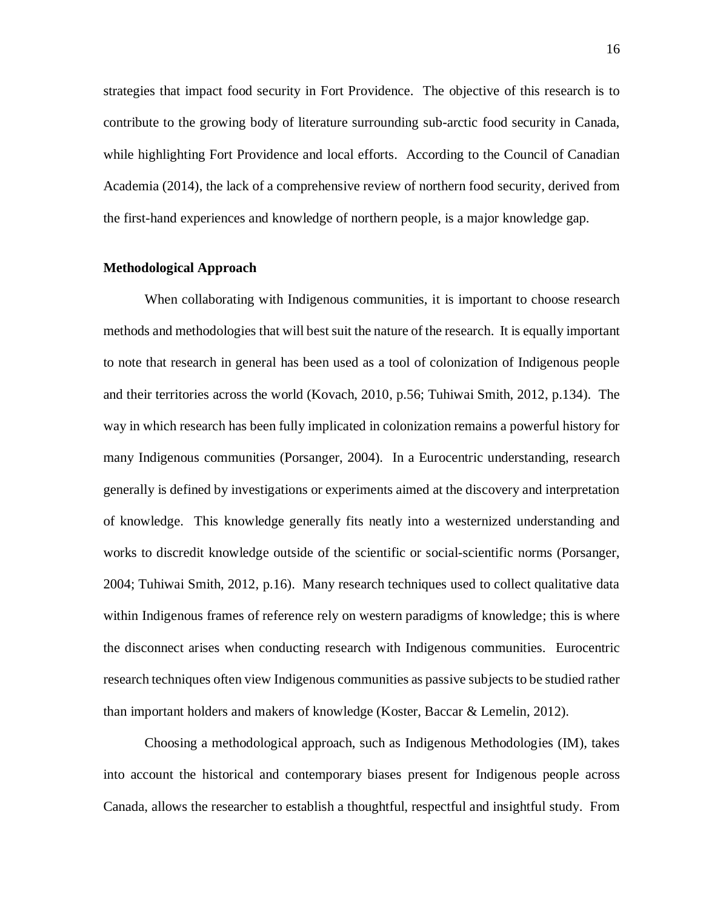strategies that impact food security in Fort Providence. The objective of this research is to contribute to the growing body of literature surrounding sub-arctic food security in Canada, while highlighting Fort Providence and local efforts. According to the Council of Canadian Academia (2014), the lack of a comprehensive review of northern food security, derived from the first-hand experiences and knowledge of northern people, is a major knowledge gap.

## <span id="page-21-0"></span>**Methodological Approach**

When collaborating with Indigenous communities, it is important to choose research methods and methodologies that will best suit the nature of the research. It is equally important to note that research in general has been used as a tool of colonization of Indigenous people and their territories across the world (Kovach, 2010, p.56; Tuhiwai Smith, 2012, p.134). The way in which research has been fully implicated in colonization remains a powerful history for many Indigenous communities (Porsanger, 2004). In a Eurocentric understanding, research generally is defined by investigations or experiments aimed at the discovery and interpretation of knowledge. This knowledge generally fits neatly into a westernized understanding and works to discredit knowledge outside of the scientific or social-scientific norms (Porsanger, 2004; Tuhiwai Smith, 2012, p.16). Many research techniques used to collect qualitative data within Indigenous frames of reference rely on western paradigms of knowledge; this is where the disconnect arises when conducting research with Indigenous communities. Eurocentric research techniques often view Indigenous communities as passive subjects to be studied rather than important holders and makers of knowledge (Koster, Baccar & Lemelin, 2012).

Choosing a methodological approach, such as Indigenous Methodologies (IM), takes into account the historical and contemporary biases present for Indigenous people across Canada, allows the researcher to establish a thoughtful, respectful and insightful study. From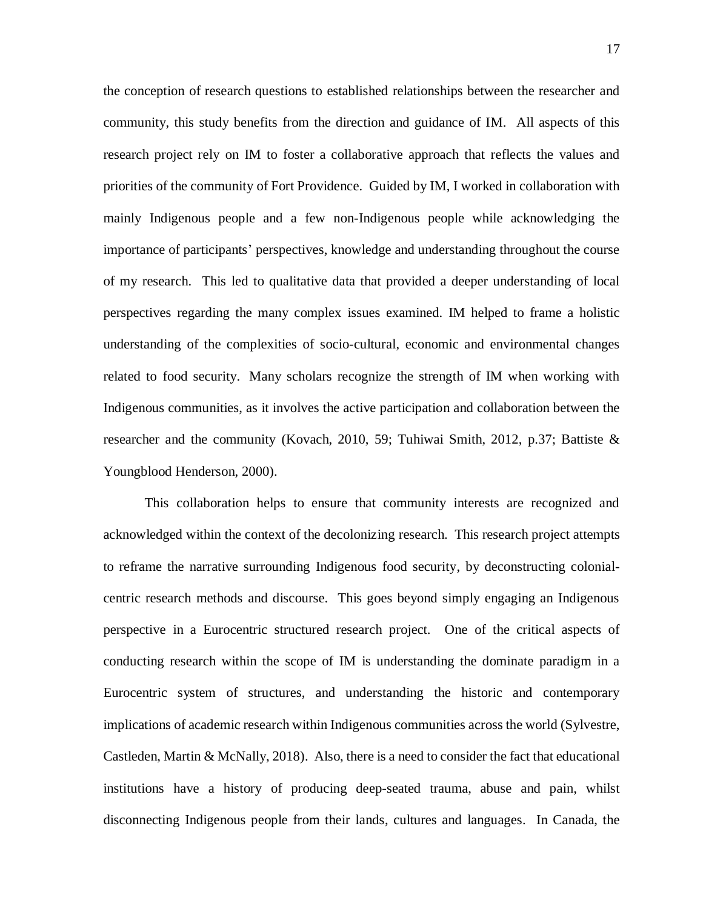the conception of research questions to established relationships between the researcher and community, this study benefits from the direction and guidance of IM. All aspects of this research project rely on IM to foster a collaborative approach that reflects the values and priorities of the community of Fort Providence. Guided by IM, I worked in collaboration with mainly Indigenous people and a few non-Indigenous people while acknowledging the importance of participants' perspectives, knowledge and understanding throughout the course of my research. This led to qualitative data that provided a deeper understanding of local perspectives regarding the many complex issues examined. IM helped to frame a holistic understanding of the complexities of socio-cultural, economic and environmental changes related to food security. Many scholars recognize the strength of IM when working with Indigenous communities, as it involves the active participation and collaboration between the researcher and the community (Kovach, 2010, 59; Tuhiwai Smith, 2012, p.37; Battiste & Youngblood Henderson, 2000).

This collaboration helps to ensure that community interests are recognized and acknowledged within the context of the decolonizing research. This research project attempts to reframe the narrative surrounding Indigenous food security, by deconstructing colonialcentric research methods and discourse. This goes beyond simply engaging an Indigenous perspective in a Eurocentric structured research project. One of the critical aspects of conducting research within the scope of IM is understanding the dominate paradigm in a Eurocentric system of structures, and understanding the historic and contemporary implications of academic research within Indigenous communities across the world (Sylvestre, Castleden, Martin & McNally, 2018). Also, there is a need to consider the fact that educational institutions have a history of producing deep-seated trauma, abuse and pain, whilst disconnecting Indigenous people from their lands, cultures and languages. In Canada, the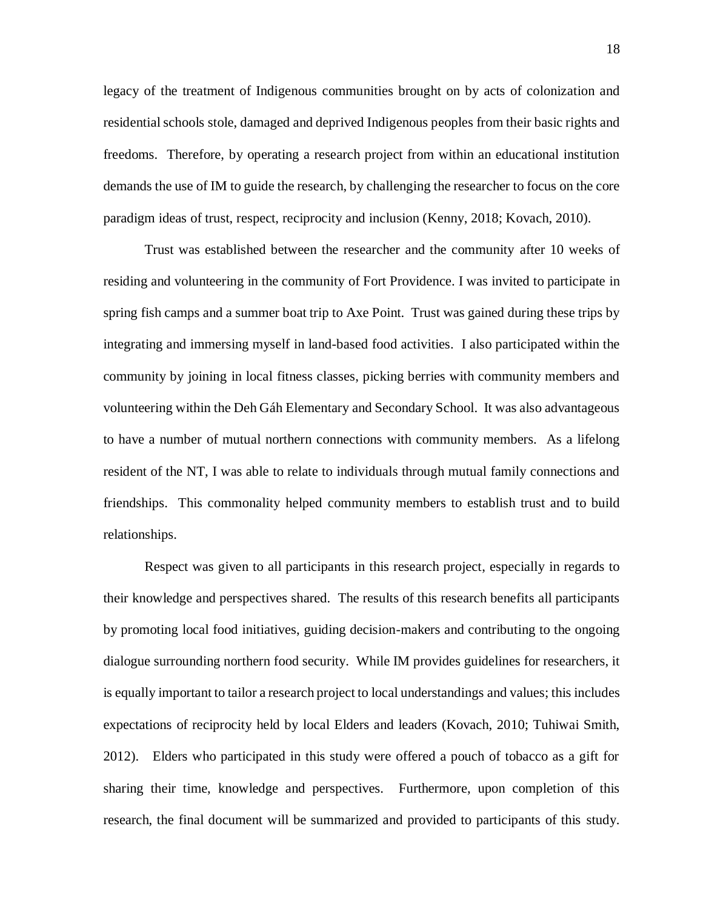legacy of the treatment of Indigenous communities brought on by acts of colonization and residential schools stole, damaged and deprived Indigenous peoples from their basic rights and freedoms. Therefore, by operating a research project from within an educational institution demands the use of IM to guide the research, by challenging the researcher to focus on the core paradigm ideas of trust, respect, reciprocity and inclusion (Kenny, 2018; Kovach, 2010).

Trust was established between the researcher and the community after 10 weeks of residing and volunteering in the community of Fort Providence. I was invited to participate in spring fish camps and a summer boat trip to Axe Point. Trust was gained during these trips by integrating and immersing myself in land-based food activities. I also participated within the community by joining in local fitness classes, picking berries with community members and volunteering within the Deh Gáh Elementary and Secondary School. It was also advantageous to have a number of mutual northern connections with community members. As a lifelong resident of the NT, I was able to relate to individuals through mutual family connections and friendships. This commonality helped community members to establish trust and to build relationships.

Respect was given to all participants in this research project, especially in regards to their knowledge and perspectives shared. The results of this research benefits all participants by promoting local food initiatives, guiding decision-makers and contributing to the ongoing dialogue surrounding northern food security. While IM provides guidelines for researchers, it is equally important to tailor a research project to local understandings and values; this includes expectations of reciprocity held by local Elders and leaders (Kovach, 2010; Tuhiwai Smith, 2012). Elders who participated in this study were offered a pouch of tobacco as a gift for sharing their time, knowledge and perspectives. Furthermore, upon completion of this research, the final document will be summarized and provided to participants of this study.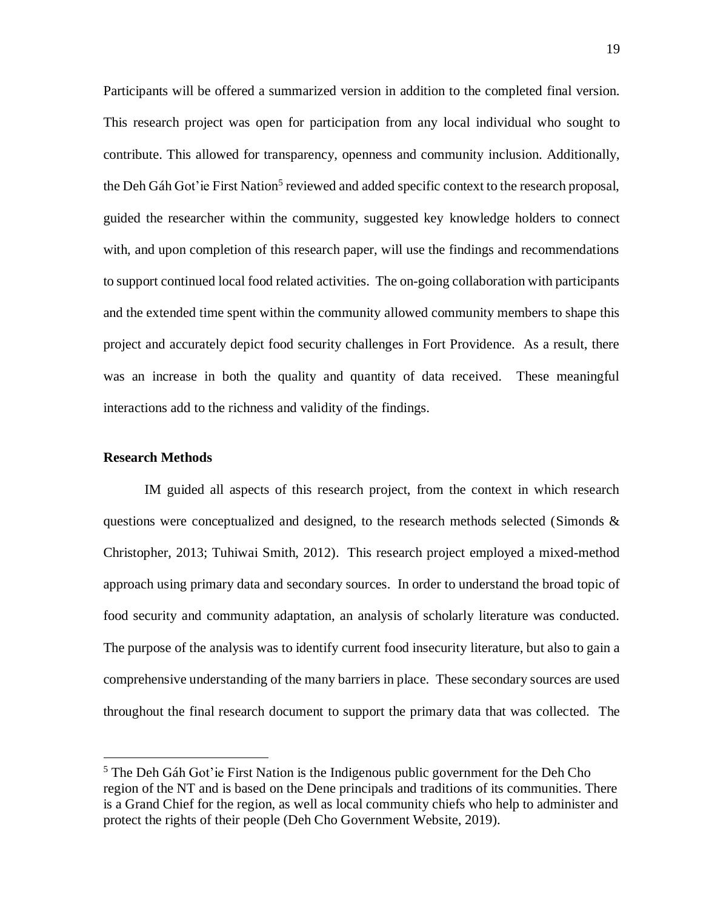Participants will be offered a summarized version in addition to the completed final version. This research project was open for participation from any local individual who sought to contribute. This allowed for transparency, openness and community inclusion. Additionally, the Deh Gáh Got'ie First Nation<sup>5</sup> reviewed and added specific context to the research proposal, guided the researcher within the community, suggested key knowledge holders to connect with, and upon completion of this research paper, will use the findings and recommendations to support continued local food related activities. The on-going collaboration with participants and the extended time spent within the community allowed community members to shape this project and accurately depict food security challenges in Fort Providence. As a result, there was an increase in both the quality and quantity of data received. These meaningful interactions add to the richness and validity of the findings.

## <span id="page-24-0"></span>**Research Methods**

 $\overline{a}$ 

IM guided all aspects of this research project, from the context in which research questions were conceptualized and designed, to the research methods selected (Simonds  $\&$ Christopher, 2013; Tuhiwai Smith, 2012). This research project employed a mixed-method approach using primary data and secondary sources. In order to understand the broad topic of food security and community adaptation, an analysis of scholarly literature was conducted. The purpose of the analysis was to identify current food insecurity literature, but also to gain a comprehensive understanding of the many barriers in place. These secondary sources are used throughout the final research document to support the primary data that was collected. The

<sup>&</sup>lt;sup>5</sup> The Deh Gáh Got'ie First Nation is the Indigenous public government for the Deh Cho region of the NT and is based on the Dene principals and traditions of its communities. There is a Grand Chief for the region, as well as local community chiefs who help to administer and protect the rights of their people (Deh Cho Government Website, 2019).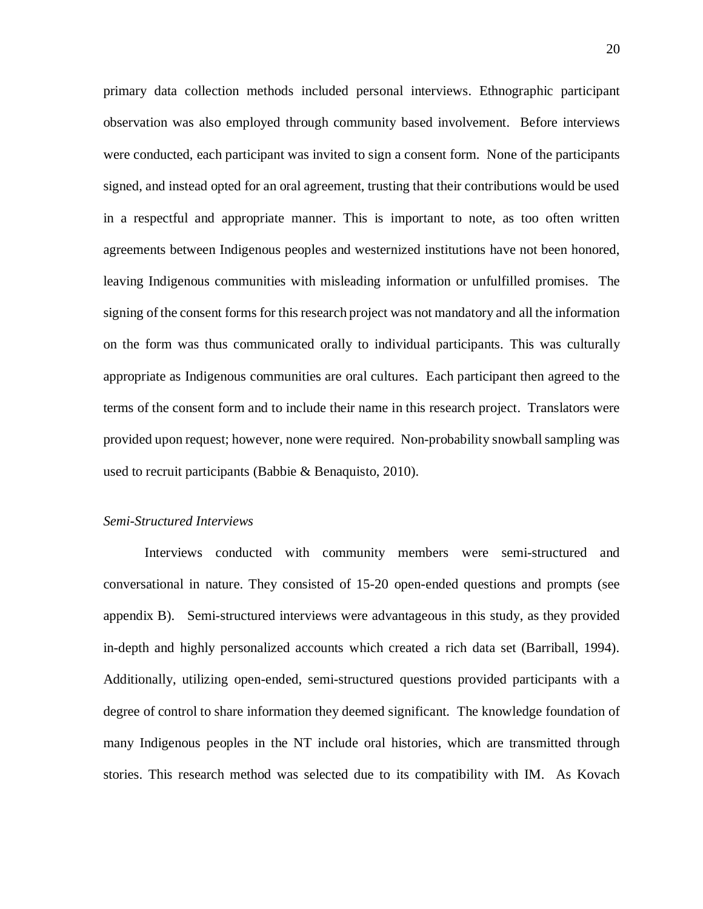primary data collection methods included personal interviews. Ethnographic participant observation was also employed through community based involvement. Before interviews were conducted, each participant was invited to sign a consent form. None of the participants signed, and instead opted for an oral agreement, trusting that their contributions would be used in a respectful and appropriate manner. This is important to note, as too often written agreements between Indigenous peoples and westernized institutions have not been honored, leaving Indigenous communities with misleading information or unfulfilled promises. The signing of the consent forms for this research project was not mandatory and all the information on the form was thus communicated orally to individual participants. This was culturally appropriate as Indigenous communities are oral cultures. Each participant then agreed to the terms of the consent form and to include their name in this research project. Translators were provided upon request; however, none were required. Non-probability snowball sampling was used to recruit participants (Babbie & Benaquisto, 2010).

## <span id="page-25-0"></span>*Semi-Structured Interviews*

Interviews conducted with community members were semi-structured and conversational in nature. They consisted of 15-20 open-ended questions and prompts (see appendix B). Semi-structured interviews were advantageous in this study, as they provided in-depth and highly personalized accounts which created a rich data set (Barriball, 1994). Additionally, utilizing open-ended, semi-structured questions provided participants with a degree of control to share information they deemed significant. The knowledge foundation of many Indigenous peoples in the NT include oral histories, which are transmitted through stories. This research method was selected due to its compatibility with IM. As Kovach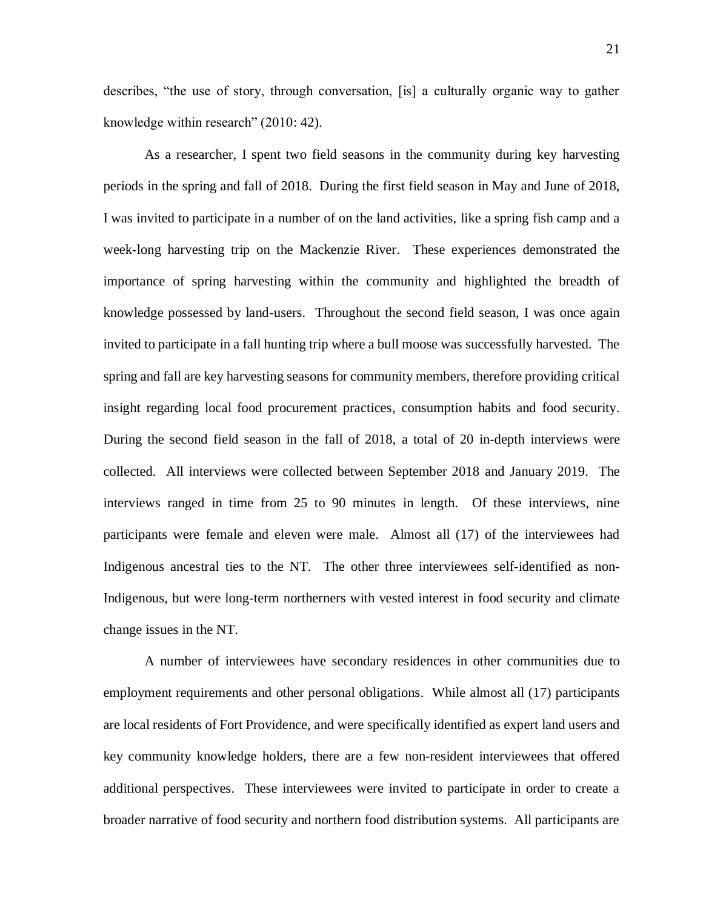describes, "the use of story, through conversation, [is] a culturally organic way to gather knowledge within research" (2010: 42).

As a researcher, I spent two field seasons in the community during key harvesting periods in the spring and fall of 2018. During the first field season in May and June of 2018, I was invited to participate in a number of on the land activities, like a spring fish camp and a week-long harvesting trip on the Mackenzie River. These experiences demonstrated the importance of spring harvesting within the community and highlighted the breadth of knowledge possessed by land-users. Throughout the second field season, I was once again invited to participate in a fall hunting trip where a bull moose was successfully harvested. The spring and fall are key harvesting seasons for community members, therefore providing critical insight regarding local food procurement practices, consumption habits and food security. During the second field season in the fall of 2018, a total of 20 in-depth interviews were collected. All interviews were collected between September 2018 and January 2019. The interviews ranged in time from 25 to 90 minutes in length. Of these interviews, nine participants were female and eleven were male. Almost all (17) of the interviewees had Indigenous ancestral ties to the NT. The other three interviewees self-identified as non-Indigenous, but were long-term northerners with vested interest in food security and climate change issues in the NT.

A number of interviewees have secondary residences in other communities due to employment requirements and other personal obligations. While almost all (17) participants are local residents of Fort Providence, and were specifically identified as expert land users and key community knowledge holders, there are a few non-resident interviewees that offered additional perspectives. These interviewees were invited to participate in order to create a broader narrative of food security and northern food distribution systems. All participants are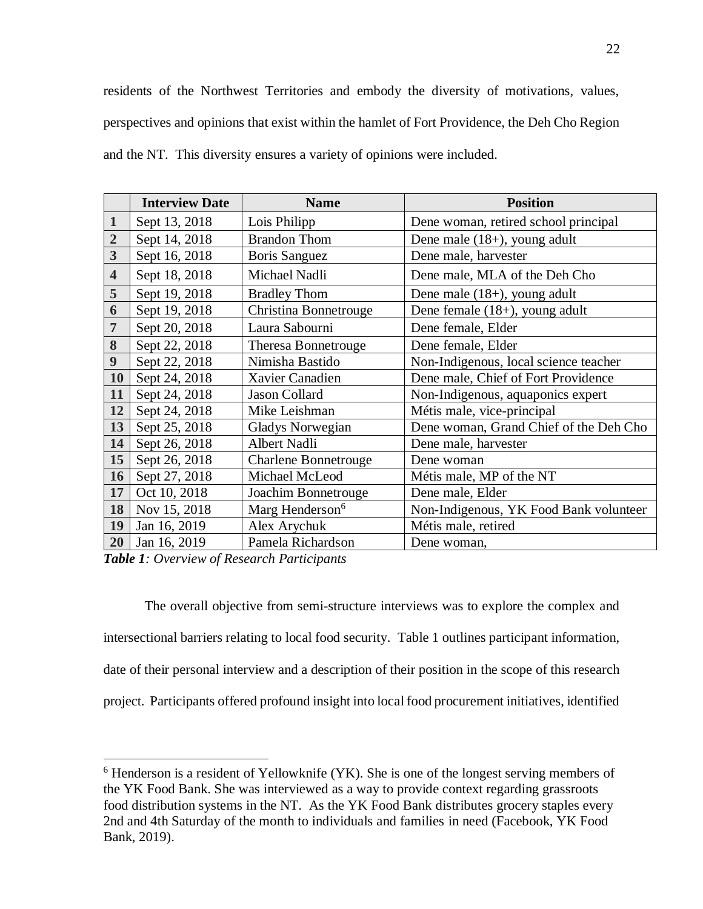residents of the Northwest Territories and embody the diversity of motivations, values, perspectives and opinions that exist within the hamlet of Fort Providence, the Deh Cho Region and the NT. This diversity ensures a variety of opinions were included.

|                         | <b>Interview Date</b> | <b>Name</b>                 | <b>Position</b>                        |
|-------------------------|-----------------------|-----------------------------|----------------------------------------|
| $\mathbf{1}$            | Sept 13, 2018         | Lois Philipp                | Dene woman, retired school principal   |
| $\overline{2}$          | Sept 14, 2018         | <b>Brandon Thom</b>         | Dene male $(18+)$ , young adult        |
| 3                       | Sept 16, 2018         | <b>Boris Sanguez</b>        | Dene male, harvester                   |
| $\overline{\mathbf{4}}$ | Sept 18, 2018         | Michael Nadli               | Dene male, MLA of the Deh Cho          |
| 5                       | Sept 19, 2018         | <b>Bradley Thom</b>         | Dene male $(18+)$ , young adult        |
| 6                       | Sept 19, 2018         | Christina Bonnetrouge       | Dene female $(18+)$ , young adult      |
| $\overline{7}$          | Sept 20, 2018         | Laura Sabourni              | Dene female, Elder                     |
| 8                       | Sept 22, 2018         | <b>Theresa Bonnetrouge</b>  | Dene female, Elder                     |
| $\boldsymbol{9}$        | Sept 22, 2018         | Nimisha Bastido             | Non-Indigenous, local science teacher  |
| 10                      | Sept 24, 2018         | Xavier Canadien             | Dene male, Chief of Fort Providence    |
| 11                      | Sept 24, 2018         | Jason Collard               | Non-Indigenous, aquaponics expert      |
| 12                      | Sept 24, 2018         | Mike Leishman               | Métis male, vice-principal             |
| 13                      | Sept 25, 2018         | <b>Gladys Norwegian</b>     | Dene woman, Grand Chief of the Deh Cho |
| 14                      | Sept 26, 2018         | Albert Nadli                | Dene male, harvester                   |
| 15                      | Sept 26, 2018         | <b>Charlene Bonnetrouge</b> | Dene woman                             |
| 16                      | Sept 27, 2018         | Michael McLeod              | Métis male, MP of the NT               |
| 17                      | Oct 10, 2018          | Joachim Bonnetrouge         | Dene male, Elder                       |
| 18                      | Nov 15, 2018          | Marg Henderson <sup>6</sup> | Non-Indigenous, YK Food Bank volunteer |
| 19                      | Jan 16, 2019          | Alex Arychuk                | Métis male, retired                    |
| 20                      | Jan 16, 2019          | Pamela Richardson           | Dene woman,                            |

*Table 1: Overview of Research Participants*

 $\overline{a}$ 

The overall objective from semi-structure interviews was to explore the complex and intersectional barriers relating to local food security. Table 1 outlines participant information, date of their personal interview and a description of their position in the scope of this research project. Participants offered profound insight into local food procurement initiatives, identified

 Henderson is a resident of Yellowknife (YK). She is one of the longest serving members of the YK Food Bank. She was interviewed as a way to provide context regarding grassroots food distribution systems in the NT. As the YK Food Bank distributes grocery staples every 2nd and 4th Saturday of the month to individuals and families in need (Facebook, YK Food Bank, 2019).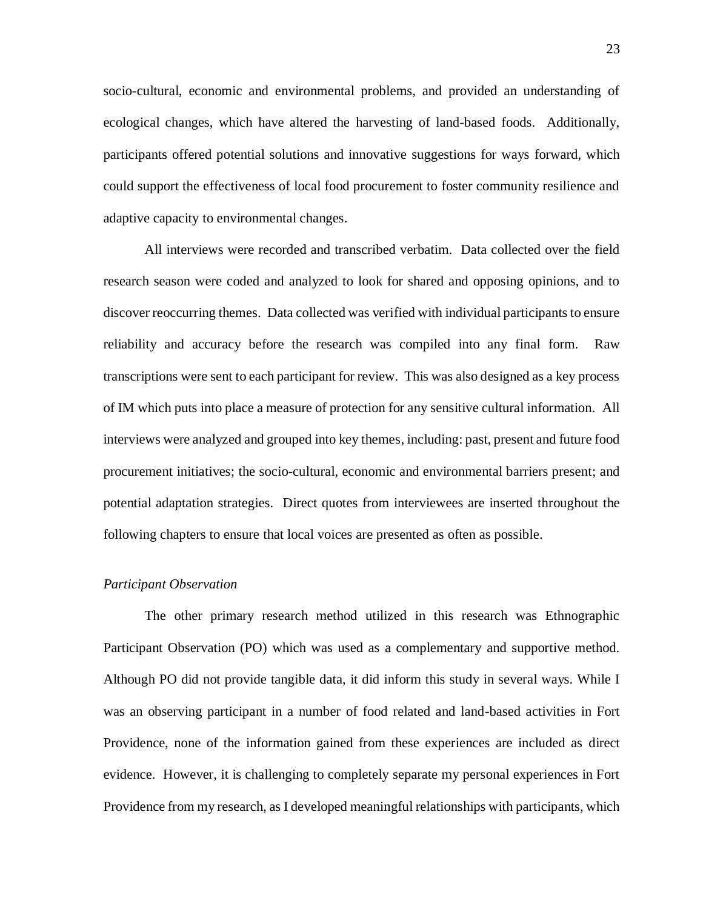socio-cultural, economic and environmental problems, and provided an understanding of ecological changes, which have altered the harvesting of land-based foods. Additionally, participants offered potential solutions and innovative suggestions for ways forward, which could support the effectiveness of local food procurement to foster community resilience and adaptive capacity to environmental changes.

All interviews were recorded and transcribed verbatim. Data collected over the field research season were coded and analyzed to look for shared and opposing opinions, and to discover reoccurring themes. Data collected was verified with individual participants to ensure reliability and accuracy before the research was compiled into any final form. Raw transcriptions were sent to each participant for review. This was also designed as a key process of IM which puts into place a measure of protection for any sensitive cultural information. All interviews were analyzed and grouped into key themes, including: past, present and future food procurement initiatives; the socio-cultural, economic and environmental barriers present; and potential adaptation strategies. Direct quotes from interviewees are inserted throughout the following chapters to ensure that local voices are presented as often as possible.

#### <span id="page-28-0"></span>*Participant Observation*

The other primary research method utilized in this research was Ethnographic Participant Observation (PO) which was used as a complementary and supportive method. Although PO did not provide tangible data, it did inform this study in several ways. While I was an observing participant in a number of food related and land-based activities in Fort Providence, none of the information gained from these experiences are included as direct evidence. However, it is challenging to completely separate my personal experiences in Fort Providence from my research, as I developed meaningful relationships with participants, which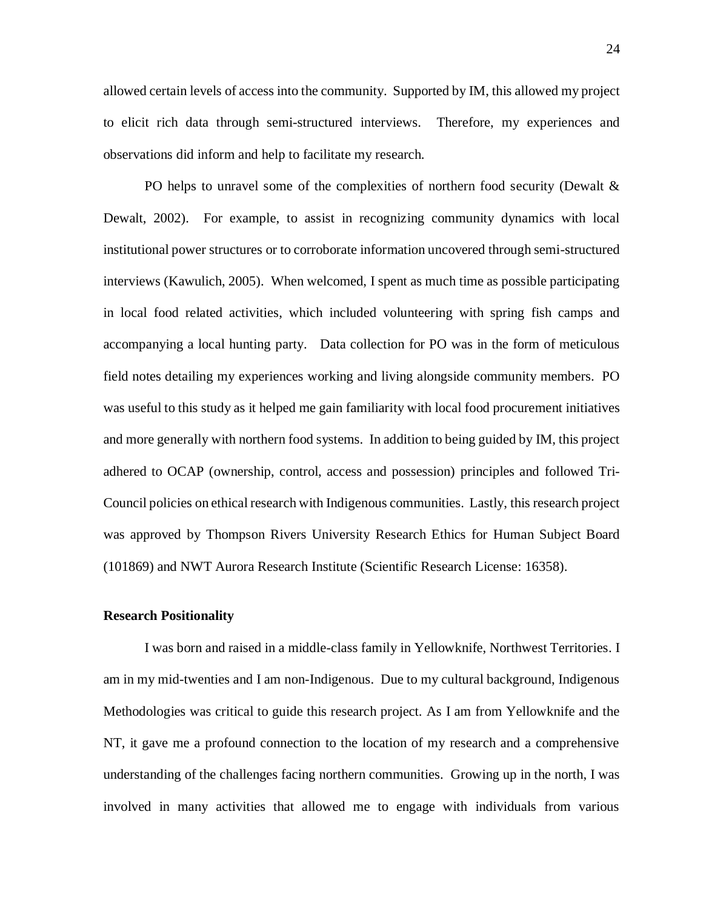allowed certain levels of access into the community. Supported by IM, this allowed my project to elicit rich data through semi-structured interviews. Therefore, my experiences and observations did inform and help to facilitate my research.

PO helps to unravel some of the complexities of northern food security (Dewalt & Dewalt, 2002). For example, to assist in recognizing community dynamics with local institutional power structures or to corroborate information uncovered through semi-structured interviews (Kawulich, 2005). When welcomed, I spent as much time as possible participating in local food related activities, which included volunteering with spring fish camps and accompanying a local hunting party. Data collection for PO was in the form of meticulous field notes detailing my experiences working and living alongside community members. PO was useful to this study as it helped me gain familiarity with local food procurement initiatives and more generally with northern food systems. In addition to being guided by IM, this project adhered to OCAP (ownership, control, access and possession) principles and followed Tri-Council policies on ethical research with Indigenous communities. Lastly, this research project was approved by Thompson Rivers University Research Ethics for Human Subject Board (101869) and NWT Aurora Research Institute (Scientific Research License: 16358).

#### <span id="page-29-0"></span>**Research Positionality**

I was born and raised in a middle-class family in Yellowknife, Northwest Territories. I am in my mid-twenties and I am non-Indigenous. Due to my cultural background, Indigenous Methodologies was critical to guide this research project. As I am from Yellowknife and the NT, it gave me a profound connection to the location of my research and a comprehensive understanding of the challenges facing northern communities. Growing up in the north, I was involved in many activities that allowed me to engage with individuals from various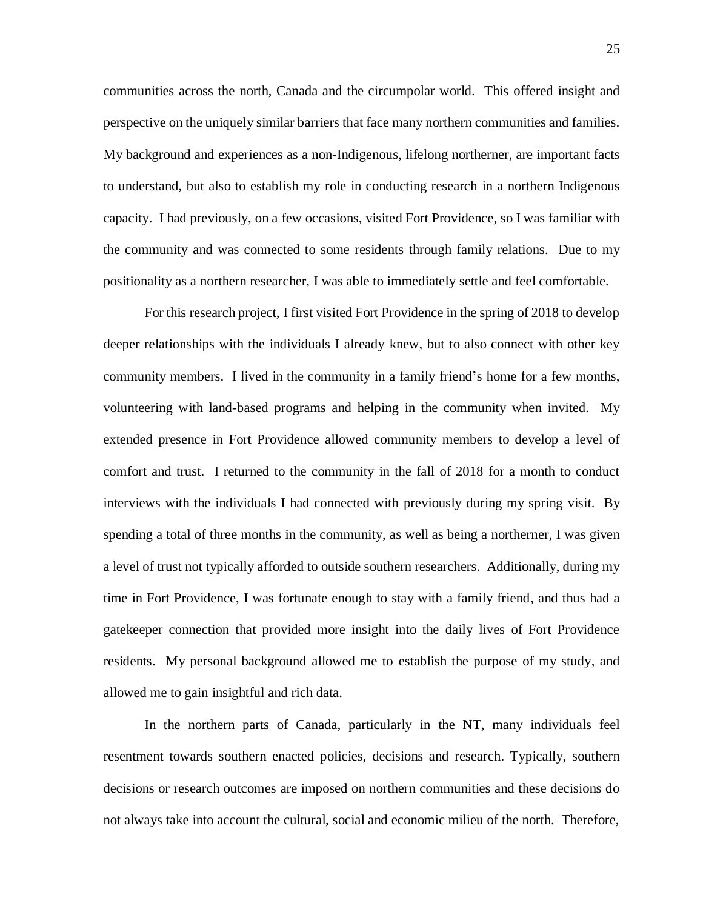communities across the north, Canada and the circumpolar world. This offered insight and perspective on the uniquely similar barriers that face many northern communities and families. My background and experiences as a non-Indigenous, lifelong northerner, are important facts to understand, but also to establish my role in conducting research in a northern Indigenous capacity. I had previously, on a few occasions, visited Fort Providence, so I was familiar with the community and was connected to some residents through family relations. Due to my positionality as a northern researcher, I was able to immediately settle and feel comfortable.

For this research project, I first visited Fort Providence in the spring of 2018 to develop deeper relationships with the individuals I already knew, but to also connect with other key community members. I lived in the community in a family friend's home for a few months, volunteering with land-based programs and helping in the community when invited. My extended presence in Fort Providence allowed community members to develop a level of comfort and trust. I returned to the community in the fall of 2018 for a month to conduct interviews with the individuals I had connected with previously during my spring visit. By spending a total of three months in the community, as well as being a northerner, I was given a level of trust not typically afforded to outside southern researchers. Additionally, during my time in Fort Providence, I was fortunate enough to stay with a family friend, and thus had a gatekeeper connection that provided more insight into the daily lives of Fort Providence residents. My personal background allowed me to establish the purpose of my study, and allowed me to gain insightful and rich data.

In the northern parts of Canada, particularly in the NT, many individuals feel resentment towards southern enacted policies, decisions and research. Typically, southern decisions or research outcomes are imposed on northern communities and these decisions do not always take into account the cultural, social and economic milieu of the north. Therefore,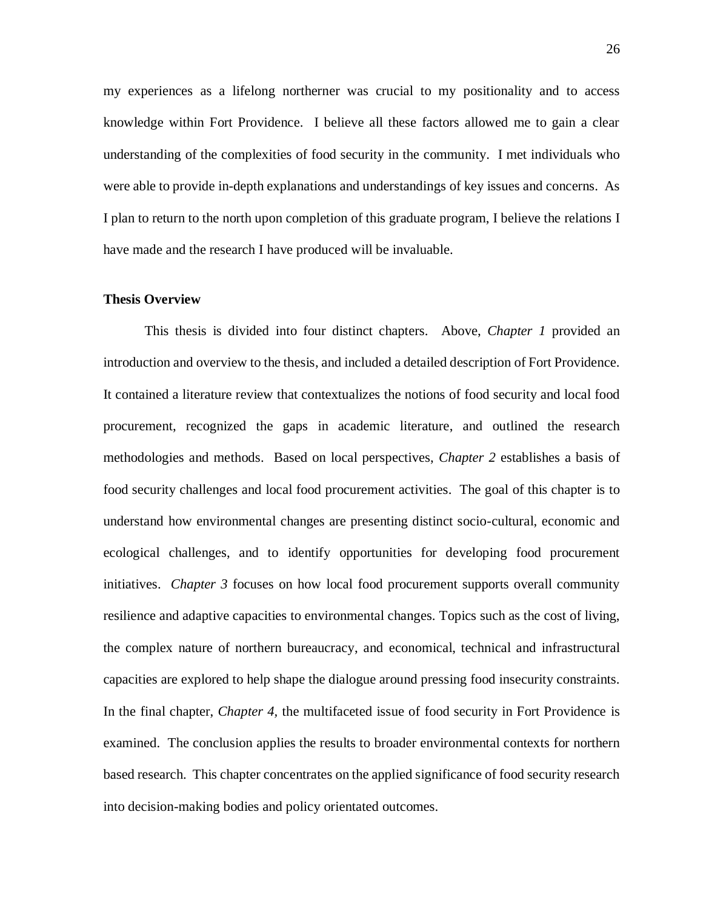my experiences as a lifelong northerner was crucial to my positionality and to access knowledge within Fort Providence. I believe all these factors allowed me to gain a clear understanding of the complexities of food security in the community. I met individuals who were able to provide in-depth explanations and understandings of key issues and concerns. As I plan to return to the north upon completion of this graduate program, I believe the relations I have made and the research I have produced will be invaluable.

### <span id="page-31-0"></span>**Thesis Overview**

This thesis is divided into four distinct chapters. Above, *Chapter 1* provided an introduction and overview to the thesis, and included a detailed description of Fort Providence. It contained a literature review that contextualizes the notions of food security and local food procurement, recognized the gaps in academic literature, and outlined the research methodologies and methods. Based on local perspectives, *Chapter 2* establishes a basis of food security challenges and local food procurement activities. The goal of this chapter is to understand how environmental changes are presenting distinct socio-cultural, economic and ecological challenges, and to identify opportunities for developing food procurement initiatives. *Chapter 3* focuses on how local food procurement supports overall community resilience and adaptive capacities to environmental changes. Topics such as the cost of living, the complex nature of northern bureaucracy, and economical, technical and infrastructural capacities are explored to help shape the dialogue around pressing food insecurity constraints. In the final chapter, *Chapter 4,* the multifaceted issue of food security in Fort Providence is examined. The conclusion applies the results to broader environmental contexts for northern based research. This chapter concentrates on the applied significance of food security research into decision-making bodies and policy orientated outcomes.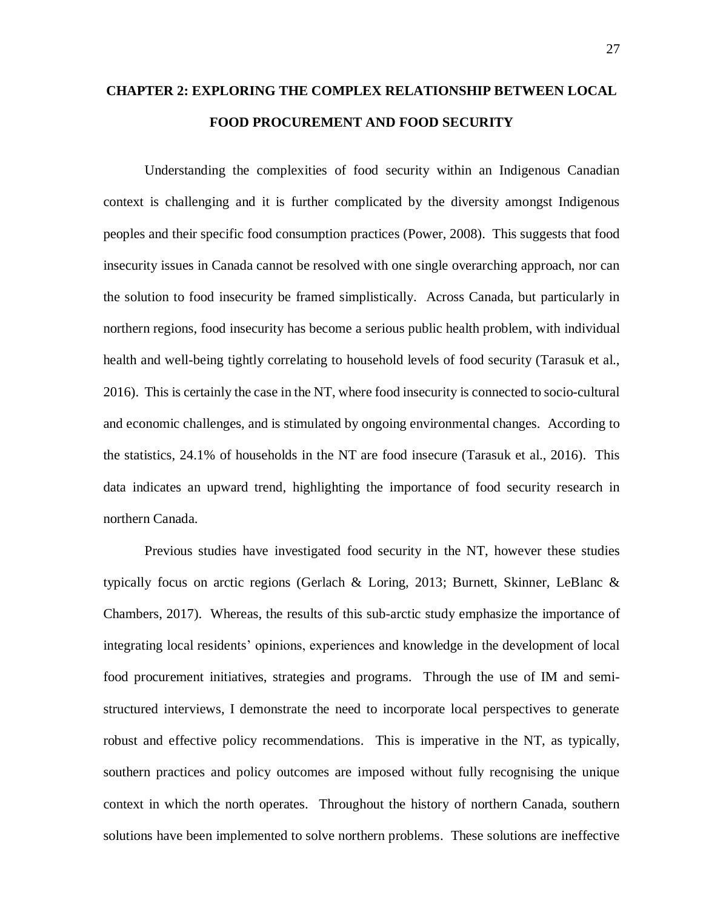# <span id="page-32-0"></span>**CHAPTER 2: EXPLORING THE COMPLEX RELATIONSHIP BETWEEN LOCAL FOOD PROCUREMENT AND FOOD SECURITY**

Understanding the complexities of food security within an Indigenous Canadian context is challenging and it is further complicated by the diversity amongst Indigenous peoples and their specific food consumption practices (Power, 2008). This suggests that food insecurity issues in Canada cannot be resolved with one single overarching approach, nor can the solution to food insecurity be framed simplistically.Across Canada, but particularly in northern regions, food insecurity has become a serious public health problem, with individual health and well-being tightly correlating to household levels of food security (Tarasuk et al., 2016). This is certainly the case in the NT, where food insecurity is connected to socio-cultural and economic challenges, and is stimulated by ongoing environmental changes. According to the statistics, 24.1% of households in the NT are food insecure (Tarasuk et al., 2016). This data indicates an upward trend, highlighting the importance of food security research in northern Canada.

Previous studies have investigated food security in the NT, however these studies typically focus on arctic regions (Gerlach & Loring, 2013; Burnett, Skinner, LeBlanc & Chambers, 2017). Whereas, the results of this sub-arctic study emphasize the importance of integrating local residents' opinions, experiences and knowledge in the development of local food procurement initiatives, strategies and programs. Through the use of IM and semistructured interviews, I demonstrate the need to incorporate local perspectives to generate robust and effective policy recommendations. This is imperative in the NT, as typically, southern practices and policy outcomes are imposed without fully recognising the unique context in which the north operates. Throughout the history of northern Canada, southern solutions have been implemented to solve northern problems. These solutions are ineffective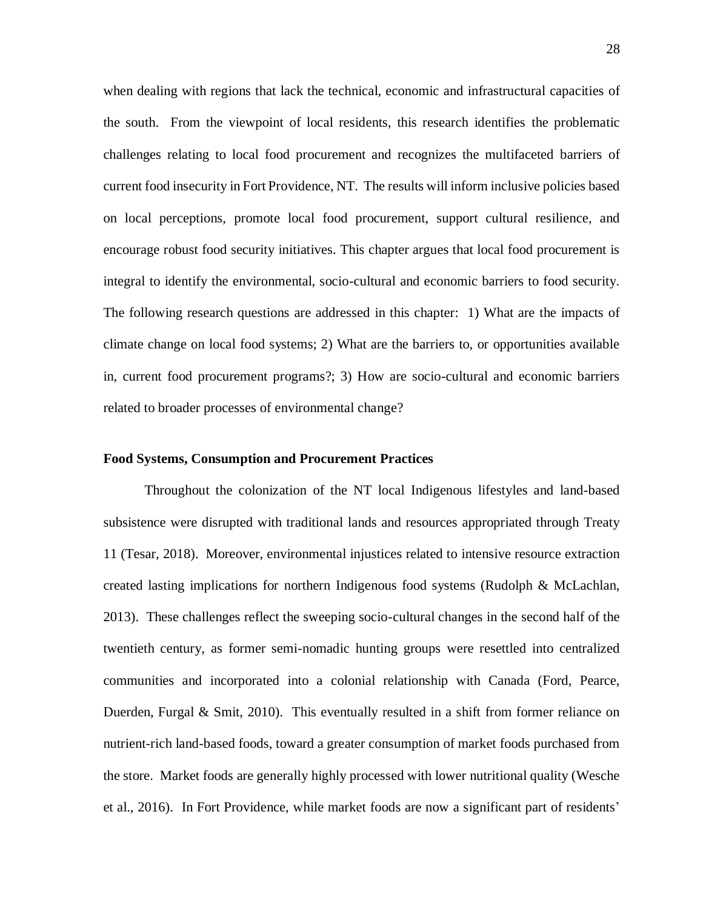when dealing with regions that lack the technical, economic and infrastructural capacities of the south. From the viewpoint of local residents, this research identifies the problematic challenges relating to local food procurement and recognizes the multifaceted barriers of current food insecurity in Fort Providence, NT. The results will inform inclusive policies based on local perceptions, promote local food procurement, support cultural resilience, and encourage robust food security initiatives. This chapter argues that local food procurement is integral to identify the environmental, socio-cultural and economic barriers to food security. The following research questions are addressed in this chapter: 1) What are the impacts of climate change on local food systems; 2) What are the barriers to, or opportunities available in, current food procurement programs?; 3) How are socio-cultural and economic barriers related to broader processes of environmental change?

#### <span id="page-33-0"></span>**Food Systems, Consumption and Procurement Practices**

Throughout the colonization of the NT local Indigenous lifestyles and land-based subsistence were disrupted with traditional lands and resources appropriated through Treaty 11 (Tesar, 2018). Moreover, environmental injustices related to intensive resource extraction created lasting implications for northern Indigenous food systems (Rudolph & McLachlan, 2013). These challenges reflect the sweeping socio-cultural changes in the second half of the twentieth century, as former semi-nomadic hunting groups were resettled into centralized communities and incorporated into a colonial relationship with Canada (Ford, Pearce, Duerden, Furgal & Smit, 2010). This eventually resulted in a shift from former reliance on nutrient-rich land-based foods, toward a greater consumption of market foods purchased from the store. Market foods are generally highly processed with lower nutritional quality (Wesche et al., 2016). In Fort Providence, while market foods are now a significant part of residents'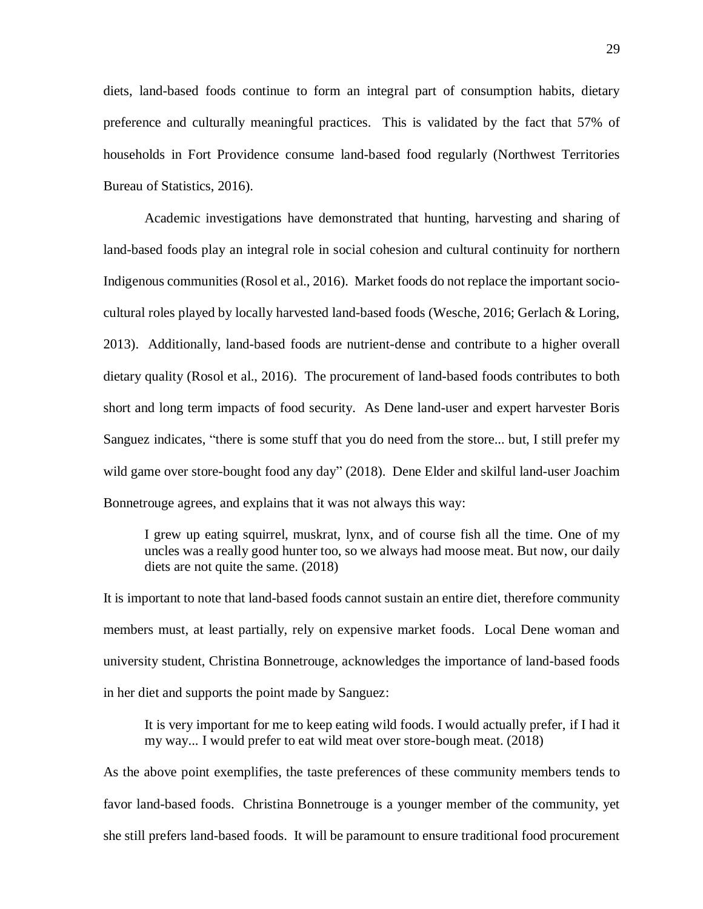diets, land-based foods continue to form an integral part of consumption habits, dietary preference and culturally meaningful practices. This is validated by the fact that 57% of households in Fort Providence consume land-based food regularly (Northwest Territories Bureau of Statistics, 2016).

Academic investigations have demonstrated that hunting, harvesting and sharing of land-based foods play an integral role in social cohesion and cultural continuity for northern Indigenous communities (Rosol et al., 2016). Market foods do not replace the important sociocultural roles played by locally harvested land-based foods (Wesche, 2016; Gerlach & Loring, 2013). Additionally, land-based foods are nutrient-dense and contribute to a higher overall dietary quality (Rosol et al., 2016). The procurement of land-based foods contributes to both short and long term impacts of food security. As Dene land-user and expert harvester Boris Sanguez indicates, "there is some stuff that you do need from the store... but, I still prefer my wild game over store-bought food any day" (2018). Dene Elder and skilful land-user Joachim Bonnetrouge agrees, and explains that it was not always this way:

I grew up eating squirrel, muskrat, lynx, and of course fish all the time. One of my uncles was a really good hunter too, so we always had moose meat. But now, our daily diets are not quite the same. (2018)

It is important to note that land-based foods cannot sustain an entire diet, therefore community members must, at least partially, rely on expensive market foods. Local Dene woman and university student, Christina Bonnetrouge, acknowledges the importance of land-based foods in her diet and supports the point made by Sanguez:

It is very important for me to keep eating wild foods. I would actually prefer, if I had it my way... I would prefer to eat wild meat over store-bough meat. (2018)

As the above point exemplifies, the taste preferences of these community members tends to favor land-based foods. Christina Bonnetrouge is a younger member of the community, yet she still prefers land-based foods. It will be paramount to ensure traditional food procurement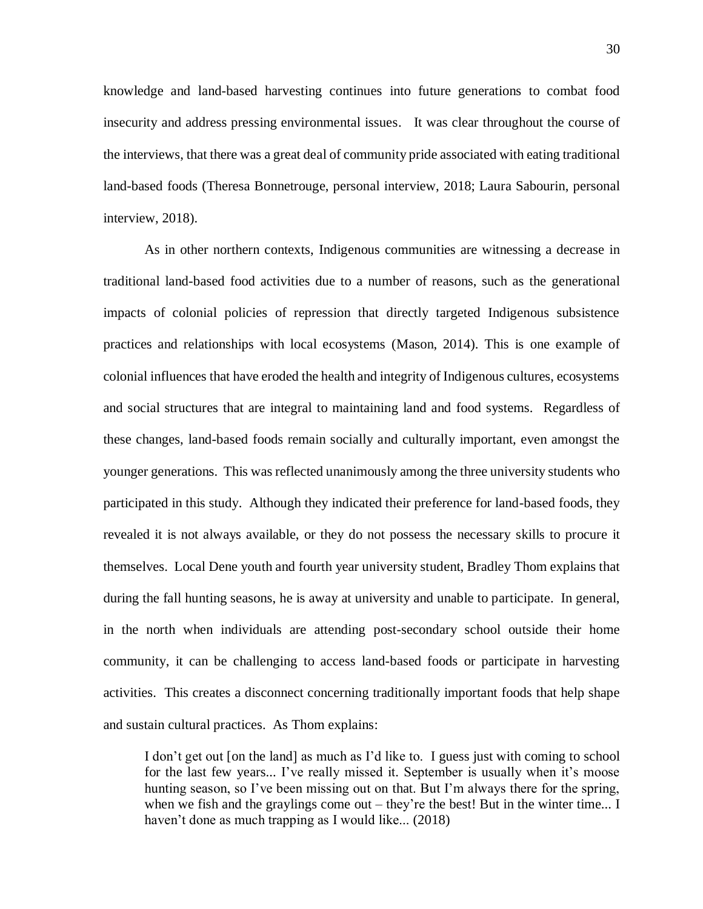knowledge and land-based harvesting continues into future generations to combat food insecurity and address pressing environmental issues. It was clear throughout the course of the interviews, that there was a great deal of community pride associated with eating traditional land-based foods (Theresa Bonnetrouge, personal interview, 2018; Laura Sabourin, personal interview, 2018).

As in other northern contexts, Indigenous communities are witnessing a decrease in traditional land-based food activities due to a number of reasons, such as the generational impacts of colonial policies of repression that directly targeted Indigenous subsistence practices and relationships with local ecosystems (Mason, 2014). This is one example of colonial influences that have eroded the health and integrity of Indigenous cultures, ecosystems and social structures that are integral to maintaining land and food systems. Regardless of these changes, land-based foods remain socially and culturally important, even amongst the younger generations. This was reflected unanimously among the three university students who participated in this study. Although they indicated their preference for land-based foods, they revealed it is not always available, or they do not possess the necessary skills to procure it themselves. Local Dene youth and fourth year university student, Bradley Thom explains that during the fall hunting seasons, he is away at university and unable to participate. In general, in the north when individuals are attending post-secondary school outside their home community, it can be challenging to access land-based foods or participate in harvesting activities. This creates a disconnect concerning traditionally important foods that help shape and sustain cultural practices. As Thom explains:

I don't get out [on the land] as much as I'd like to. I guess just with coming to school for the last few years... I've really missed it. September is usually when it's moose hunting season, so I've been missing out on that. But I'm always there for the spring, when we fish and the graylings come out – they're the best! But in the winter time... I haven't done as much trapping as I would like... (2018)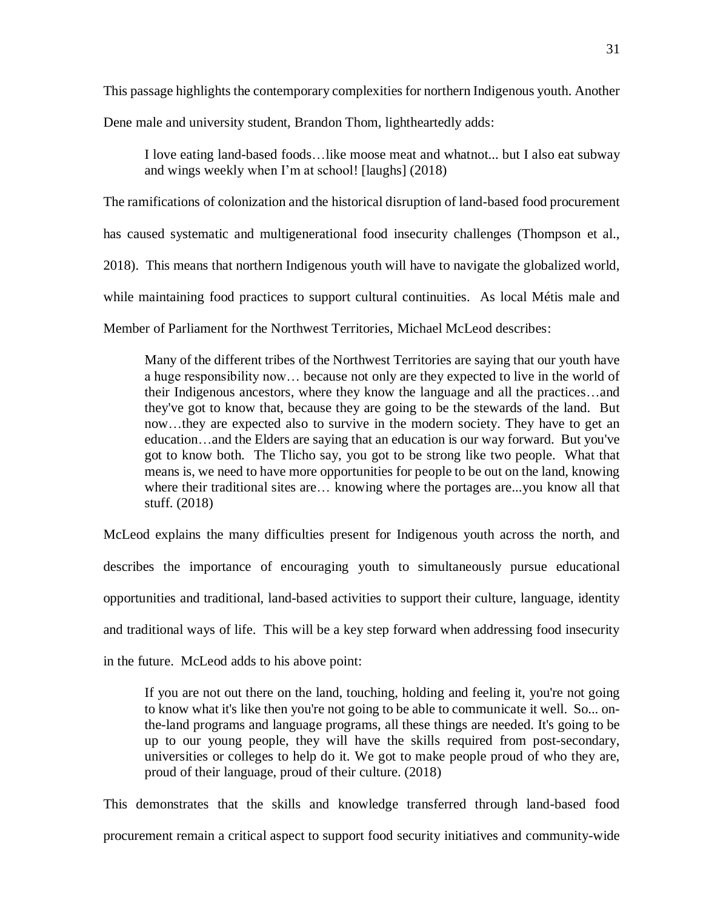This passage highlights the contemporary complexities for northern Indigenous youth. Another

Dene male and university student, Brandon Thom, lightheartedly adds:

I love eating land-based foods…like moose meat and whatnot... but I also eat subway and wings weekly when I'm at school! [laughs] (2018)

The ramifications of colonization and the historical disruption of land-based food procurement has caused systematic and multigenerational food insecurity challenges (Thompson et al., 2018). This means that northern Indigenous youth will have to navigate the globalized world, while maintaining food practices to support cultural continuities. As local Métis male and Member of Parliament for the Northwest Territories, Michael McLeod describes:

Many of the different tribes of the Northwest Territories are saying that our youth have a huge responsibility now… because not only are they expected to live in the world of their Indigenous ancestors, where they know the language and all the practices…and they've got to know that, because they are going to be the stewards of the land. But now…they are expected also to survive in the modern society. They have to get an education…and the Elders are saying that an education is our way forward. But you've got to know both. The Tlicho say, you got to be strong like two people. What that means is, we need to have more opportunities for people to be out on the land, knowing where their traditional sites are… knowing where the portages are...you know all that stuff. (2018)

McLeod explains the many difficulties present for Indigenous youth across the north, and describes the importance of encouraging youth to simultaneously pursue educational opportunities and traditional, land-based activities to support their culture, language, identity and traditional ways of life. This will be a key step forward when addressing food insecurity in the future. McLeod adds to his above point:

If you are not out there on the land, touching, holding and feeling it, you're not going to know what it's like then you're not going to be able to communicate it well. So... onthe-land programs and language programs, all these things are needed. It's going to be up to our young people, they will have the skills required from post-secondary, universities or colleges to help do it. We got to make people proud of who they are, proud of their language, proud of their culture. (2018)

This demonstrates that the skills and knowledge transferred through land-based food procurement remain a critical aspect to support food security initiatives and community-wide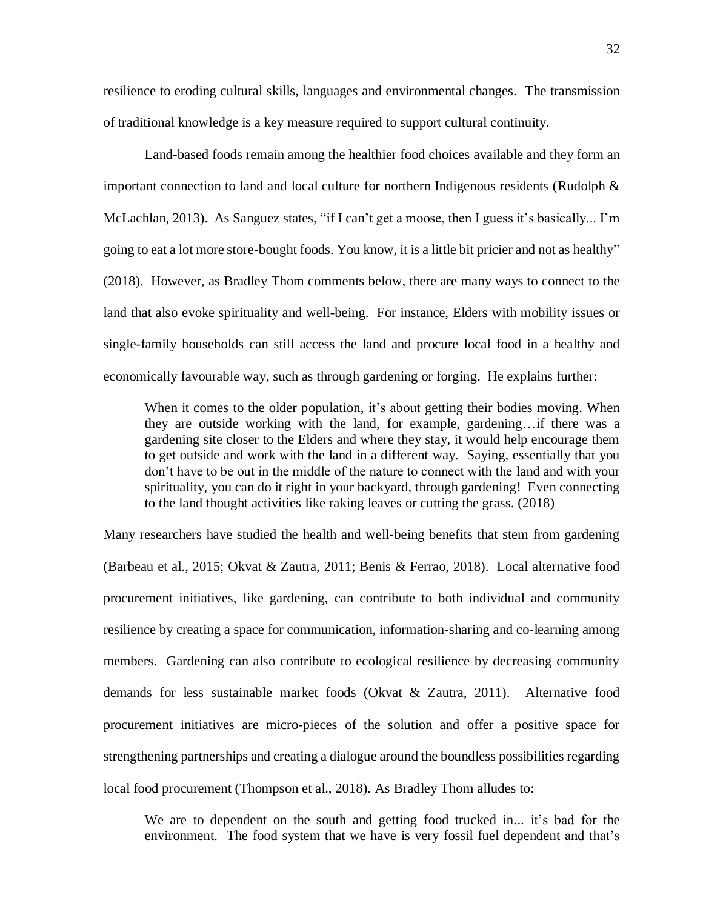resilience to eroding cultural skills, languages and environmental changes. The transmission of traditional knowledge is a key measure required to support cultural continuity.

Land-based foods remain among the healthier food choices available and they form an important connection to land and local culture for northern Indigenous residents (Rudolph & McLachlan, 2013). As Sanguez states, "if I can't get a moose, then I guess it's basically... I'm going to eat a lot more store-bought foods. You know, it is a little bit pricier and not as healthy" (2018). However, as Bradley Thom comments below, there are many ways to connect to the land that also evoke spirituality and well-being. For instance, Elders with mobility issues or single-family households can still access the land and procure local food in a healthy and economically favourable way, such as through gardening or forging. He explains further:

When it comes to the older population, it's about getting their bodies moving. When they are outside working with the land, for example, gardening…if there was a gardening site closer to the Elders and where they stay, it would help encourage them to get outside and work with the land in a different way. Saying, essentially that you don't have to be out in the middle of the nature to connect with the land and with your spirituality, you can do it right in your backyard, through gardening! Even connecting to the land thought activities like raking leaves or cutting the grass. (2018)

Many researchers have studied the health and well-being benefits that stem from gardening (Barbeau et al., 2015; Okvat & Zautra, 2011; Benis & Ferrao, 2018). Local alternative food procurement initiatives, like gardening, can contribute to both individual and community resilience by creating a space for communication, information-sharing and co-learning among members. Gardening can also contribute to ecological resilience by decreasing community demands for less sustainable market foods (Okvat & Zautra, 2011). Alternative food procurement initiatives are micro-pieces of the solution and offer a positive space for strengthening partnerships and creating a dialogue around the boundless possibilities regarding local food procurement (Thompson et al., 2018). As Bradley Thom alludes to:

We are to dependent on the south and getting food trucked in... it's bad for the environment. The food system that we have is very fossil fuel dependent and that's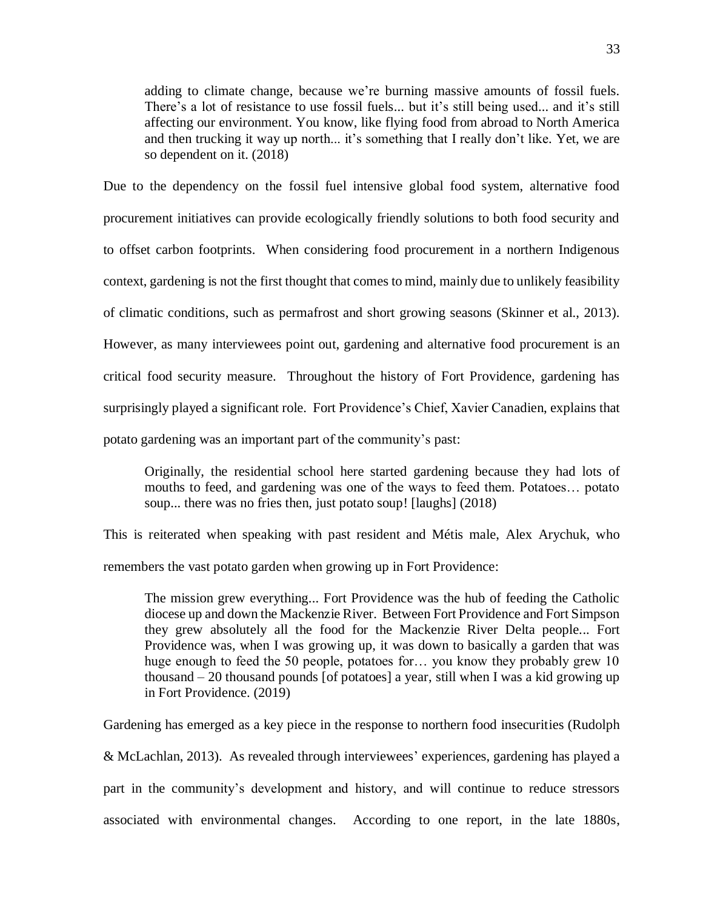adding to climate change, because we're burning massive amounts of fossil fuels. There's a lot of resistance to use fossil fuels... but it's still being used... and it's still affecting our environment. You know, like flying food from abroad to North America and then trucking it way up north... it's something that I really don't like. Yet, we are so dependent on it. (2018)

Due to the dependency on the fossil fuel intensive global food system, alternative food procurement initiatives can provide ecologically friendly solutions to both food security and to offset carbon footprints. When considering food procurement in a northern Indigenous context, gardening is not the first thought that comes to mind, mainly due to unlikely feasibility of climatic conditions, such as permafrost and short growing seasons (Skinner et al., 2013). However, as many interviewees point out, gardening and alternative food procurement is an critical food security measure. Throughout the history of Fort Providence, gardening has surprisingly played a significant role. Fort Providence's Chief, Xavier Canadien, explains that potato gardening was an important part of the community's past:

Originally, the residential school here started gardening because they had lots of mouths to feed, and gardening was one of the ways to feed them. Potatoes… potato soup... there was no fries then, just potato soup! [laughs] (2018)

This is reiterated when speaking with past resident and Métis male, Alex Arychuk, who remembers the vast potato garden when growing up in Fort Providence:

The mission grew everything... Fort Providence was the hub of feeding the Catholic diocese up and down the Mackenzie River. Between Fort Providence and Fort Simpson they grew absolutely all the food for the Mackenzie River Delta people... Fort Providence was, when I was growing up, it was down to basically a garden that was huge enough to feed the 50 people, potatoes for... you know they probably grew 10 thousand – 20 thousand pounds [of potatoes] a year, still when I was a kid growing up in Fort Providence. (2019)

Gardening has emerged as a key piece in the response to northern food insecurities (Rudolph & McLachlan, 2013). As revealed through interviewees' experiences, gardening has played a part in the community's development and history, and will continue to reduce stressors associated with environmental changes. According to one report, in the late 1880s,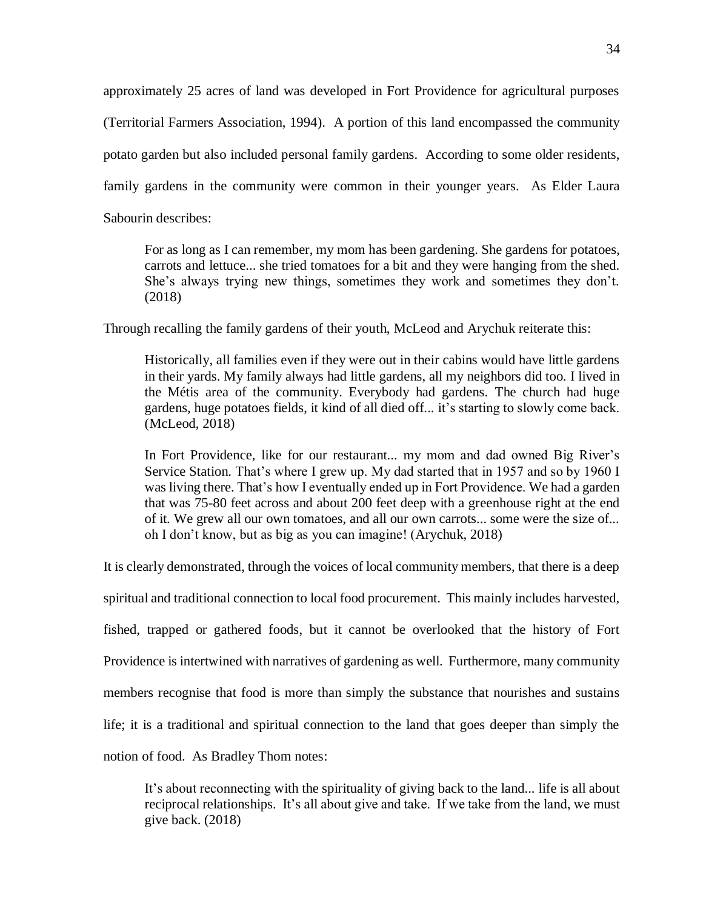approximately 25 acres of land was developed in Fort Providence for agricultural purposes (Territorial Farmers Association, 1994). A portion of this land encompassed the community potato garden but also included personal family gardens. According to some older residents, family gardens in the community were common in their younger years. As Elder Laura Sabourin describes:

For as long as I can remember, my mom has been gardening. She gardens for potatoes, carrots and lettuce... she tried tomatoes for a bit and they were hanging from the shed. She's always trying new things, sometimes they work and sometimes they don't. (2018)

Through recalling the family gardens of their youth, McLeod and Arychuk reiterate this:

Historically, all families even if they were out in their cabins would have little gardens in their yards. My family always had little gardens, all my neighbors did too. I lived in the Métis area of the community. Everybody had gardens. The church had huge gardens, huge potatoes fields, it kind of all died off... it's starting to slowly come back. (McLeod, 2018)

In Fort Providence, like for our restaurant... my mom and dad owned Big River's Service Station. That's where I grew up. My dad started that in 1957 and so by 1960 I was living there. That's how I eventually ended up in Fort Providence. We had a garden that was 75-80 feet across and about 200 feet deep with a greenhouse right at the end of it. We grew all our own tomatoes, and all our own carrots... some were the size of... oh I don't know, but as big as you can imagine! (Arychuk, 2018)

It is clearly demonstrated, through the voices of local community members, that there is a deep

spiritual and traditional connection to local food procurement. This mainly includes harvested,

fished, trapped or gathered foods, but it cannot be overlooked that the history of Fort

Providence is intertwined with narratives of gardening as well. Furthermore, many community

members recognise that food is more than simply the substance that nourishes and sustains

life; it is a traditional and spiritual connection to the land that goes deeper than simply the

notion of food. As Bradley Thom notes:

It's about reconnecting with the spirituality of giving back to the land... life is all about reciprocal relationships. It's all about give and take. If we take from the land, we must give back. (2018)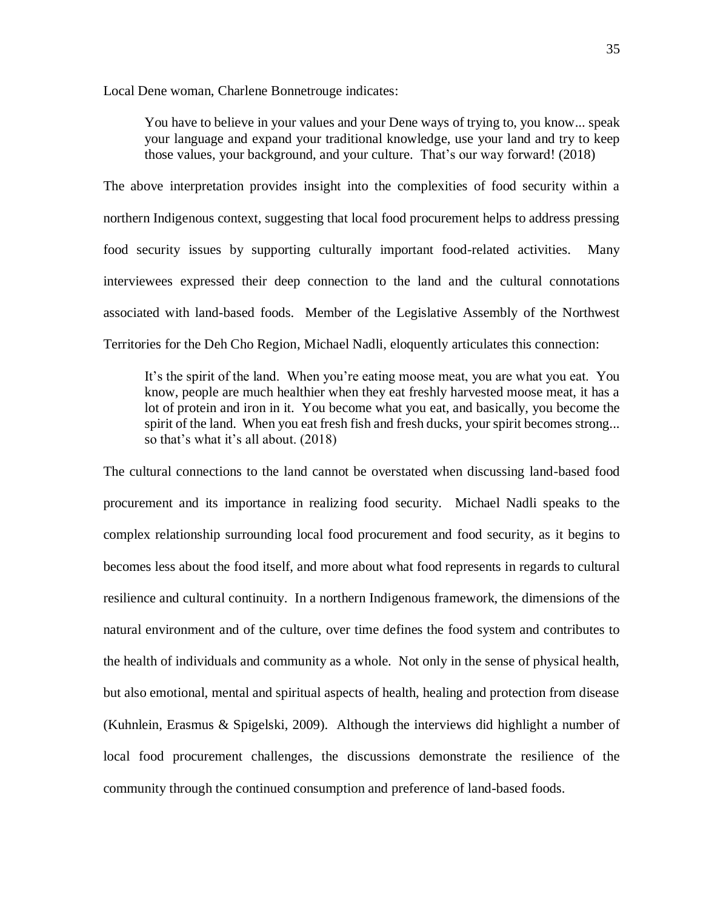Local Dene woman, Charlene Bonnetrouge indicates:

You have to believe in your values and your Dene ways of trying to, you know... speak your language and expand your traditional knowledge, use your land and try to keep those values, your background, and your culture. That's our way forward! (2018)

The above interpretation provides insight into the complexities of food security within a northern Indigenous context, suggesting that local food procurement helps to address pressing food security issues by supporting culturally important food-related activities. Many interviewees expressed their deep connection to the land and the cultural connotations associated with land-based foods. Member of the Legislative Assembly of the Northwest Territories for the Deh Cho Region, Michael Nadli, eloquently articulates this connection:

It's the spirit of the land. When you're eating moose meat, you are what you eat. You know, people are much healthier when they eat freshly harvested moose meat, it has a lot of protein and iron in it. You become what you eat, and basically, you become the spirit of the land. When you eat fresh fish and fresh ducks, your spirit becomes strong... so that's what it's all about. (2018)

The cultural connections to the land cannot be overstated when discussing land-based food procurement and its importance in realizing food security. Michael Nadli speaks to the complex relationship surrounding local food procurement and food security, as it begins to becomes less about the food itself, and more about what food represents in regards to cultural resilience and cultural continuity. In a northern Indigenous framework, the dimensions of the natural environment and of the culture, over time defines the food system and contributes to the health of individuals and community as a whole. Not only in the sense of physical health, but also emotional, mental and spiritual aspects of health, healing and protection from disease (Kuhnlein, Erasmus & Spigelski, 2009). Although the interviews did highlight a number of local food procurement challenges, the discussions demonstrate the resilience of the community through the continued consumption and preference of land-based foods.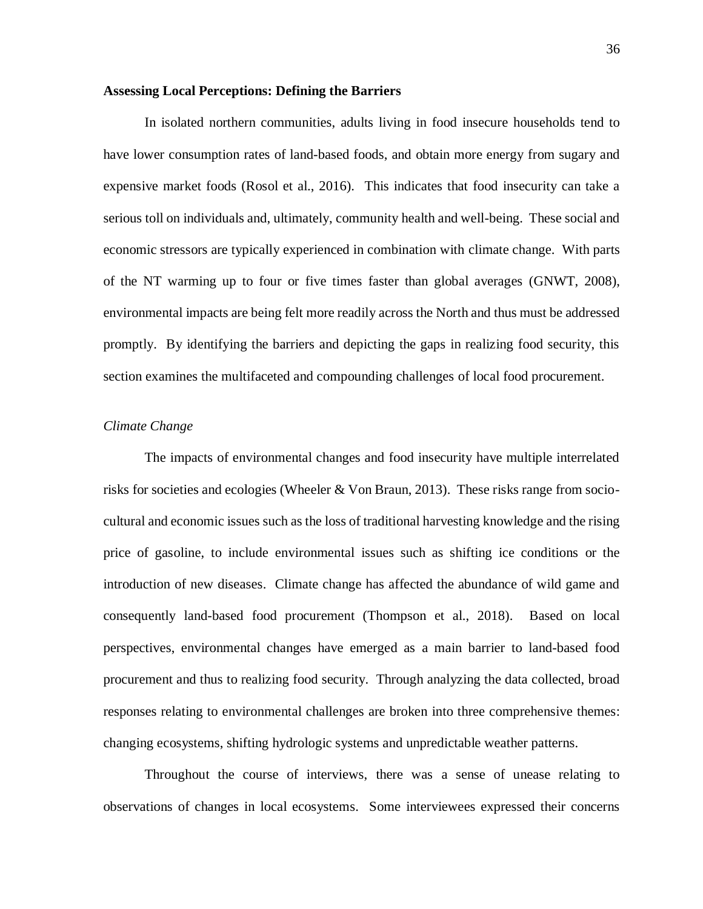## **Assessing Local Perceptions: Defining the Barriers**

In isolated northern communities, adults living in food insecure households tend to have lower consumption rates of land-based foods, and obtain more energy from sugary and expensive market foods (Rosol et al., 2016). This indicates that food insecurity can take a serious toll on individuals and, ultimately, community health and well-being. These social and economic stressors are typically experienced in combination with climate change. With parts of the NT warming up to four or five times faster than global averages (GNWT, 2008), environmental impacts are being felt more readily across the North and thus must be addressed promptly. By identifying the barriers and depicting the gaps in realizing food security, this section examines the multifaceted and compounding challenges of local food procurement.

### *Climate Change*

The impacts of environmental changes and food insecurity have multiple interrelated risks for societies and ecologies (Wheeler & Von Braun, 2013). These risks range from sociocultural and economic issues such as the loss of traditional harvesting knowledge and the rising price of gasoline, to include environmental issues such as shifting ice conditions or the introduction of new diseases. Climate change has affected the abundance of wild game and consequently land-based food procurement (Thompson et al., 2018). Based on local perspectives, environmental changes have emerged as a main barrier to land-based food procurement and thus to realizing food security. Through analyzing the data collected, broad responses relating to environmental challenges are broken into three comprehensive themes: changing ecosystems, shifting hydrologic systems and unpredictable weather patterns.

Throughout the course of interviews, there was a sense of unease relating to observations of changes in local ecosystems. Some interviewees expressed their concerns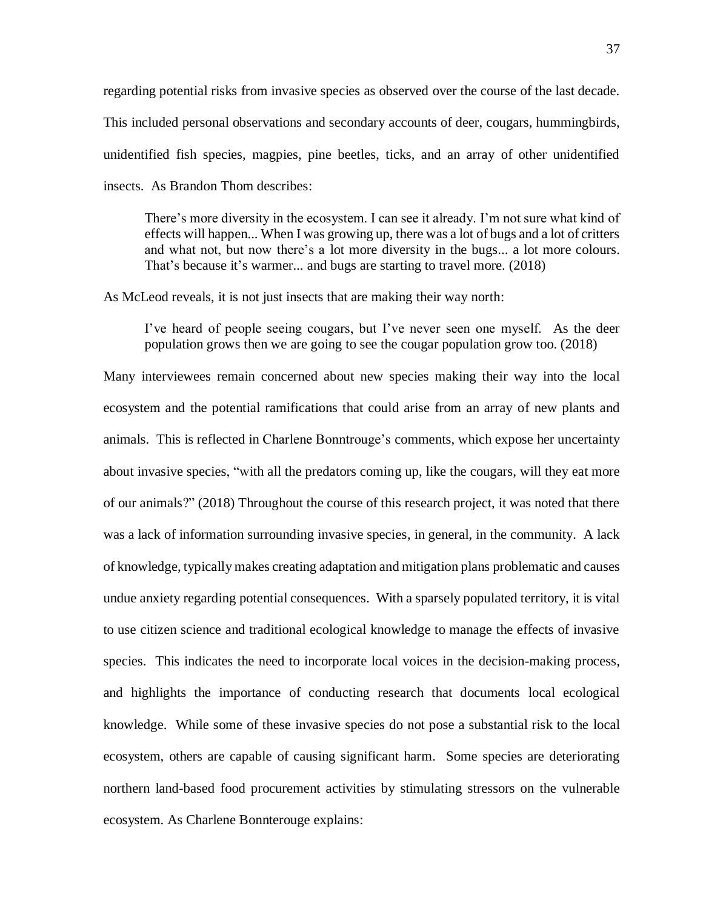regarding potential risks from invasive species as observed over the course of the last decade. This included personal observations and secondary accounts of deer, cougars, hummingbirds, unidentified fish species, magpies, pine beetles, ticks, and an array of other unidentified insects. As Brandon Thom describes:

There's more diversity in the ecosystem. I can see it already. I'm not sure what kind of effects will happen... When I was growing up, there was a lot of bugs and a lot of critters and what not, but now there's a lot more diversity in the bugs... a lot more colours. That's because it's warmer... and bugs are starting to travel more. (2018)

As McLeod reveals, it is not just insects that are making their way north:

I've heard of people seeing cougars, but I've never seen one myself. As the deer population grows then we are going to see the cougar population grow too. (2018)

Many interviewees remain concerned about new species making their way into the local ecosystem and the potential ramifications that could arise from an array of new plants and animals. This is reflected in Charlene Bonntrouge's comments, which expose her uncertainty about invasive species, "with all the predators coming up, like the cougars, will they eat more of our animals?" (2018) Throughout the course of this research project, it was noted that there was a lack of information surrounding invasive species, in general, in the community. A lack of knowledge, typically makes creating adaptation and mitigation plans problematic and causes undue anxiety regarding potential consequences. With a sparsely populated territory, it is vital to use citizen science and traditional ecological knowledge to manage the effects of invasive species. This indicates the need to incorporate local voices in the decision-making process, and highlights the importance of conducting research that documents local ecological knowledge. While some of these invasive species do not pose a substantial risk to the local ecosystem, others are capable of causing significant harm. Some species are deteriorating northern land-based food procurement activities by stimulating stressors on the vulnerable ecosystem. As Charlene Bonnterouge explains: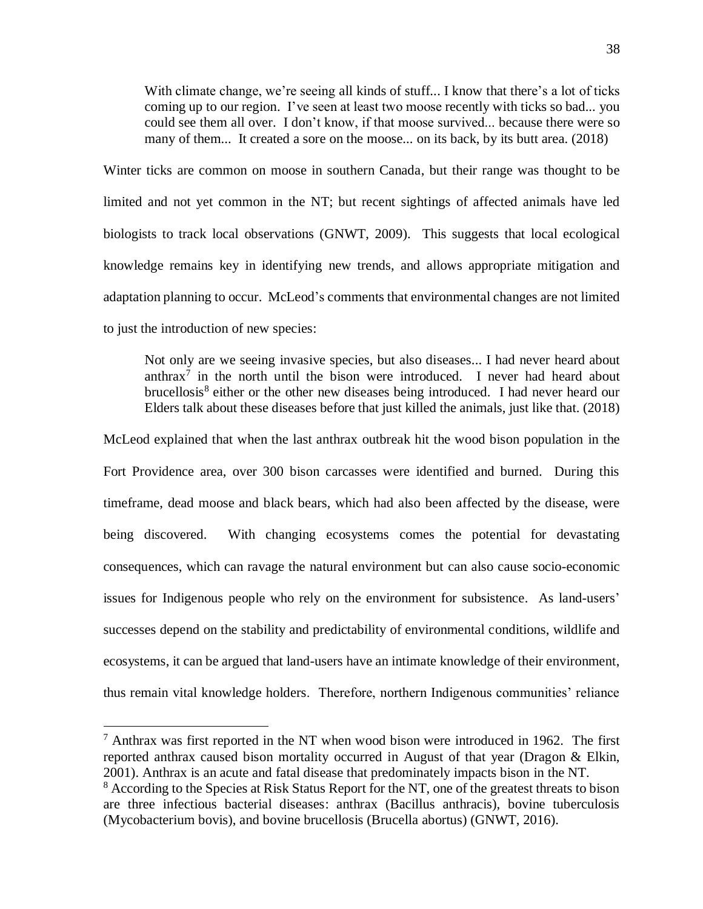With climate change, we're seeing all kinds of stuff... I know that there's a lot of ticks coming up to our region. I've seen at least two moose recently with ticks so bad... you could see them all over. I don't know, if that moose survived... because there were so many of them... It created a sore on the moose... on its back, by its butt area. (2018)

Winter ticks are common on moose in southern Canada, but their range was thought to be limited and not yet common in the NT; but recent sightings of affected animals have led biologists to track local observations (GNWT, 2009). This suggests that local ecological knowledge remains key in identifying new trends, and allows appropriate mitigation and adaptation planning to occur. McLeod's comments that environmental changes are not limited to just the introduction of new species:

Not only are we seeing invasive species, but also diseases... I had never heard about anthrax<sup>7</sup> in the north until the bison were introduced. I never had heard about brucellosis<sup>8</sup> either or the other new diseases being introduced. I had never heard our Elders talk about these diseases before that just killed the animals, just like that. (2018)

McLeod explained that when the last anthrax outbreak hit the wood bison population in the Fort Providence area, over 300 bison carcasses were identified and burned. During this timeframe, dead moose and black bears, which had also been affected by the disease, were being discovered. With changing ecosystems comes the potential for devastating consequences, which can ravage the natural environment but can also cause socio-economic issues for Indigenous people who rely on the environment for subsistence. As land-users' successes depend on the stability and predictability of environmental conditions, wildlife and ecosystems, it can be argued that land-users have an intimate knowledge of their environment, thus remain vital knowledge holders. Therefore, northern Indigenous communities' reliance

<sup>7</sup> Anthrax was first reported in the NT when wood bison were introduced in 1962. The first reported anthrax caused bison mortality occurred in August of that year (Dragon & Elkin, 2001). Anthrax is an acute and fatal disease that predominately impacts bison in the NT. <sup>8</sup> According to the Species at Risk Status Report for the NT, one of the greatest threats to bison are three infectious bacterial diseases: anthrax (Bacillus anthracis), bovine tuberculosis (Mycobacterium bovis), and bovine brucellosis (Brucella abortus) (GNWT, 2016).

 $\overline{a}$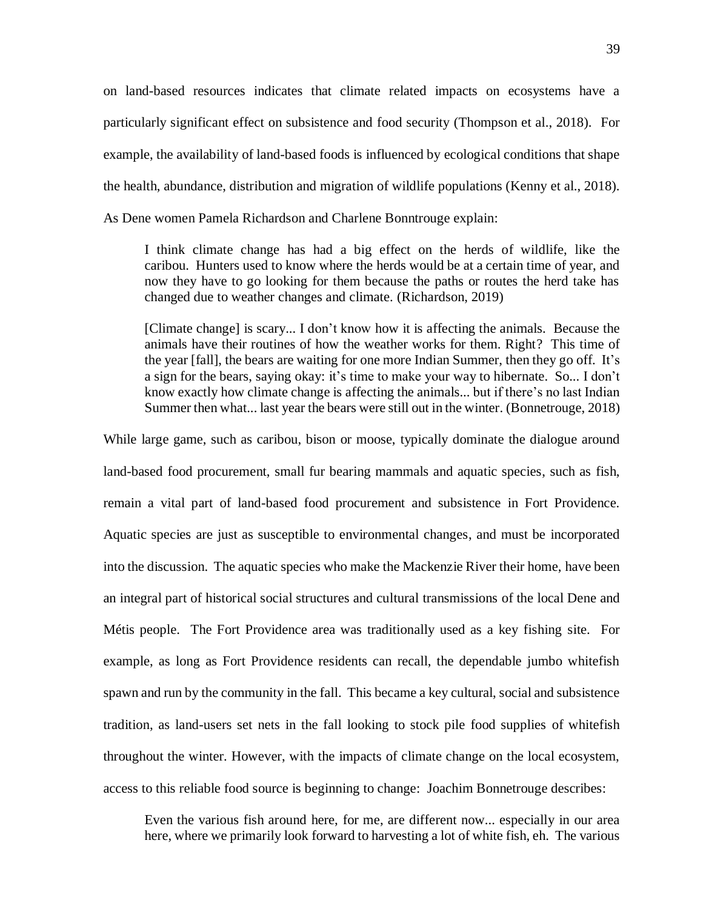on land-based resources indicates that climate related impacts on ecosystems have a particularly significant effect on subsistence and food security (Thompson et al., 2018). For example, the availability of land-based foods is influenced by ecological conditions that shape the health, abundance, distribution and migration of wildlife populations (Kenny et al., 2018). As Dene women Pamela Richardson and Charlene Bonntrouge explain:

I think climate change has had a big effect on the herds of wildlife, like the caribou. Hunters used to know where the herds would be at a certain time of year, and now they have to go looking for them because the paths or routes the herd take has changed due to weather changes and climate. (Richardson, 2019)

[Climate change] is scary... I don't know how it is affecting the animals. Because the animals have their routines of how the weather works for them. Right? This time of the year [fall], the bears are waiting for one more Indian Summer, then they go off. It's a sign for the bears, saying okay: it's time to make your way to hibernate. So... I don't know exactly how climate change is affecting the animals... but if there's no last Indian Summer then what... last year the bears were still out in the winter. (Bonnetrouge, 2018)

While large game, such as caribou, bison or moose, typically dominate the dialogue around land-based food procurement, small fur bearing mammals and aquatic species, such as fish, remain a vital part of land-based food procurement and subsistence in Fort Providence. Aquatic species are just as susceptible to environmental changes, and must be incorporated into the discussion. The aquatic species who make the Mackenzie River their home, have been an integral part of historical social structures and cultural transmissions of the local Dene and Métis people. The Fort Providence area was traditionally used as a key fishing site. For example, as long as Fort Providence residents can recall, the dependable jumbo whitefish spawn and run by the community in the fall. This became a key cultural, social and subsistence tradition, as land-users set nets in the fall looking to stock pile food supplies of whitefish throughout the winter. However, with the impacts of climate change on the local ecosystem, access to this reliable food source is beginning to change: Joachim Bonnetrouge describes:

Even the various fish around here, for me, are different now... especially in our area here, where we primarily look forward to harvesting a lot of white fish, eh. The various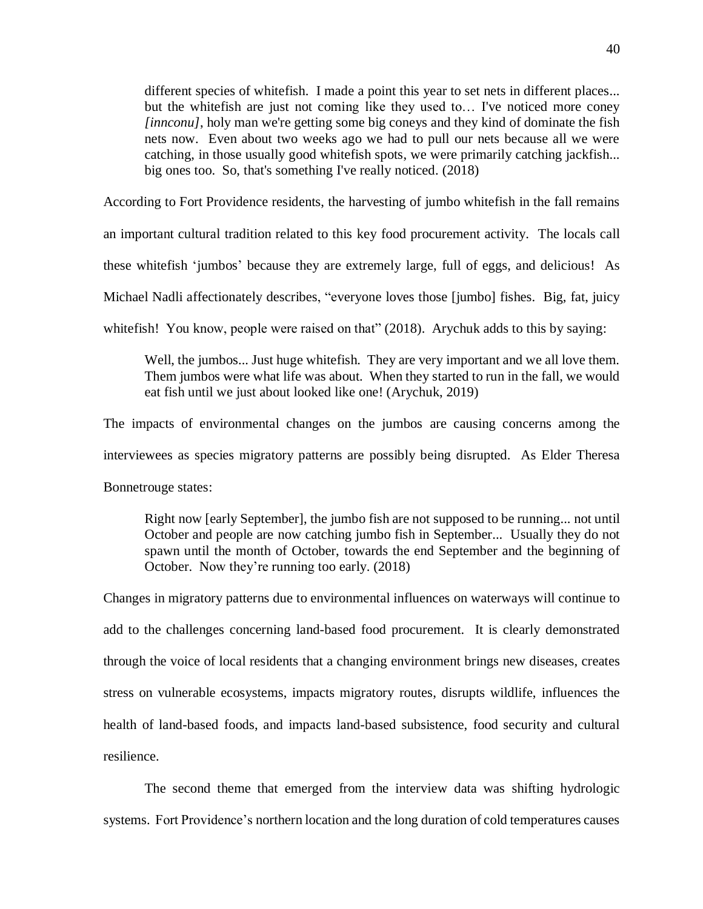different species of whitefish. I made a point this year to set nets in different places... but the whitefish are just not coming like they used to… I've noticed more coney *[innconu]*, holy man we're getting some big coneys and they kind of dominate the fish nets now. Even about two weeks ago we had to pull our nets because all we were catching, in those usually good whitefish spots, we were primarily catching jackfish... big ones too. So, that's something I've really noticed. (2018)

According to Fort Providence residents, the harvesting of jumbo whitefish in the fall remains

an important cultural tradition related to this key food procurement activity. The locals call

these whitefish 'jumbos' because they are extremely large, full of eggs, and delicious! As

Michael Nadli affectionately describes, "everyone loves those [jumbo] fishes. Big, fat, juicy

whitefish! You know, people were raised on that" (2018). Arychuk adds to this by saying:

Well, the jumbos... Just huge white fish. They are very important and we all love them. Them jumbos were what life was about. When they started to run in the fall, we would eat fish until we just about looked like one! (Arychuk, 2019)

The impacts of environmental changes on the jumbos are causing concerns among the interviewees as species migratory patterns are possibly being disrupted. As Elder Theresa Bonnetrouge states:

Right now [early September], the jumbo fish are not supposed to be running... not until October and people are now catching jumbo fish in September... Usually they do not spawn until the month of October, towards the end September and the beginning of October. Now they're running too early. (2018)

Changes in migratory patterns due to environmental influences on waterways will continue to add to the challenges concerning land-based food procurement. It is clearly demonstrated through the voice of local residents that a changing environment brings new diseases, creates stress on vulnerable ecosystems, impacts migratory routes, disrupts wildlife, influences the health of land-based foods, and impacts land-based subsistence, food security and cultural resilience.

The second theme that emerged from the interview data was shifting hydrologic systems. Fort Providence's northern location and the long duration of cold temperatures causes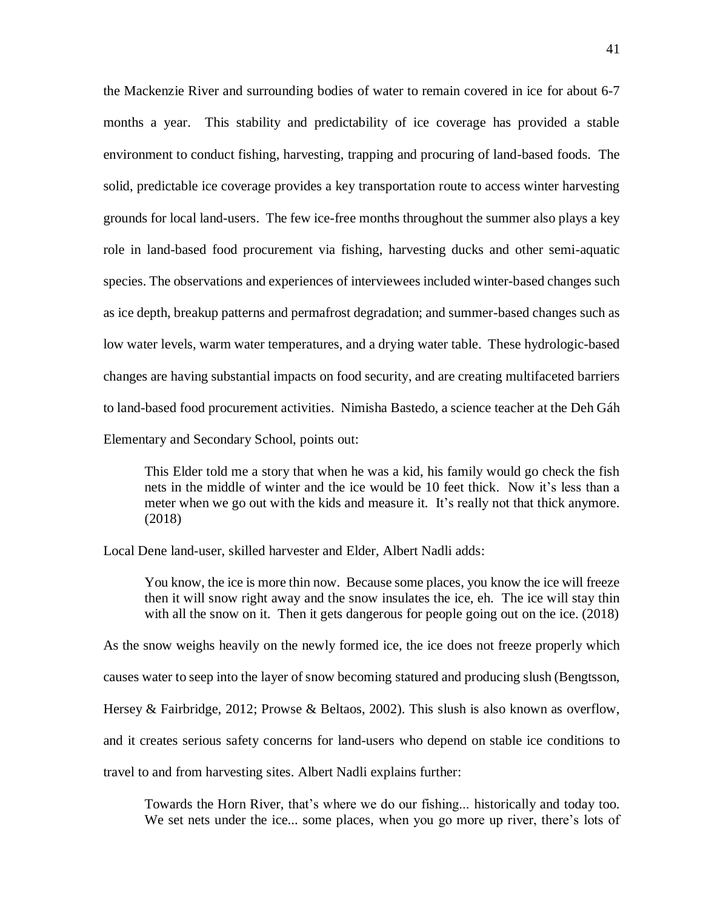the Mackenzie River and surrounding bodies of water to remain covered in ice for about 6-7 months a year. This stability and predictability of ice coverage has provided a stable environment to conduct fishing, harvesting, trapping and procuring of land-based foods. The solid, predictable ice coverage provides a key transportation route to access winter harvesting grounds for local land-users. The few ice-free months throughout the summer also plays a key role in land-based food procurement via fishing, harvesting ducks and other semi-aquatic species. The observations and experiences of interviewees included winter-based changes such as ice depth, breakup patterns and permafrost degradation; and summer-based changes such as low water levels, warm water temperatures, and a drying water table. These hydrologic-based changes are having substantial impacts on food security, and are creating multifaceted barriers to land-based food procurement activities. Nimisha Bastedo, a science teacher at the Deh Gáh Elementary and Secondary School, points out:

This Elder told me a story that when he was a kid, his family would go check the fish nets in the middle of winter and the ice would be 10 feet thick. Now it's less than a meter when we go out with the kids and measure it. It's really not that thick anymore. (2018)

Local Dene land-user, skilled harvester and Elder, Albert Nadli adds:

You know, the ice is more thin now. Because some places, you know the ice will freeze then it will snow right away and the snow insulates the ice, eh. The ice will stay thin with all the snow on it. Then it gets dangerous for people going out on the ice. (2018)

As the snow weighs heavily on the newly formed ice, the ice does not freeze properly which causes water to seep into the layer of snow becoming statured and producing slush (Bengtsson, Hersey & Fairbridge, 2012; Prowse & Beltaos, 2002). This slush is also known as overflow, and it creates serious safety concerns for land-users who depend on stable ice conditions to travel to and from harvesting sites. Albert Nadli explains further:

Towards the Horn River, that's where we do our fishing... historically and today too. We set nets under the ice... some places, when you go more up river, there's lots of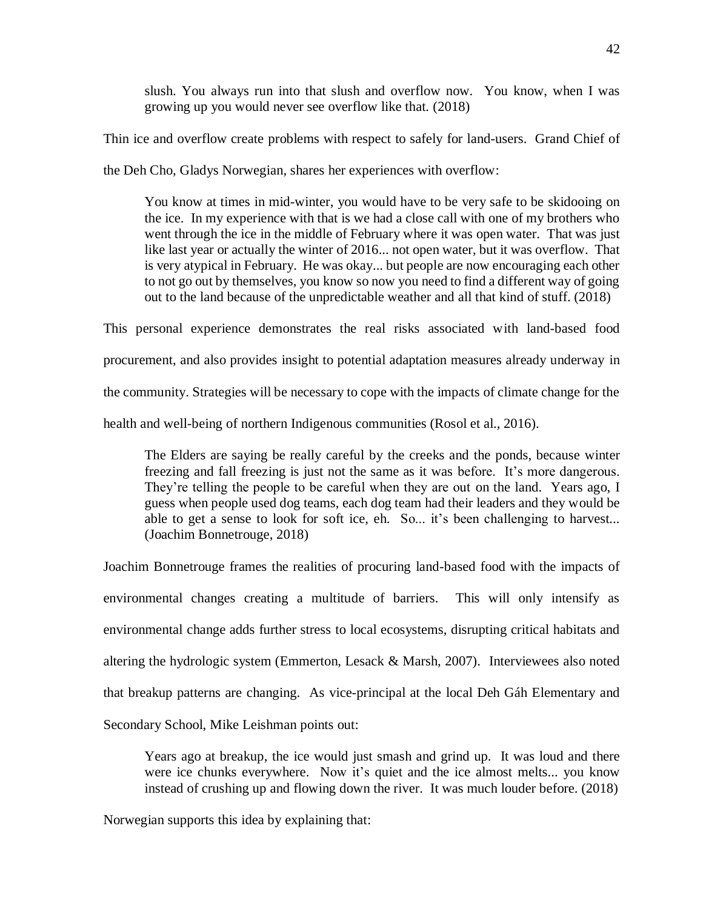slush. You always run into that slush and overflow now. You know, when I was growing up you would never see overflow like that. (2018)

Thin ice and overflow create problems with respect to safely for land-users. Grand Chief of

the Deh Cho, Gladys Norwegian, shares her experiences with overflow:

You know at times in mid-winter, you would have to be very safe to be skidooing on the ice. In my experience with that is we had a close call with one of my brothers who went through the ice in the middle of February where it was open water. That was just like last year or actually the winter of 2016... not open water, but it was overflow. That is very atypical in February. He was okay... but people are now encouraging each other to not go out by themselves, you know so now you need to find a different way of going out to the land because of the unpredictable weather and all that kind of stuff. (2018)

This personal experience demonstrates the real risks associated with land-based food procurement, and also provides insight to potential adaptation measures already underway in the community. Strategies will be necessary to cope with the impacts of climate change for the health and well-being of northern Indigenous communities (Rosol et al., 2016).

The Elders are saying be really careful by the creeks and the ponds, because winter freezing and fall freezing is just not the same as it was before. It's more dangerous. They're telling the people to be careful when they are out on the land. Years ago, I guess when people used dog teams, each dog team had their leaders and they would be able to get a sense to look for soft ice, eh. So... it's been challenging to harvest... (Joachim Bonnetrouge, 2018)

Joachim Bonnetrouge frames the realities of procuring land-based food with the impacts of environmental changes creating a multitude of barriers. This will only intensify as environmental change adds further stress to local ecosystems, disrupting critical habitats and altering the hydrologic system (Emmerton, Lesack & Marsh, 2007). Interviewees also noted that breakup patterns are changing. As vice-principal at the local Deh Gáh Elementary and Secondary School, Mike Leishman points out:

Years ago at breakup, the ice would just smash and grind up. It was loud and there were ice chunks everywhere. Now it's quiet and the ice almost melts... you know instead of crushing up and flowing down the river. It was much louder before. (2018)

Norwegian supports this idea by explaining that: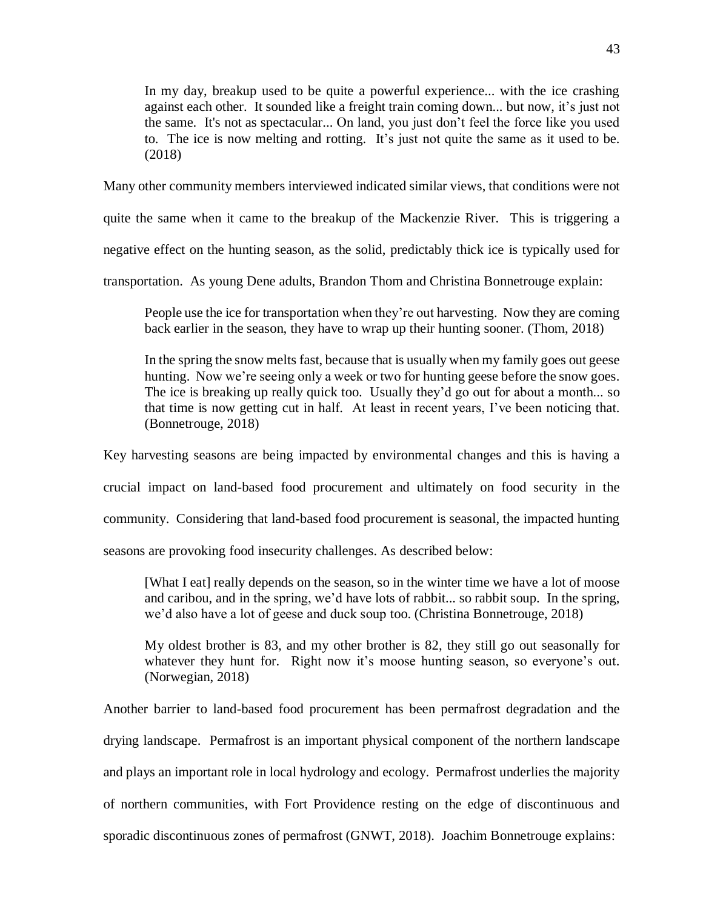In my day, breakup used to be quite a powerful experience... with the ice crashing against each other. It sounded like a freight train coming down... but now, it's just not the same. It's not as spectacular... On land, you just don't feel the force like you used to. The ice is now melting and rotting. It's just not quite the same as it used to be. (2018)

Many other community members interviewed indicated similar views, that conditions were not

quite the same when it came to the breakup of the Mackenzie River. This is triggering a

negative effect on the hunting season, as the solid, predictably thick ice is typically used for

transportation. As young Dene adults, Brandon Thom and Christina Bonnetrouge explain:

People use the ice for transportation when they're out harvesting. Now they are coming back earlier in the season, they have to wrap up their hunting sooner. (Thom, 2018)

In the spring the snow melts fast, because that is usually when my family goes out geese hunting. Now we're seeing only a week or two for hunting geese before the snow goes. The ice is breaking up really quick too. Usually they'd go out for about a month... so that time is now getting cut in half. At least in recent years, I've been noticing that. (Bonnetrouge, 2018)

Key harvesting seasons are being impacted by environmental changes and this is having a

crucial impact on land-based food procurement and ultimately on food security in the

community. Considering that land-based food procurement is seasonal, the impacted hunting

seasons are provoking food insecurity challenges. As described below:

[What I eat] really depends on the season, so in the winter time we have a lot of moose and caribou, and in the spring, we'd have lots of rabbit... so rabbit soup. In the spring, we'd also have a lot of geese and duck soup too. (Christina Bonnetrouge, 2018)

My oldest brother is 83, and my other brother is 82, they still go out seasonally for whatever they hunt for. Right now it's moose hunting season, so everyone's out. (Norwegian, 2018)

Another barrier to land-based food procurement has been permafrost degradation and the drying landscape. Permafrost is an important physical component of the northern landscape and plays an important role in local hydrology and ecology. Permafrost underlies the majority of northern communities, with Fort Providence resting on the edge of discontinuous and sporadic discontinuous zones of permafrost (GNWT, 2018). Joachim Bonnetrouge explains: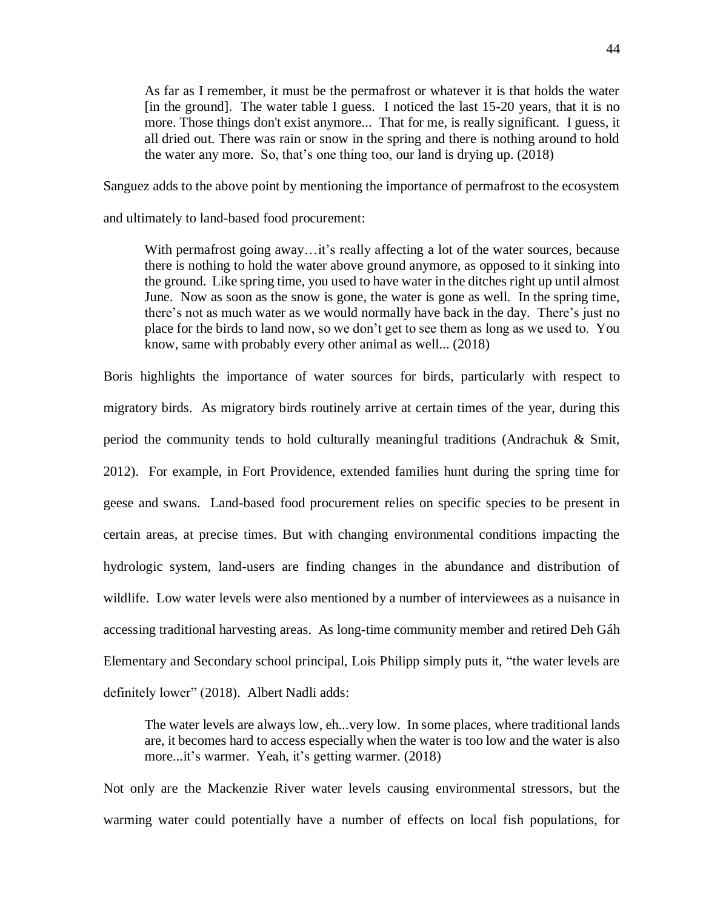As far as I remember, it must be the permafrost or whatever it is that holds the water [in the ground]. The water table I guess. I noticed the last 15-20 years, that it is no more. Those things don't exist anymore... That for me, is really significant. I guess, it all dried out. There was rain or snow in the spring and there is nothing around to hold the water any more. So, that's one thing too, our land is drying up. (2018)

Sanguez adds to the above point by mentioning the importance of permafrost to the ecosystem

and ultimately to land-based food procurement:

With permafrost going away...it's really affecting a lot of the water sources, because there is nothing to hold the water above ground anymore, as opposed to it sinking into the ground. Like spring time, you used to have water in the ditches right up until almost June. Now as soon as the snow is gone, the water is gone as well. In the spring time, there's not as much water as we would normally have back in the day. There's just no place for the birds to land now, so we don't get to see them as long as we used to. You know, same with probably every other animal as well... (2018)

Boris highlights the importance of water sources for birds, particularly with respect to migratory birds. As migratory birds routinely arrive at certain times of the year, during this period the community tends to hold culturally meaningful traditions (Andrachuk & Smit, 2012). For example, in Fort Providence, extended families hunt during the spring time for geese and swans. Land-based food procurement relies on specific species to be present in certain areas, at precise times. But with changing environmental conditions impacting the hydrologic system, land-users are finding changes in the abundance and distribution of wildlife. Low water levels were also mentioned by a number of interviewees as a nuisance in accessing traditional harvesting areas. As long-time community member and retired Deh Gáh Elementary and Secondary school principal, Lois Philipp simply puts it, "the water levels are definitely lower" (2018). Albert Nadli adds:

The water levels are always low, eh...very low. In some places, where traditional lands are, it becomes hard to access especially when the water is too low and the water is also more...it's warmer. Yeah, it's getting warmer. (2018)

Not only are the Mackenzie River water levels causing environmental stressors, but the warming water could potentially have a number of effects on local fish populations, for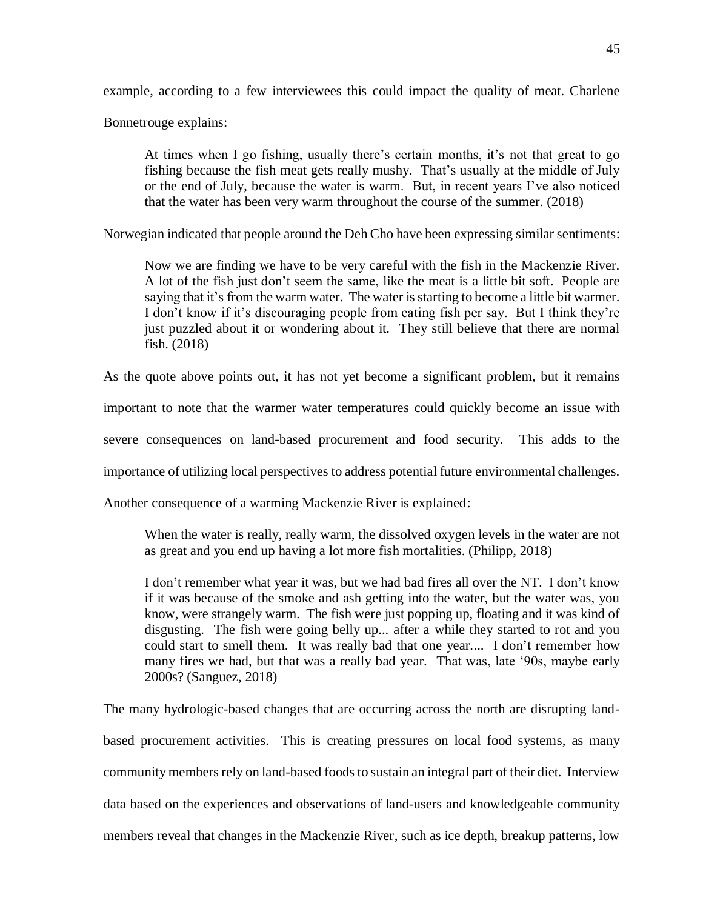example, according to a few interviewees this could impact the quality of meat. Charlene

Bonnetrouge explains:

At times when I go fishing, usually there's certain months, it's not that great to go fishing because the fish meat gets really mushy. That's usually at the middle of July or the end of July, because the water is warm. But, in recent years I've also noticed that the water has been very warm throughout the course of the summer. (2018)

Norwegian indicated that people around the Deh Cho have been expressing similar sentiments:

Now we are finding we have to be very careful with the fish in the Mackenzie River. A lot of the fish just don't seem the same, like the meat is a little bit soft. People are saying that it's from the warm water. The water is starting to become a little bit warmer. I don't know if it's discouraging people from eating fish per say. But I think they're just puzzled about it or wondering about it. They still believe that there are normal fish. (2018)

As the quote above points out, it has not yet become a significant problem, but it remains

important to note that the warmer water temperatures could quickly become an issue with

severe consequences on land-based procurement and food security. This adds to the

importance of utilizing local perspectives to address potential future environmental challenges.

Another consequence of a warming Mackenzie River is explained:

When the water is really, really warm, the dissolved oxygen levels in the water are not as great and you end up having a lot more fish mortalities. (Philipp, 2018)

I don't remember what year it was, but we had bad fires all over the NT. I don't know if it was because of the smoke and ash getting into the water, but the water was, you know, were strangely warm. The fish were just popping up, floating and it was kind of disgusting. The fish were going belly up... after a while they started to rot and you could start to smell them. It was really bad that one year.... I don't remember how many fires we had, but that was a really bad year. That was, late '90s, maybe early 2000s? (Sanguez, 2018)

The many hydrologic-based changes that are occurring across the north are disrupting landbased procurement activities. This is creating pressures on local food systems, as many community members rely on land-based foods to sustain an integral part of their diet. Interview data based on the experiences and observations of land-users and knowledgeable community members reveal that changes in the Mackenzie River, such as ice depth, breakup patterns, low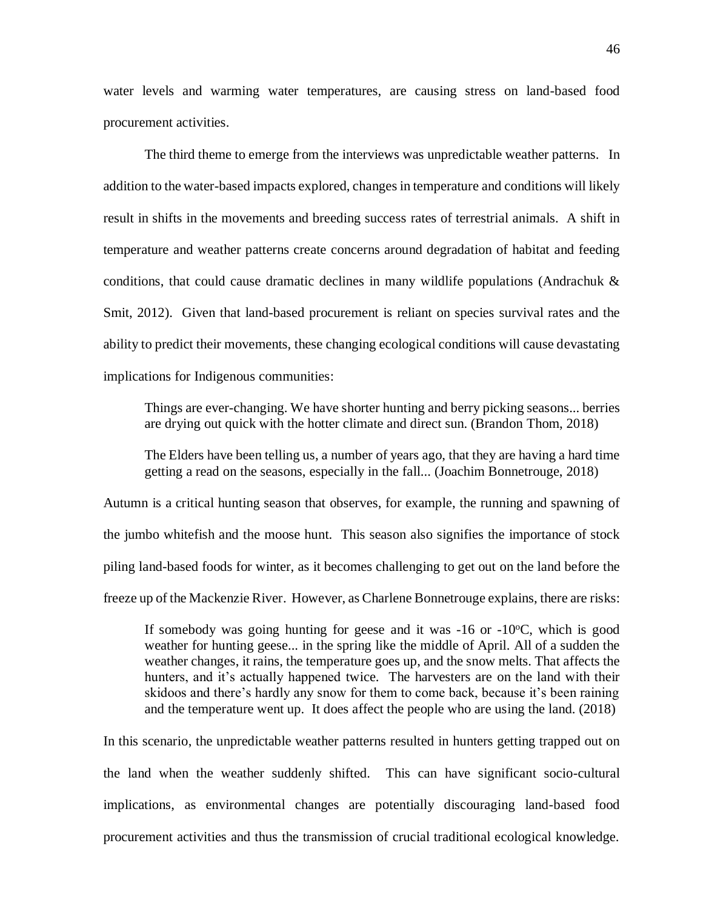water levels and warming water temperatures, are causing stress on land-based food procurement activities.

The third theme to emerge from the interviews was unpredictable weather patterns. In addition to the water-based impacts explored, changes in temperature and conditions will likely result in shifts in the movements and breeding success rates of terrestrial animals. A shift in temperature and weather patterns create concerns around degradation of habitat and feeding conditions, that could cause dramatic declines in many wildlife populations (Andrachuk  $\&$ Smit, 2012). Given that land-based procurement is reliant on species survival rates and the ability to predict their movements, these changing ecological conditions will cause devastating implications for Indigenous communities:

Things are ever-changing. We have shorter hunting and berry picking seasons... berries are drying out quick with the hotter climate and direct sun. (Brandon Thom, 2018)

The Elders have been telling us, a number of years ago, that they are having a hard time getting a read on the seasons, especially in the fall... (Joachim Bonnetrouge, 2018)

Autumn is a critical hunting season that observes, for example, the running and spawning of the jumbo whitefish and the moose hunt. This season also signifies the importance of stock piling land-based foods for winter, as it becomes challenging to get out on the land before the freeze up of the Mackenzie River. However, as Charlene Bonnetrouge explains, there are risks:

If somebody was going hunting for geese and it was  $-16$  or  $-10^{\circ}$ C, which is good weather for hunting geese... in the spring like the middle of April. All of a sudden the weather changes, it rains, the temperature goes up, and the snow melts. That affects the hunters, and it's actually happened twice. The harvesters are on the land with their skidoos and there's hardly any snow for them to come back, because it's been raining and the temperature went up. It does affect the people who are using the land. (2018)

In this scenario, the unpredictable weather patterns resulted in hunters getting trapped out on the land when the weather suddenly shifted. This can have significant socio-cultural implications, as environmental changes are potentially discouraging land-based food procurement activities and thus the transmission of crucial traditional ecological knowledge.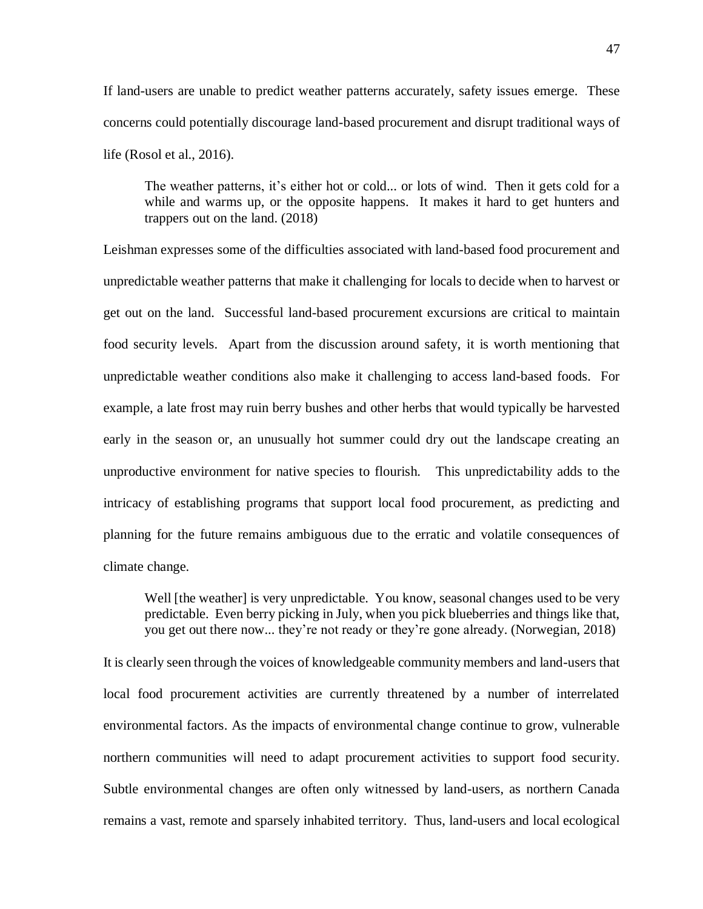If land-users are unable to predict weather patterns accurately, safety issues emerge. These concerns could potentially discourage land-based procurement and disrupt traditional ways of life (Rosol et al., 2016).

The weather patterns, it's either hot or cold... or lots of wind. Then it gets cold for a while and warms up, or the opposite happens. It makes it hard to get hunters and trappers out on the land. (2018)

Leishman expresses some of the difficulties associated with land-based food procurement and unpredictable weather patterns that make it challenging for locals to decide when to harvest or get out on the land. Successful land-based procurement excursions are critical to maintain food security levels. Apart from the discussion around safety, it is worth mentioning that unpredictable weather conditions also make it challenging to access land-based foods. For example, a late frost may ruin berry bushes and other herbs that would typically be harvested early in the season or, an unusually hot summer could dry out the landscape creating an unproductive environment for native species to flourish. This unpredictability adds to the intricacy of establishing programs that support local food procurement, as predicting and planning for the future remains ambiguous due to the erratic and volatile consequences of climate change.

Well [the weather] is very unpredictable. You know, seasonal changes used to be very predictable. Even berry picking in July, when you pick blueberries and things like that, you get out there now... they're not ready or they're gone already. (Norwegian, 2018)

It is clearly seen through the voices of knowledgeable community members and land-users that local food procurement activities are currently threatened by a number of interrelated environmental factors. As the impacts of environmental change continue to grow, vulnerable northern communities will need to adapt procurement activities to support food security. Subtle environmental changes are often only witnessed by land-users, as northern Canada remains a vast, remote and sparsely inhabited territory. Thus, land-users and local ecological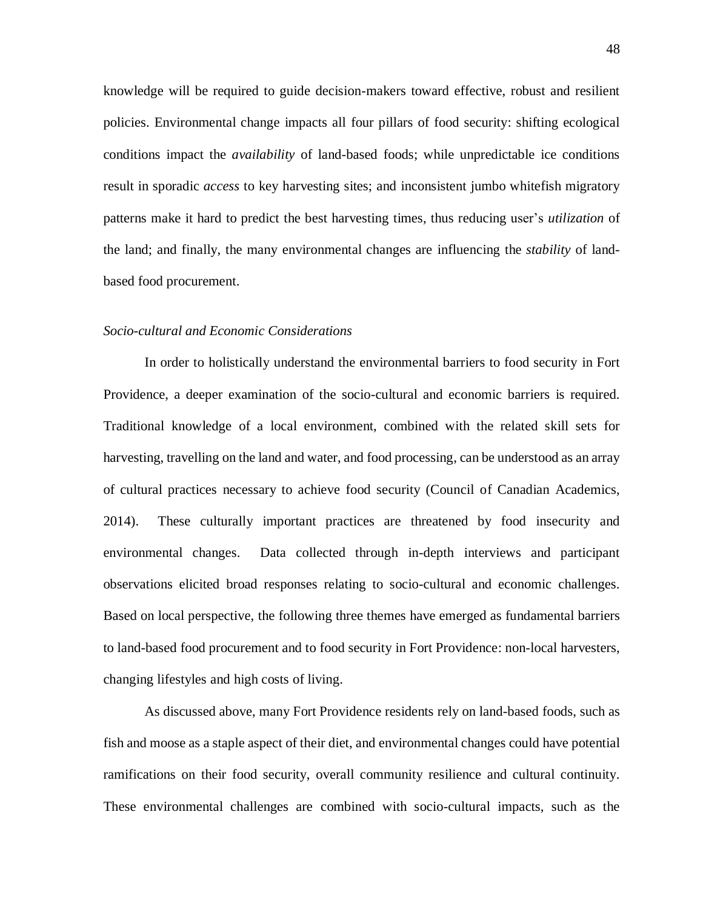knowledge will be required to guide decision-makers toward effective, robust and resilient policies. Environmental change impacts all four pillars of food security: shifting ecological conditions impact the *availability* of land-based foods; while unpredictable ice conditions result in sporadic *access* to key harvesting sites; and inconsistent jumbo whitefish migratory patterns make it hard to predict the best harvesting times, thus reducing user's *utilization* of the land; and finally, the many environmental changes are influencing the *stability* of landbased food procurement.

#### *Socio-cultural and Economic Considerations*

In order to holistically understand the environmental barriers to food security in Fort Providence, a deeper examination of the socio-cultural and economic barriers is required. Traditional knowledge of a local environment, combined with the related skill sets for harvesting, travelling on the land and water, and food processing, can be understood as an array of cultural practices necessary to achieve food security (Council of Canadian Academics, 2014). These culturally important practices are threatened by food insecurity and environmental changes. Data collected through in-depth interviews and participant observations elicited broad responses relating to socio-cultural and economic challenges. Based on local perspective, the following three themes have emerged as fundamental barriers to land-based food procurement and to food security in Fort Providence: non-local harvesters, changing lifestyles and high costs of living.

As discussed above, many Fort Providence residents rely on land-based foods, such as fish and moose as a staple aspect of their diet, and environmental changes could have potential ramifications on their food security, overall community resilience and cultural continuity. These environmental challenges are combined with socio-cultural impacts, such as the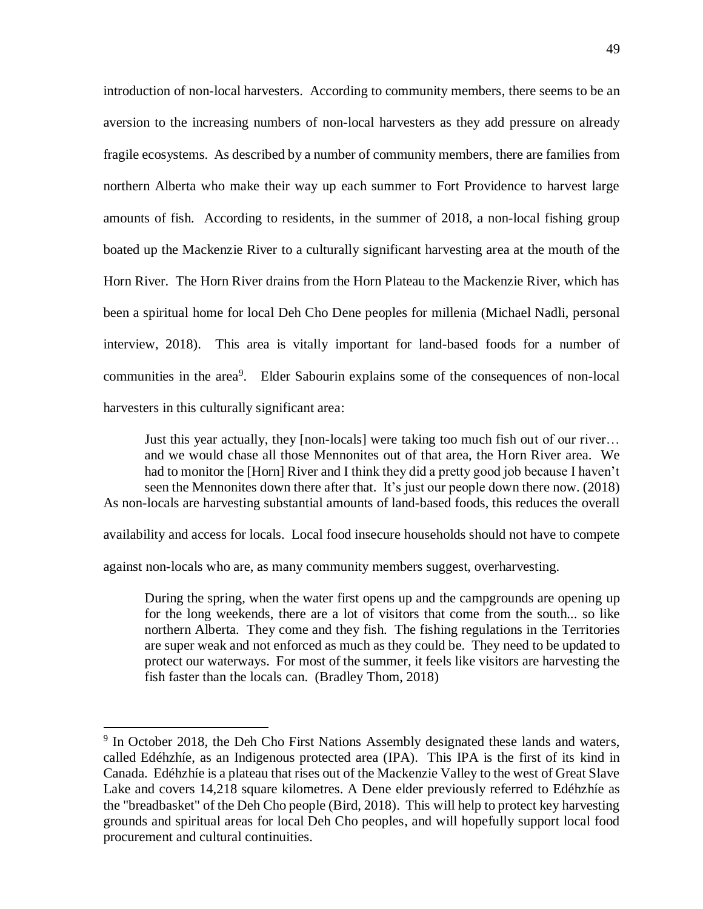introduction of non-local harvesters. According to community members, there seems to be an aversion to the increasing numbers of non-local harvesters as they add pressure on already fragile ecosystems. As described by a number of community members, there are families from northern Alberta who make their way up each summer to Fort Providence to harvest large amounts of fish. According to residents, in the summer of 2018, a non-local fishing group boated up the Mackenzie River to a culturally significant harvesting area at the mouth of the Horn River. The Horn River drains from the Horn Plateau to the Mackenzie River, which has been a spiritual home for local Deh Cho Dene peoples for millenia (Michael Nadli, personal interview, 2018). This area is vitally important for land-based foods for a number of communities in the area<sup>9</sup>. Elder Sabourin explains some of the consequences of non-local harvesters in this culturally significant area:

Just this year actually, they [non-locals] were taking too much fish out of our river… and we would chase all those Mennonites out of that area, the Horn River area. We had to monitor the [Horn] River and I think they did a pretty good job because I haven't seen the Mennonites down there after that. It's just our people down there now. (2018) As non-locals are harvesting substantial amounts of land-based foods, this reduces the overall

availability and access for locals. Local food insecure households should not have to compete

against non-locals who are, as many community members suggest, overharvesting.

 $\overline{a}$ 

During the spring, when the water first opens up and the campgrounds are opening up for the long weekends, there are a lot of visitors that come from the south... so like northern Alberta. They come and they fish. The fishing regulations in the Territories are super weak and not enforced as much as they could be. They need to be updated to protect our waterways. For most of the summer, it feels like visitors are harvesting the fish faster than the locals can. (Bradley Thom, 2018)

<sup>&</sup>lt;sup>9</sup> In October 2018, the Deh Cho First Nations Assembly designated these lands and waters, called Edéhzhíe, as an Indigenous protected area (IPA). This IPA is the first of its kind in Canada. Edéhzhíe is a plateau that rises out of the Mackenzie Valley to the west of Great Slave Lake and covers 14,218 square kilometres. A Dene elder previously referred to Edéhzhíe as the "breadbasket" of the Deh Cho people (Bird, 2018). This will help to protect key harvesting grounds and spiritual areas for local Deh Cho peoples, and will hopefully support local food procurement and cultural continuities.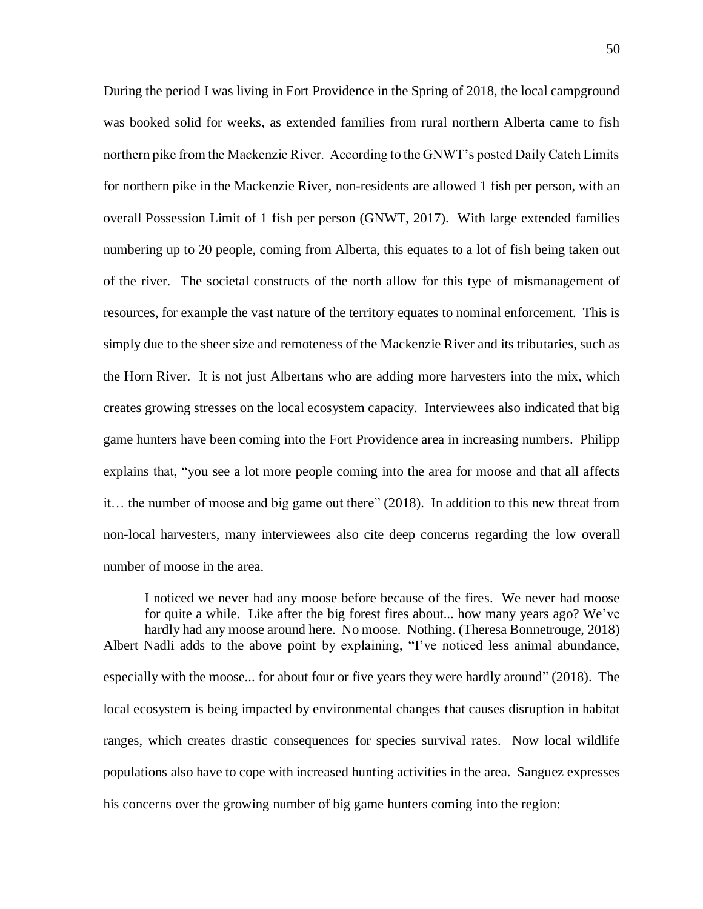During the period I was living in Fort Providence in the Spring of 2018, the local campground was booked solid for weeks, as extended families from rural northern Alberta came to fish northern pike from the Mackenzie River. According to the GNWT's posted Daily Catch Limits for northern pike in the Mackenzie River, non-residents are allowed 1 fish per person, with an overall Possession Limit of 1 fish per person (GNWT, 2017). With large extended families numbering up to 20 people, coming from Alberta, this equates to a lot of fish being taken out of the river. The societal constructs of the north allow for this type of mismanagement of resources, for example the vast nature of the territory equates to nominal enforcement. This is simply due to the sheer size and remoteness of the Mackenzie River and its tributaries, such as the Horn River. It is not just Albertans who are adding more harvesters into the mix, which creates growing stresses on the local ecosystem capacity. Interviewees also indicated that big game hunters have been coming into the Fort Providence area in increasing numbers. Philipp explains that, "you see a lot more people coming into the area for moose and that all affects it… the number of moose and big game out there" (2018). In addition to this new threat from non-local harvesters, many interviewees also cite deep concerns regarding the low overall number of moose in the area.

I noticed we never had any moose before because of the fires. We never had moose for quite a while. Like after the big forest fires about... how many years ago? We've hardly had any moose around here. No moose. Nothing. (Theresa Bonnetrouge, 2018) Albert Nadli adds to the above point by explaining, "I've noticed less animal abundance, especially with the moose... for about four or five years they were hardly around" (2018). The local ecosystem is being impacted by environmental changes that causes disruption in habitat ranges, which creates drastic consequences for species survival rates. Now local wildlife populations also have to cope with increased hunting activities in the area. Sanguez expresses his concerns over the growing number of big game hunters coming into the region: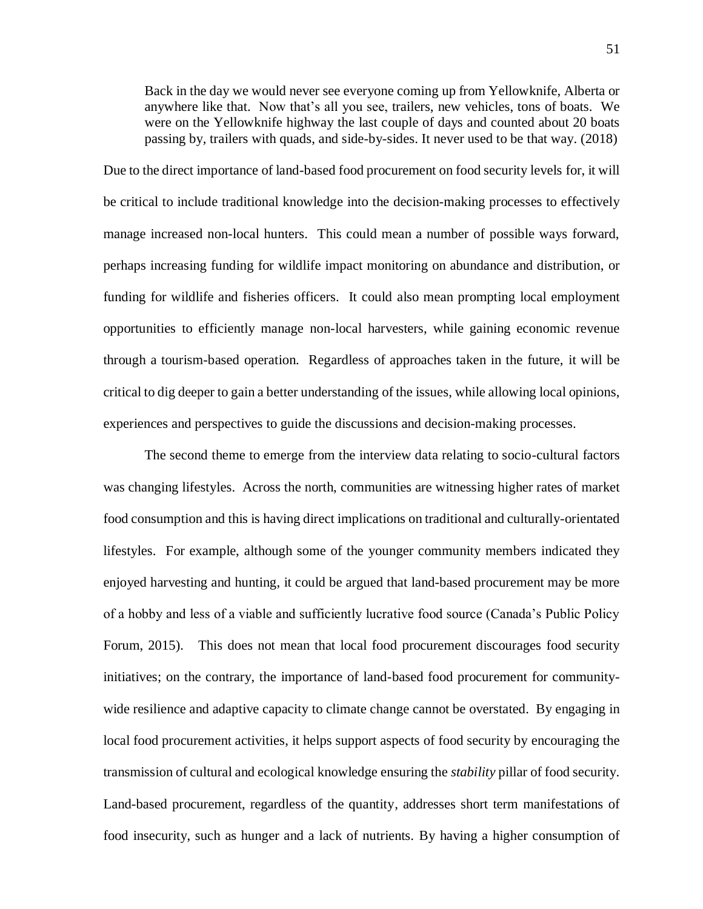Back in the day we would never see everyone coming up from Yellowknife, Alberta or anywhere like that. Now that's all you see, trailers, new vehicles, tons of boats. We were on the Yellowknife highway the last couple of days and counted about 20 boats passing by, trailers with quads, and side-by-sides. It never used to be that way. (2018)

Due to the direct importance of land-based food procurement on food security levels for, it will be critical to include traditional knowledge into the decision-making processes to effectively manage increased non-local hunters. This could mean a number of possible ways forward, perhaps increasing funding for wildlife impact monitoring on abundance and distribution, or funding for wildlife and fisheries officers. It could also mean prompting local employment opportunities to efficiently manage non-local harvesters, while gaining economic revenue through a tourism-based operation. Regardless of approaches taken in the future, it will be critical to dig deeper to gain a better understanding of the issues, while allowing local opinions, experiences and perspectives to guide the discussions and decision-making processes.

The second theme to emerge from the interview data relating to socio-cultural factors was changing lifestyles. Across the north, communities are witnessing higher rates of market food consumption and this is having direct implications on traditional and culturally-orientated lifestyles. For example, although some of the younger community members indicated they enjoyed harvesting and hunting, it could be argued that land-based procurement may be more of a hobby and less of a viable and sufficiently lucrative food source (Canada's Public Policy Forum, 2015). This does not mean that local food procurement discourages food security initiatives; on the contrary, the importance of land-based food procurement for communitywide resilience and adaptive capacity to climate change cannot be overstated. By engaging in local food procurement activities, it helps support aspects of food security by encouraging the transmission of cultural and ecological knowledge ensuring the *stability* pillar of food security. Land-based procurement, regardless of the quantity, addresses short term manifestations of food insecurity, such as hunger and a lack of nutrients. By having a higher consumption of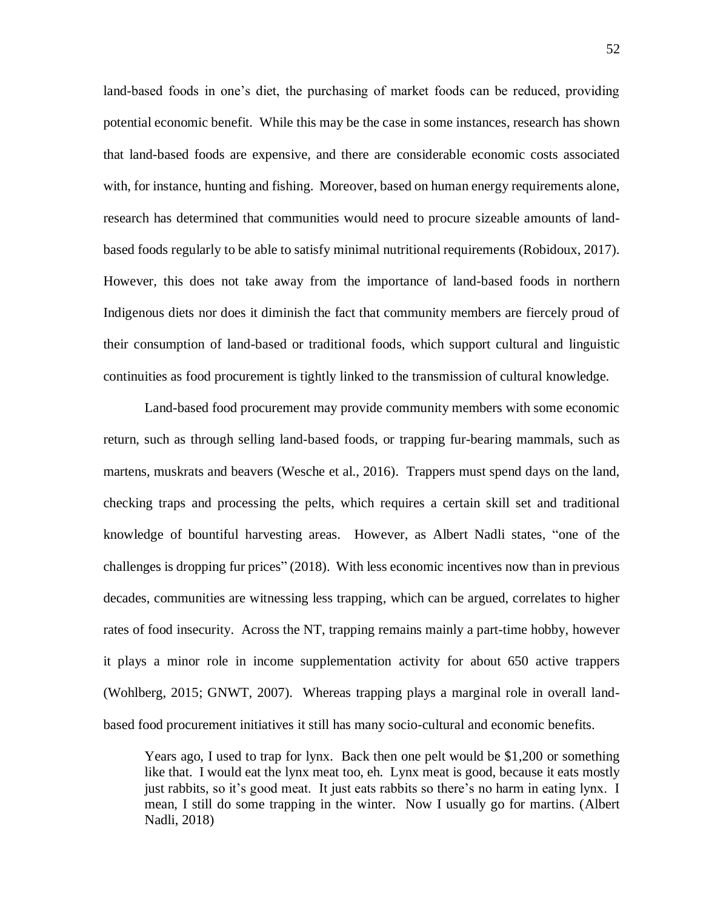land-based foods in one's diet, the purchasing of market foods can be reduced, providing potential economic benefit. While this may be the case in some instances, research has shown that land-based foods are expensive, and there are considerable economic costs associated with, for instance, hunting and fishing. Moreover, based on human energy requirements alone, research has determined that communities would need to procure sizeable amounts of landbased foods regularly to be able to satisfy minimal nutritional requirements (Robidoux, 2017). However, this does not take away from the importance of land-based foods in northern Indigenous diets nor does it diminish the fact that community members are fiercely proud of their consumption of land-based or traditional foods, which support cultural and linguistic continuities as food procurement is tightly linked to the transmission of cultural knowledge.

Land-based food procurement may provide community members with some economic return, such as through selling land-based foods, or trapping fur-bearing mammals, such as martens, muskrats and beavers (Wesche et al., 2016). Trappers must spend days on the land, checking traps and processing the pelts, which requires a certain skill set and traditional knowledge of bountiful harvesting areas. However, as Albert Nadli states, "one of the challenges is dropping fur prices" (2018). With less economic incentives now than in previous decades, communities are witnessing less trapping, which can be argued, correlates to higher rates of food insecurity. Across the NT, trapping remains mainly a part-time hobby, however it plays a minor role in income supplementation activity for about 650 active trappers (Wohlberg, 2015; GNWT, 2007). Whereas trapping plays a marginal role in overall landbased food procurement initiatives it still has many socio-cultural and economic benefits.

Years ago, I used to trap for lynx. Back then one pelt would be \$1,200 or something like that. I would eat the lynx meat too, eh. Lynx meat is good, because it eats mostly just rabbits, so it's good meat. It just eats rabbits so there's no harm in eating lynx. I mean, I still do some trapping in the winter. Now I usually go for martins. (Albert Nadli, 2018)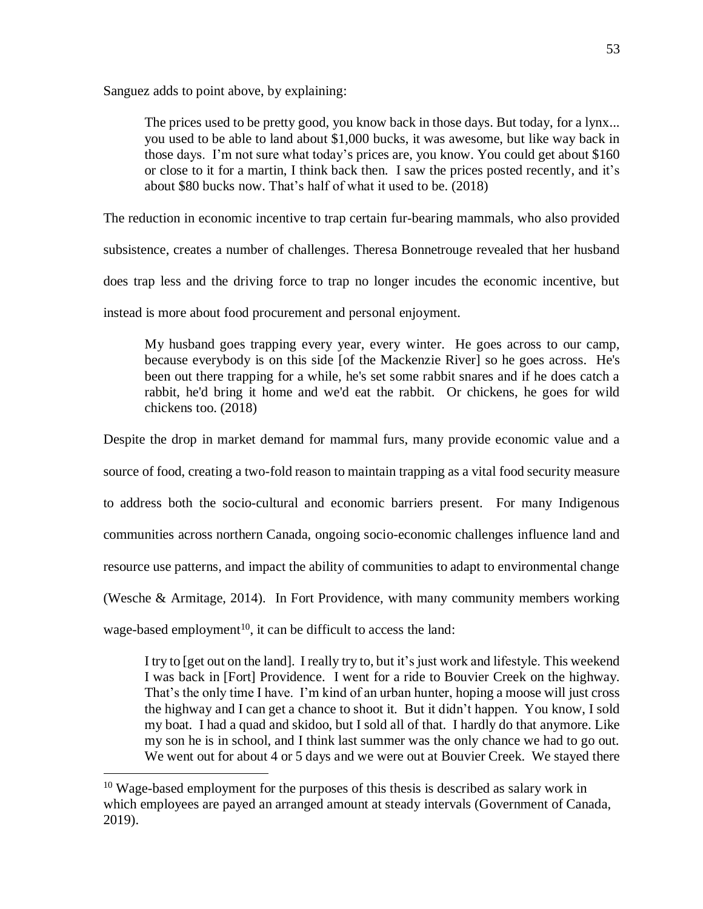Sanguez adds to point above, by explaining:

The prices used to be pretty good, you know back in those days. But today, for a lynx... you used to be able to land about \$1,000 bucks, it was awesome, but like way back in those days. I'm not sure what today's prices are, you know. You could get about \$160 or close to it for a martin, I think back then. I saw the prices posted recently, and it's about \$80 bucks now. That's half of what it used to be. (2018)

The reduction in economic incentive to trap certain fur-bearing mammals, who also provided

subsistence, creates a number of challenges. Theresa Bonnetrouge revealed that her husband

does trap less and the driving force to trap no longer incudes the economic incentive, but

instead is more about food procurement and personal enjoyment.

My husband goes trapping every year, every winter. He goes across to our camp, because everybody is on this side [of the Mackenzie River] so he goes across. He's been out there trapping for a while, he's set some rabbit snares and if he does catch a rabbit, he'd bring it home and we'd eat the rabbit. Or chickens, he goes for wild chickens too. (2018)

Despite the drop in market demand for mammal furs, many provide economic value and a

source of food, creating a two-fold reason to maintain trapping as a vital food security measure

to address both the socio-cultural and economic barriers present. For many Indigenous

communities across northern Canada, ongoing socio-economic challenges influence land and

resource use patterns, and impact the ability of communities to adapt to environmental change

(Wesche & Armitage, 2014). In Fort Providence, with many community members working

wage-based employment<sup>10</sup>, it can be difficult to access the land:

 $\overline{a}$ 

I try to [get out on the land]. I really try to, but it's just work and lifestyle. This weekend I was back in [Fort] Providence. I went for a ride to Bouvier Creek on the highway. That's the only time I have. I'm kind of an urban hunter, hoping a moose will just cross the highway and I can get a chance to shoot it. But it didn't happen. You know, I sold my boat. I had a quad and skidoo, but I sold all of that. I hardly do that anymore. Like my son he is in school, and I think last summer was the only chance we had to go out. We went out for about 4 or 5 days and we were out at Bouvier Creek. We stayed there

<sup>&</sup>lt;sup>10</sup> Wage-based employment for the purposes of this thesis is described as salary work in which employees are payed an arranged amount at steady intervals (Government of Canada, 2019).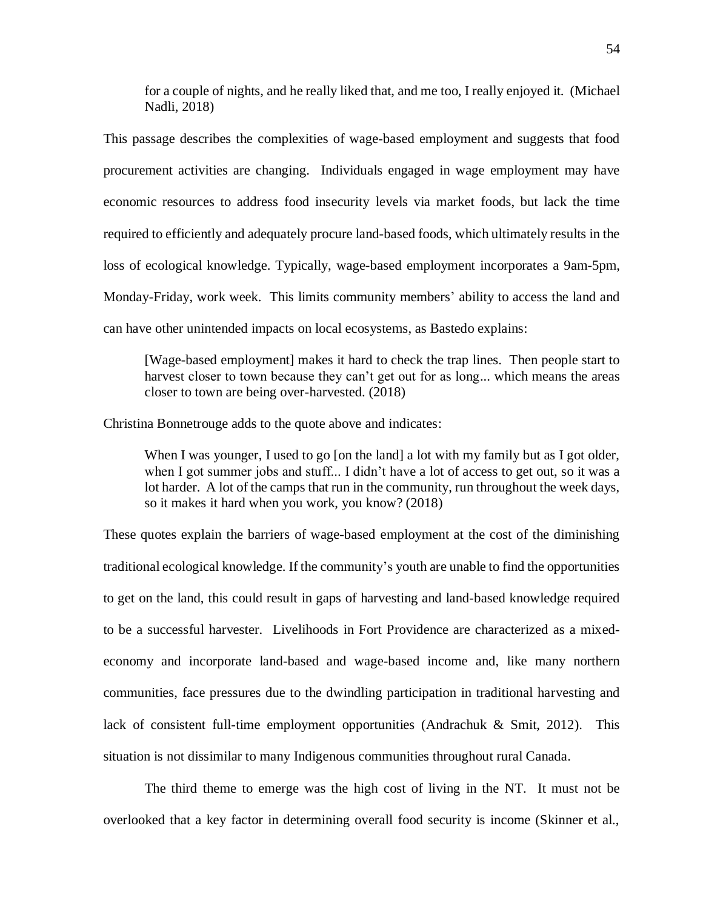for a couple of nights, and he really liked that, and me too, I really enjoyed it. (Michael Nadli, 2018)

This passage describes the complexities of wage-based employment and suggests that food procurement activities are changing. Individuals engaged in wage employment may have economic resources to address food insecurity levels via market foods, but lack the time required to efficiently and adequately procure land-based foods, which ultimately results in the loss of ecological knowledge. Typically, wage-based employment incorporates a 9am-5pm, Monday-Friday, work week. This limits community members' ability to access the land and can have other unintended impacts on local ecosystems, as Bastedo explains:

[Wage-based employment] makes it hard to check the trap lines. Then people start to harvest closer to town because they can't get out for as long... which means the areas closer to town are being over-harvested. (2018)

Christina Bonnetrouge adds to the quote above and indicates:

When I was younger, I used to go [on the land] a lot with my family but as I got older, when I got summer jobs and stuff... I didn't have a lot of access to get out, so it was a lot harder. A lot of the camps that run in the community, run throughout the week days, so it makes it hard when you work, you know? (2018)

These quotes explain the barriers of wage-based employment at the cost of the diminishing traditional ecological knowledge. If the community's youth are unable to find the opportunities to get on the land, this could result in gaps of harvesting and land-based knowledge required to be a successful harvester. Livelihoods in Fort Providence are characterized as a mixedeconomy and incorporate land-based and wage-based income and, like many northern communities, face pressures due to the dwindling participation in traditional harvesting and lack of consistent full-time employment opportunities (Andrachuk & Smit, 2012). This situation is not dissimilar to many Indigenous communities throughout rural Canada.

The third theme to emerge was the high cost of living in the NT. It must not be overlooked that a key factor in determining overall food security is income (Skinner et al.,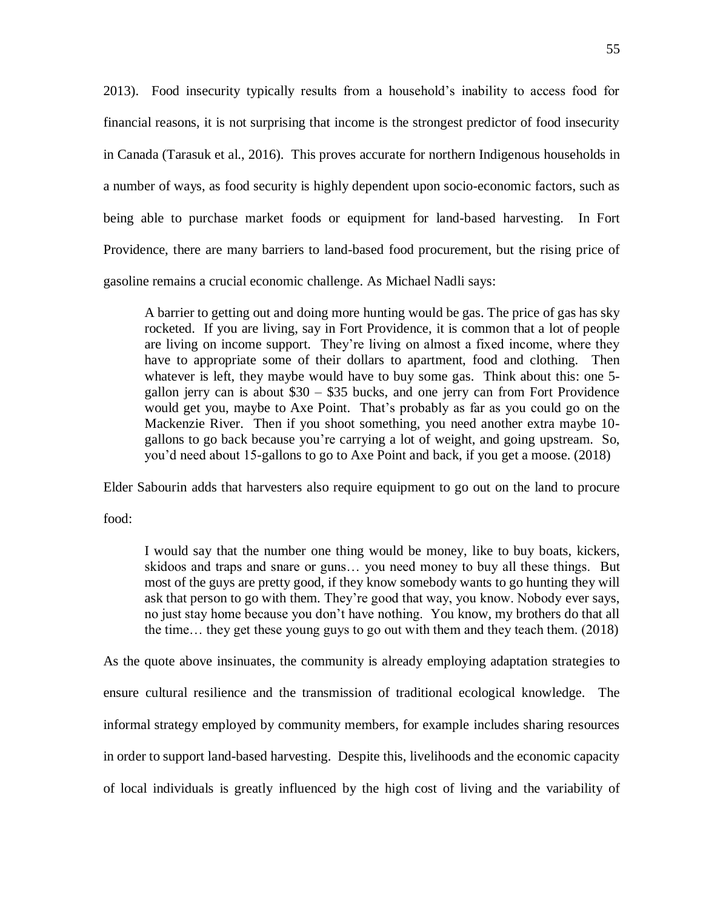2013). Food insecurity typically results from a household's inability to access food for financial reasons, it is not surprising that income is the strongest predictor of food insecurity in Canada (Tarasuk et al., 2016). This proves accurate for northern Indigenous households in a number of ways, as food security is highly dependent upon socio-economic factors, such as being able to purchase market foods or equipment for land-based harvesting. In Fort Providence, there are many barriers to land-based food procurement, but the rising price of gasoline remains a crucial economic challenge. As Michael Nadli says:

A barrier to getting out and doing more hunting would be gas. The price of gas has sky rocketed. If you are living, say in Fort Providence, it is common that a lot of people are living on income support. They're living on almost a fixed income, where they have to appropriate some of their dollars to apartment, food and clothing. Then whatever is left, they maybe would have to buy some gas. Think about this: one 5 gallon jerry can is about  $$30 - $35$  bucks, and one jerry can from Fort Providence would get you, maybe to Axe Point. That's probably as far as you could go on the Mackenzie River. Then if you shoot something, you need another extra maybe 10 gallons to go back because you're carrying a lot of weight, and going upstream. So, you'd need about 15-gallons to go to Axe Point and back, if you get a moose. (2018)

Elder Sabourin adds that harvesters also require equipment to go out on the land to procure

food:

I would say that the number one thing would be money, like to buy boats, kickers, skidoos and traps and snare or guns… you need money to buy all these things. But most of the guys are pretty good, if they know somebody wants to go hunting they will ask that person to go with them. They're good that way, you know. Nobody ever says, no just stay home because you don't have nothing. You know, my brothers do that all the time… they get these young guys to go out with them and they teach them. (2018)

As the quote above insinuates, the community is already employing adaptation strategies to ensure cultural resilience and the transmission of traditional ecological knowledge. The informal strategy employed by community members, for example includes sharing resources in order to support land-based harvesting. Despite this, livelihoods and the economic capacity of local individuals is greatly influenced by the high cost of living and the variability of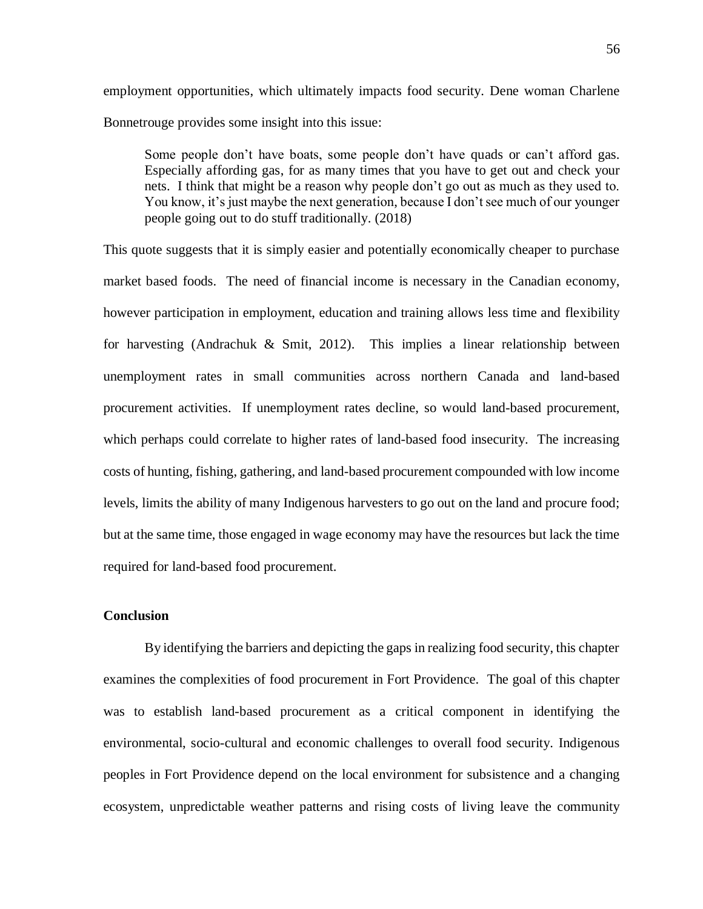employment opportunities, which ultimately impacts food security. Dene woman Charlene Bonnetrouge provides some insight into this issue:

Some people don't have boats, some people don't have quads or can't afford gas. Especially affording gas, for as many times that you have to get out and check your nets. I think that might be a reason why people don't go out as much as they used to. You know, it's just maybe the next generation, because I don't see much of our younger people going out to do stuff traditionally. (2018)

This quote suggests that it is simply easier and potentially economically cheaper to purchase market based foods. The need of financial income is necessary in the Canadian economy, however participation in employment, education and training allows less time and flexibility for harvesting (Andrachuk & Smit, 2012). This implies a linear relationship between unemployment rates in small communities across northern Canada and land-based procurement activities. If unemployment rates decline, so would land-based procurement, which perhaps could correlate to higher rates of land-based food insecurity. The increasing costs of hunting, fishing, gathering, and land-based procurement compounded with low income levels, limits the ability of many Indigenous harvesters to go out on the land and procure food; but at the same time, those engaged in wage economy may have the resources but lack the time required for land-based food procurement.

## **Conclusion**

By identifying the barriers and depicting the gaps in realizing food security, this chapter examines the complexities of food procurement in Fort Providence. The goal of this chapter was to establish land-based procurement as a critical component in identifying the environmental, socio-cultural and economic challenges to overall food security. Indigenous peoples in Fort Providence depend on the local environment for subsistence and a changing ecosystem, unpredictable weather patterns and rising costs of living leave the community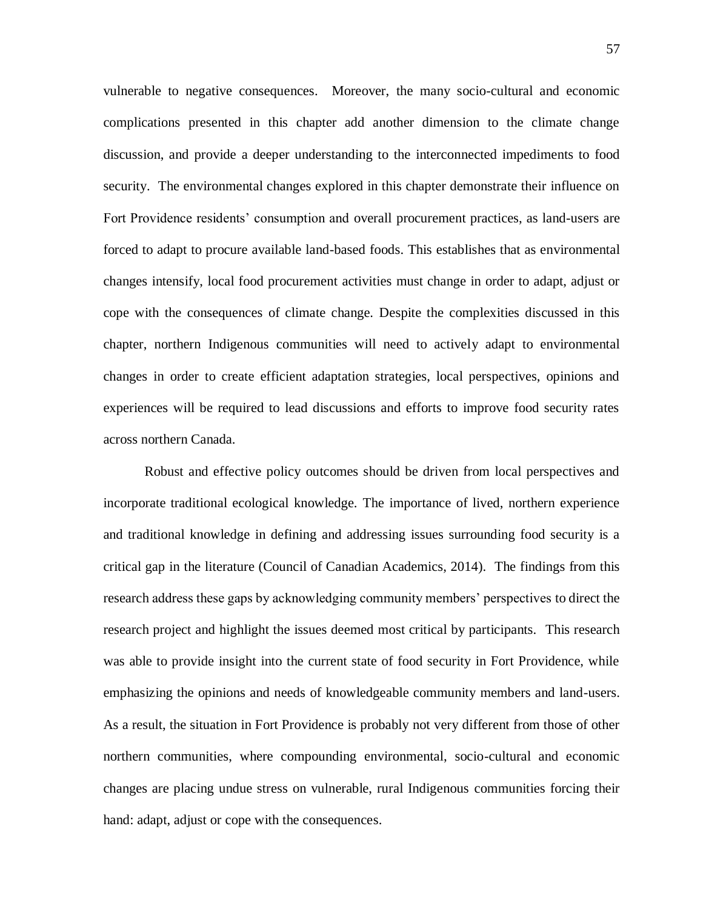vulnerable to negative consequences. Moreover, the many socio-cultural and economic complications presented in this chapter add another dimension to the climate change discussion, and provide a deeper understanding to the interconnected impediments to food security. The environmental changes explored in this chapter demonstrate their influence on Fort Providence residents' consumption and overall procurement practices, as land-users are forced to adapt to procure available land-based foods. This establishes that as environmental changes intensify, local food procurement activities must change in order to adapt, adjust or cope with the consequences of climate change. Despite the complexities discussed in this chapter, northern Indigenous communities will need to actively adapt to environmental changes in order to create efficient adaptation strategies, local perspectives, opinions and experiences will be required to lead discussions and efforts to improve food security rates across northern Canada.

Robust and effective policy outcomes should be driven from local perspectives and incorporate traditional ecological knowledge. The importance of lived, northern experience and traditional knowledge in defining and addressing issues surrounding food security is a critical gap in the literature (Council of Canadian Academics, 2014). The findings from this research address these gaps by acknowledging community members' perspectives to direct the research project and highlight the issues deemed most critical by participants. This research was able to provide insight into the current state of food security in Fort Providence, while emphasizing the opinions and needs of knowledgeable community members and land-users. As a result, the situation in Fort Providence is probably not very different from those of other northern communities, where compounding environmental, socio-cultural and economic changes are placing undue stress on vulnerable, rural Indigenous communities forcing their hand: adapt, adjust or cope with the consequences.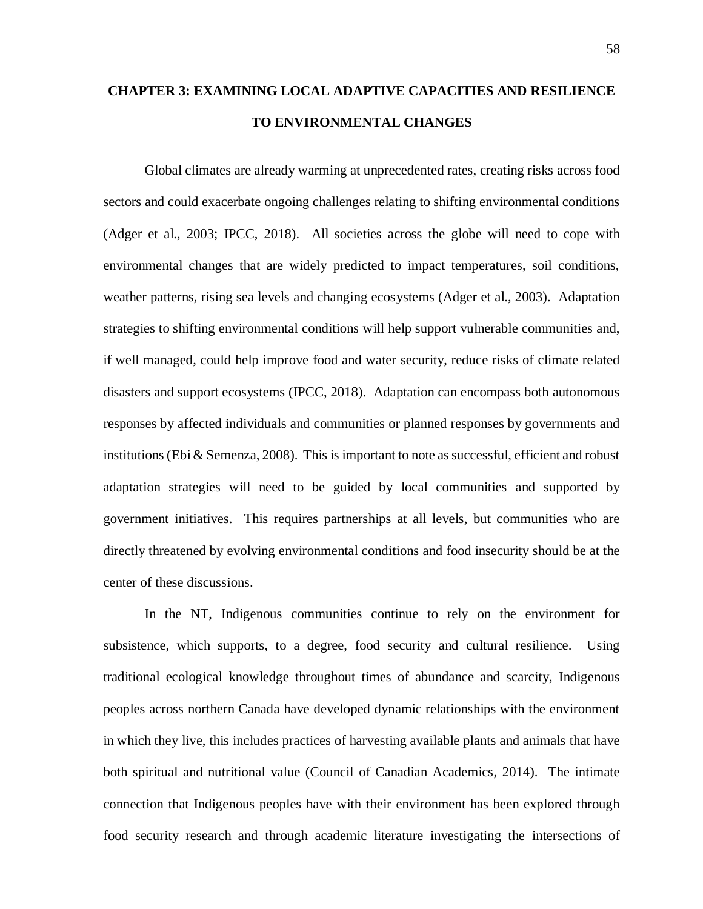# **CHAPTER 3: EXAMINING LOCAL ADAPTIVE CAPACITIES AND RESILIENCE TO ENVIRONMENTAL CHANGES**

Global climates are already warming at unprecedented rates, creating risks across food sectors and could exacerbate ongoing challenges relating to shifting environmental conditions (Adger et al., 2003; IPCC, 2018). All societies across the globe will need to cope with environmental changes that are widely predicted to impact temperatures, soil conditions, weather patterns, rising sea levels and changing ecosystems (Adger et al., 2003). Adaptation strategies to shifting environmental conditions will help support vulnerable communities and, if well managed, could help improve food and water security, reduce risks of climate related disasters and support ecosystems (IPCC, 2018). Adaptation can encompass both autonomous responses by affected individuals and communities or planned responses by governments and institutions (Ebi & Semenza, 2008). This is important to note as successful, efficient and robust adaptation strategies will need to be guided by local communities and supported by government initiatives. This requires partnerships at all levels, but communities who are directly threatened by evolving environmental conditions and food insecurity should be at the center of these discussions.

In the NT, Indigenous communities continue to rely on the environment for subsistence, which supports, to a degree, food security and cultural resilience. Using traditional ecological knowledge throughout times of abundance and scarcity, Indigenous peoples across northern Canada have developed dynamic relationships with the environment in which they live, this includes practices of harvesting available plants and animals that have both spiritual and nutritional value (Council of Canadian Academics, 2014). The intimate connection that Indigenous peoples have with their environment has been explored through food security research and through academic literature investigating the intersections of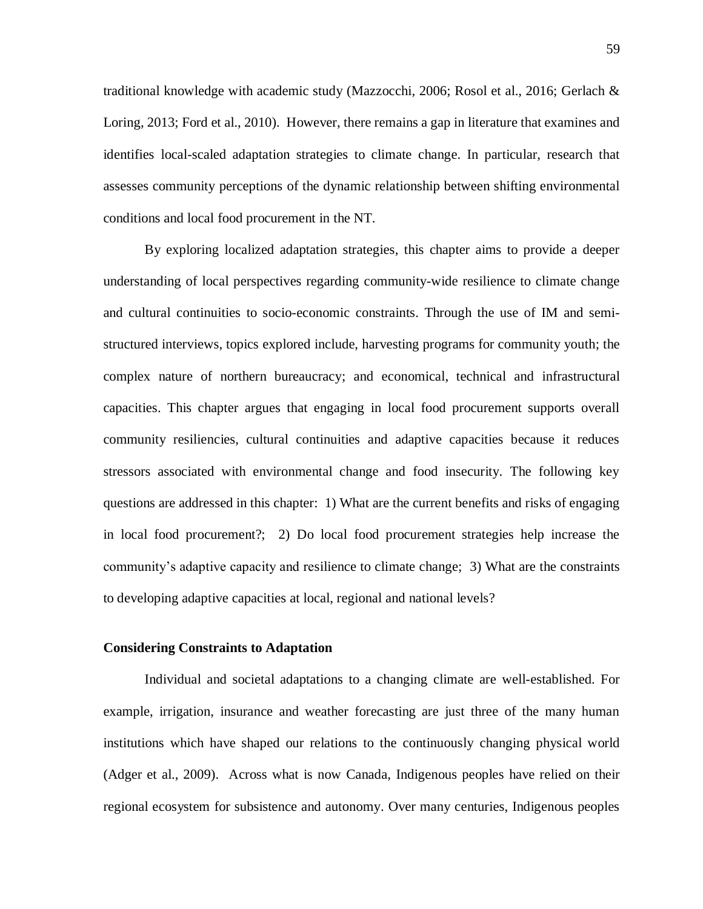traditional knowledge with academic study (Mazzocchi, 2006; Rosol et al., 2016; Gerlach & Loring, 2013; Ford et al., 2010). However, there remains a gap in literature that examines and identifies local-scaled adaptation strategies to climate change. In particular, research that assesses community perceptions of the dynamic relationship between shifting environmental conditions and local food procurement in the NT.

By exploring localized adaptation strategies, this chapter aims to provide a deeper understanding of local perspectives regarding community-wide resilience to climate change and cultural continuities to socio-economic constraints. Through the use of IM and semistructured interviews, topics explored include, harvesting programs for community youth; the complex nature of northern bureaucracy; and economical, technical and infrastructural capacities. This chapter argues that engaging in local food procurement supports overall community resiliencies, cultural continuities and adaptive capacities because it reduces stressors associated with environmental change and food insecurity. The following key questions are addressed in this chapter: 1) What are the current benefits and risks of engaging in local food procurement?; 2) Do local food procurement strategies help increase the community's adaptive capacity and resilience to climate change; 3) What are the constraints to developing adaptive capacities at local, regional and national levels?

#### **Considering Constraints to Adaptation**

Individual and societal adaptations to a changing climate are well-established. For example, irrigation, insurance and weather forecasting are just three of the many human institutions which have shaped our relations to the continuously changing physical world (Adger et al., 2009). Across what is now Canada, Indigenous peoples have relied on their regional ecosystem for subsistence and autonomy. Over many centuries, Indigenous peoples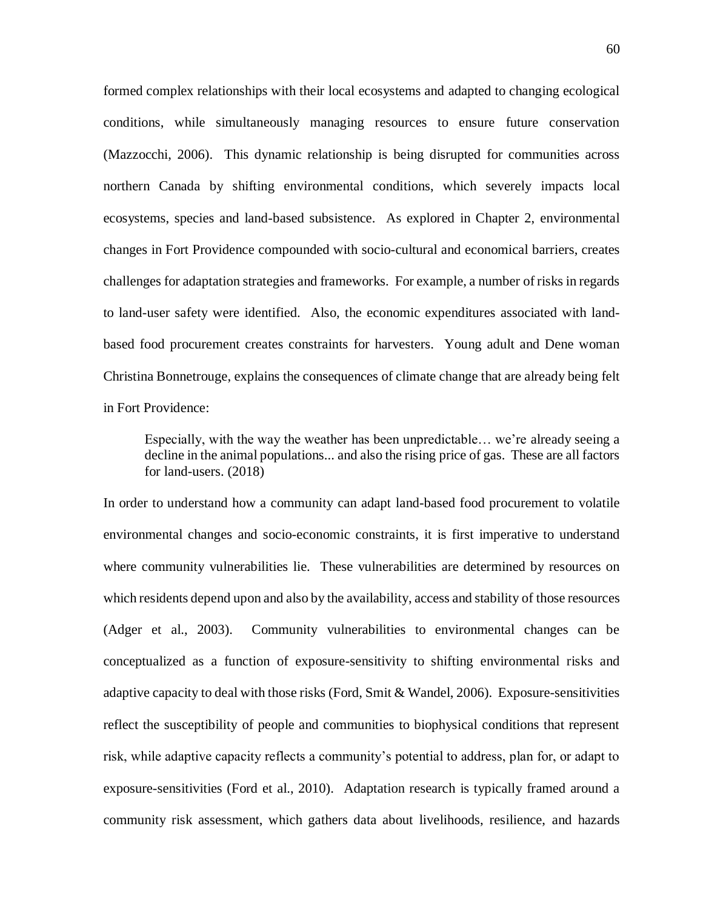formed complex relationships with their local ecosystems and adapted to changing ecological conditions, while simultaneously managing resources to ensure future conservation (Mazzocchi, 2006). This dynamic relationship is being disrupted for communities across northern Canada by shifting environmental conditions, which severely impacts local ecosystems, species and land-based subsistence. As explored in Chapter 2, environmental changes in Fort Providence compounded with socio-cultural and economical barriers, creates challenges for adaptation strategies and frameworks. For example, a number of risks in regards to land-user safety were identified. Also, the economic expenditures associated with landbased food procurement creates constraints for harvesters. Young adult and Dene woman Christina Bonnetrouge, explains the consequences of climate change that are already being felt in Fort Providence:

Especially, with the way the weather has been unpredictable… we're already seeing a decline in the animal populations... and also the rising price of gas. These are all factors for land-users. (2018)

In order to understand how a community can adapt land-based food procurement to volatile environmental changes and socio-economic constraints, it is first imperative to understand where community vulnerabilities lie. These vulnerabilities are determined by resources on which residents depend upon and also by the availability, access and stability of those resources (Adger et al., 2003). Community vulnerabilities to environmental changes can be conceptualized as a function of exposure-sensitivity to shifting environmental risks and adaptive capacity to deal with those risks (Ford, Smit & Wandel, 2006). Exposure-sensitivities reflect the susceptibility of people and communities to biophysical conditions that represent risk, while adaptive capacity reflects a community's potential to address, plan for, or adapt to exposure-sensitivities (Ford et al., 2010). Adaptation research is typically framed around a community risk assessment, which gathers data about livelihoods, resilience, and hazards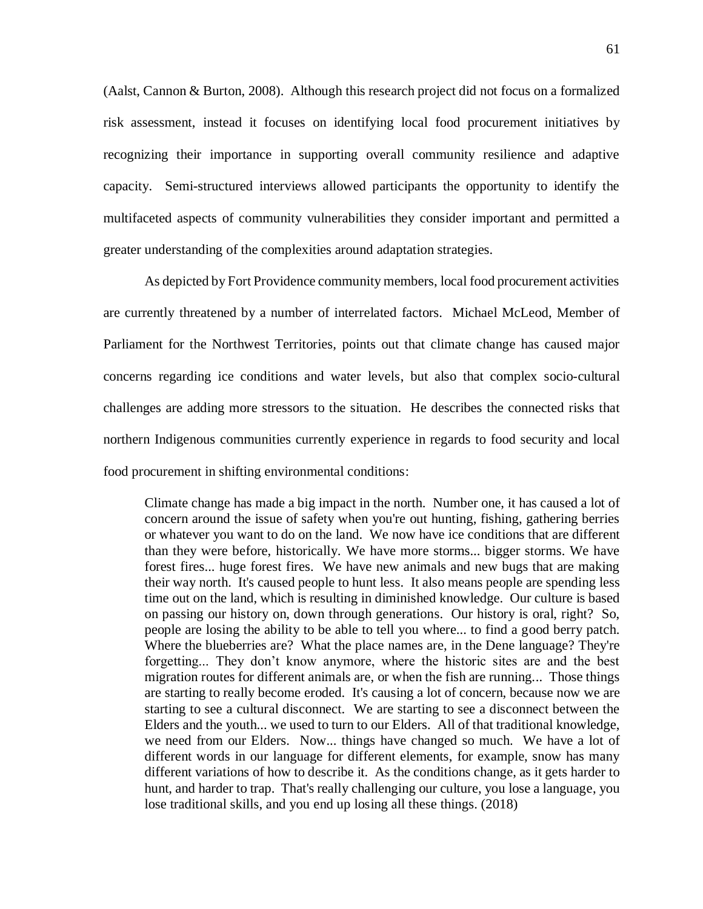(Aalst, Cannon & Burton, 2008). Although this research project did not focus on a formalized risk assessment, instead it focuses on identifying local food procurement initiatives by recognizing their importance in supporting overall community resilience and adaptive capacity. Semi-structured interviews allowed participants the opportunity to identify the multifaceted aspects of community vulnerabilities they consider important and permitted a greater understanding of the complexities around adaptation strategies.

As depicted by Fort Providence community members, local food procurement activities are currently threatened by a number of interrelated factors. Michael McLeod, Member of Parliament for the Northwest Territories, points out that climate change has caused major concerns regarding ice conditions and water levels, but also that complex socio-cultural challenges are adding more stressors to the situation. He describes the connected risks that northern Indigenous communities currently experience in regards to food security and local food procurement in shifting environmental conditions:

Climate change has made a big impact in the north. Number one, it has caused a lot of concern around the issue of safety when you're out hunting, fishing, gathering berries or whatever you want to do on the land. We now have ice conditions that are different than they were before, historically. We have more storms... bigger storms. We have forest fires... huge forest fires. We have new animals and new bugs that are making their way north. It's caused people to hunt less. It also means people are spending less time out on the land, which is resulting in diminished knowledge. Our culture is based on passing our history on, down through generations. Our history is oral, right? So, people are losing the ability to be able to tell you where... to find a good berry patch. Where the blueberries are? What the place names are, in the Dene language? They're forgetting... They don't know anymore, where the historic sites are and the best migration routes for different animals are, or when the fish are running... Those things are starting to really become eroded. It's causing a lot of concern, because now we are starting to see a cultural disconnect. We are starting to see a disconnect between the Elders and the youth... we used to turn to our Elders. All of that traditional knowledge, we need from our Elders. Now... things have changed so much. We have a lot of different words in our language for different elements, for example, snow has many different variations of how to describe it. As the conditions change, as it gets harder to hunt, and harder to trap. That's really challenging our culture, you lose a language, you lose traditional skills, and you end up losing all these things. (2018)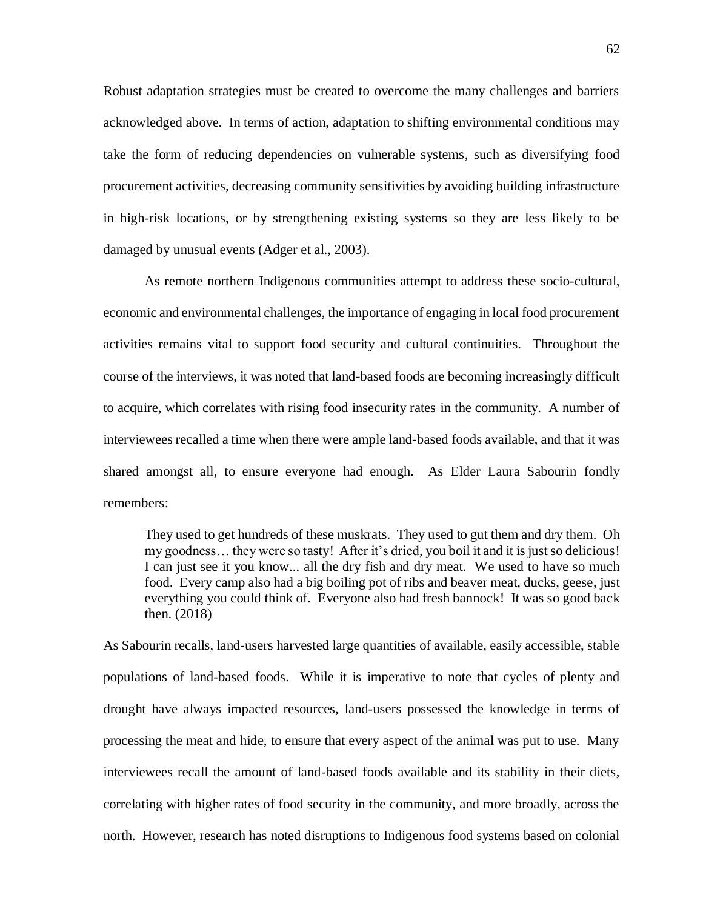Robust adaptation strategies must be created to overcome the many challenges and barriers acknowledged above. In terms of action, adaptation to shifting environmental conditions may take the form of reducing dependencies on vulnerable systems, such as diversifying food procurement activities, decreasing community sensitivities by avoiding building infrastructure in high-risk locations, or by strengthening existing systems so they are less likely to be damaged by unusual events (Adger et al., 2003).

As remote northern Indigenous communities attempt to address these socio-cultural, economic and environmental challenges, the importance of engaging in local food procurement activities remains vital to support food security and cultural continuities. Throughout the course of the interviews, it was noted that land-based foods are becoming increasingly difficult to acquire, which correlates with rising food insecurity rates in the community. A number of interviewees recalled a time when there were ample land-based foods available, and that it was shared amongst all, to ensure everyone had enough. As Elder Laura Sabourin fondly remembers:

They used to get hundreds of these muskrats. They used to gut them and dry them. Oh my goodness… they were so tasty! After it's dried, you boil it and it is just so delicious! I can just see it you know... all the dry fish and dry meat. We used to have so much food. Every camp also had a big boiling pot of ribs and beaver meat, ducks, geese, just everything you could think of. Everyone also had fresh bannock! It was so good back then. (2018)

As Sabourin recalls, land-users harvested large quantities of available, easily accessible, stable populations of land-based foods. While it is imperative to note that cycles of plenty and drought have always impacted resources, land-users possessed the knowledge in terms of processing the meat and hide, to ensure that every aspect of the animal was put to use. Many interviewees recall the amount of land-based foods available and its stability in their diets, correlating with higher rates of food security in the community, and more broadly, across the north. However, research has noted disruptions to Indigenous food systems based on colonial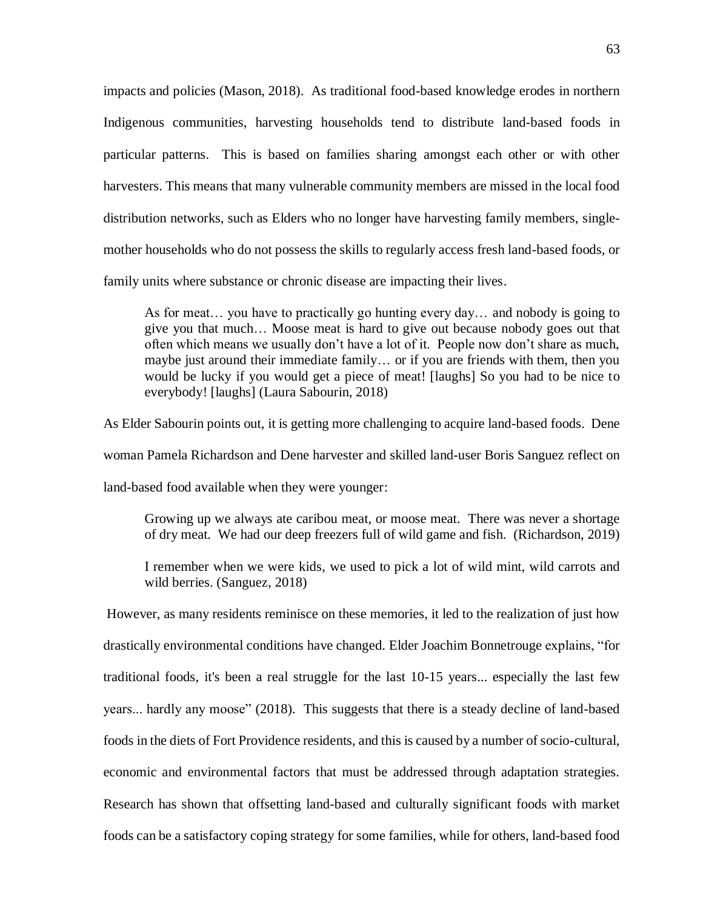impacts and policies (Mason, 2018). As traditional food-based knowledge erodes in northern Indigenous communities, harvesting households tend to distribute land-based foods in particular patterns. This is based on families sharing amongst each other or with other harvesters. This means that many vulnerable community members are missed in the local food distribution networks, such as Elders who no longer have harvesting family members, singlemother households who do not possess the skills to regularly access fresh land-based foods, or family units where substance or chronic disease are impacting their lives.

As for meat… you have to practically go hunting every day… and nobody is going to give you that much… Moose meat is hard to give out because nobody goes out that often which means we usually don't have a lot of it. People now don't share as much, maybe just around their immediate family… or if you are friends with them, then you would be lucky if you would get a piece of meat! [laughs] So you had to be nice to everybody! [laughs] (Laura Sabourin, 2018)

As Elder Sabourin points out, it is getting more challenging to acquire land-based foods. Dene woman Pamela Richardson and Dene harvester and skilled land-user Boris Sanguez reflect on land-based food available when they were younger:

Growing up we always ate caribou meat, or moose meat. There was never a shortage of dry meat. We had our deep freezers full of wild game and fish. (Richardson, 2019)

I remember when we were kids, we used to pick a lot of wild mint, wild carrots and wild berries. (Sanguez, 2018)

However, as many residents reminisce on these memories, it led to the realization of just how drastically environmental conditions have changed. Elder Joachim Bonnetrouge explains, "for traditional foods, it's been a real struggle for the last 10-15 years... especially the last few years... hardly any moose" (2018). This suggests that there is a steady decline of land-based foods in the diets of Fort Providence residents, and this is caused by a number of socio-cultural, economic and environmental factors that must be addressed through adaptation strategies. Research has shown that offsetting land-based and culturally significant foods with market foods can be a satisfactory coping strategy for some families, while for others, land-based food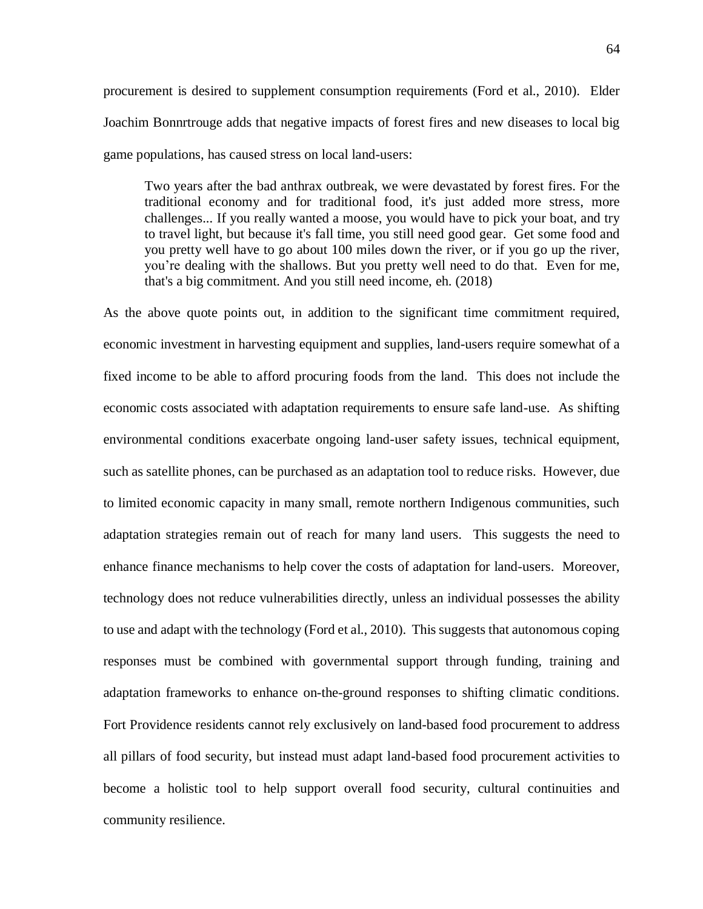Joachim Bonnrtrouge adds that negative impacts of forest fires and new diseases to local big game populations, has caused stress on local land-users:

Two years after the bad anthrax outbreak, we were devastated by forest fires. For the traditional economy and for traditional food, it's just added more stress, more challenges... If you really wanted a moose, you would have to pick your boat, and try to travel light, but because it's fall time, you still need good gear. Get some food and you pretty well have to go about 100 miles down the river, or if you go up the river, you're dealing with the shallows. But you pretty well need to do that. Even for me, that's a big commitment. And you still need income, eh. (2018)

As the above quote points out, in addition to the significant time commitment required, economic investment in harvesting equipment and supplies, land-users require somewhat of a fixed income to be able to afford procuring foods from the land. This does not include the economic costs associated with adaptation requirements to ensure safe land-use. As shifting environmental conditions exacerbate ongoing land-user safety issues, technical equipment, such as satellite phones, can be purchased as an adaptation tool to reduce risks. However, due to limited economic capacity in many small, remote northern Indigenous communities, such adaptation strategies remain out of reach for many land users. This suggests the need to enhance finance mechanisms to help cover the costs of adaptation for land-users. Moreover, technology does not reduce vulnerabilities directly, unless an individual possesses the ability to use and adapt with the technology (Ford et al., 2010). This suggests that autonomous coping responses must be combined with governmental support through funding, training and adaptation frameworks to enhance on-the-ground responses to shifting climatic conditions. Fort Providence residents cannot rely exclusively on land-based food procurement to address all pillars of food security, but instead must adapt land-based food procurement activities to become a holistic tool to help support overall food security, cultural continuities and community resilience.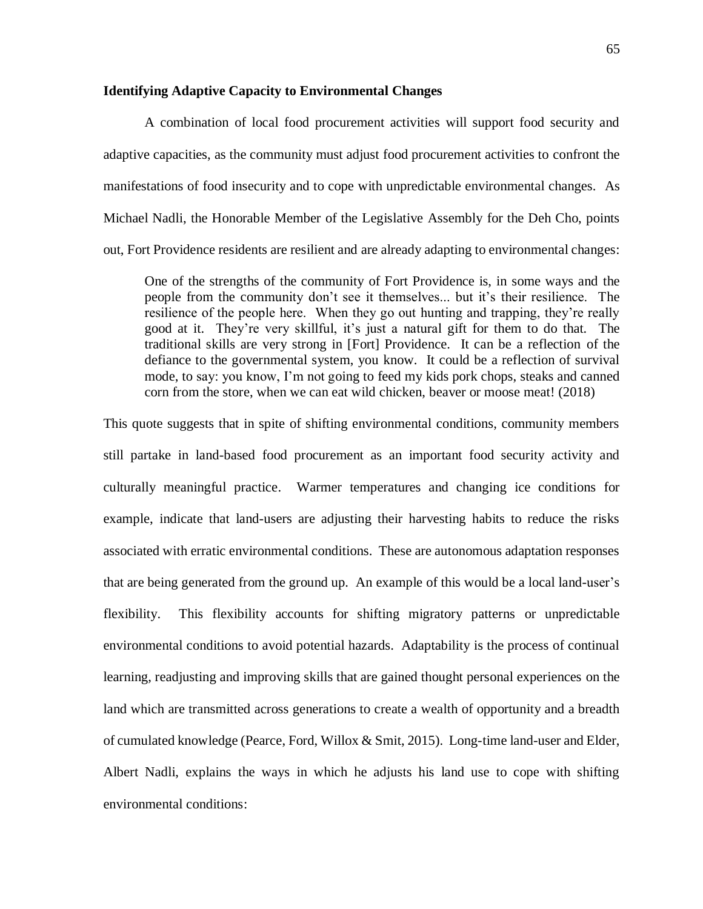### **Identifying Adaptive Capacity to Environmental Changes**

A combination of local food procurement activities will support food security and adaptive capacities, as the community must adjust food procurement activities to confront the manifestations of food insecurity and to cope with unpredictable environmental changes. As Michael Nadli, the Honorable Member of the Legislative Assembly for the Deh Cho, points out, Fort Providence residents are resilient and are already adapting to environmental changes:

One of the strengths of the community of Fort Providence is, in some ways and the people from the community don't see it themselves... but it's their resilience. The resilience of the people here. When they go out hunting and trapping, they're really good at it. They're very skillful, it's just a natural gift for them to do that. The traditional skills are very strong in [Fort] Providence. It can be a reflection of the defiance to the governmental system, you know. It could be a reflection of survival mode, to say: you know, I'm not going to feed my kids pork chops, steaks and canned corn from the store, when we can eat wild chicken, beaver or moose meat! (2018)

This quote suggests that in spite of shifting environmental conditions, community members still partake in land-based food procurement as an important food security activity and culturally meaningful practice. Warmer temperatures and changing ice conditions for example, indicate that land-users are adjusting their harvesting habits to reduce the risks associated with erratic environmental conditions. These are autonomous adaptation responses that are being generated from the ground up. An example of this would be a local land-user's flexibility. This flexibility accounts for shifting migratory patterns or unpredictable environmental conditions to avoid potential hazards. Adaptability is the process of continual learning, readjusting and improving skills that are gained thought personal experiences on the land which are transmitted across generations to create a wealth of opportunity and a breadth of cumulated knowledge (Pearce, Ford, Willox & Smit, 2015). Long-time land-user and Elder, Albert Nadli, explains the ways in which he adjusts his land use to cope with shifting environmental conditions: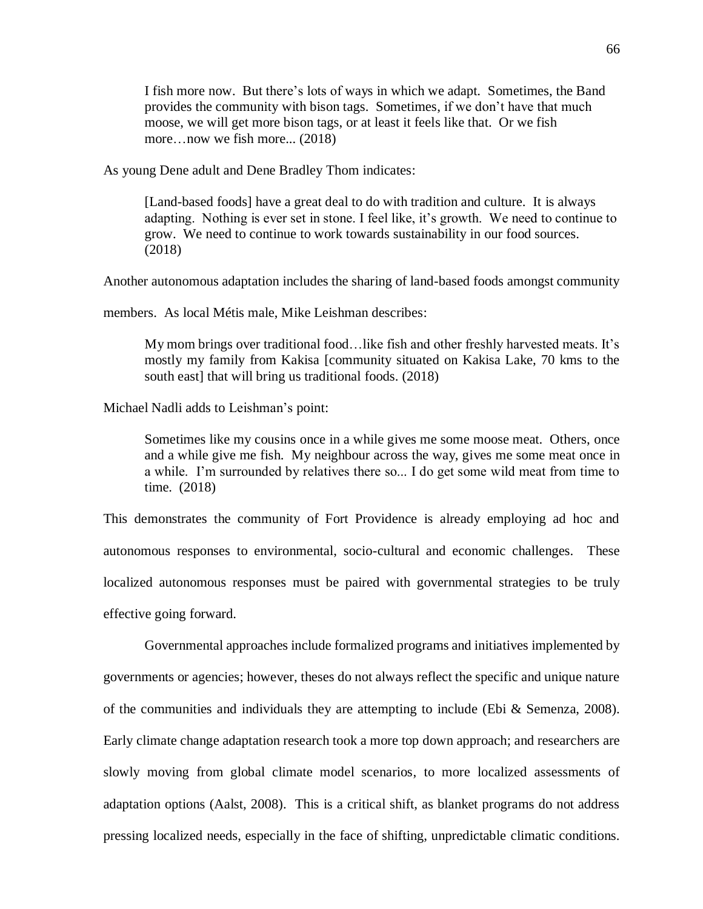I fish more now. But there's lots of ways in which we adapt. Sometimes, the Band provides the community with bison tags. Sometimes, if we don't have that much moose, we will get more bison tags, or at least it feels like that. Or we fish more…now we fish more... (2018)

As young Dene adult and Dene Bradley Thom indicates:

[Land-based foods] have a great deal to do with tradition and culture. It is always adapting. Nothing is ever set in stone. I feel like, it's growth. We need to continue to grow. We need to continue to work towards sustainability in our food sources. (2018)

Another autonomous adaptation includes the sharing of land-based foods amongst community

members. As local Métis male, Mike Leishman describes:

My mom brings over traditional food…like fish and other freshly harvested meats. It's mostly my family from Kakisa [community situated on Kakisa Lake, 70 kms to the south east] that will bring us traditional foods. (2018)

Michael Nadli adds to Leishman's point:

Sometimes like my cousins once in a while gives me some moose meat. Others, once and a while give me fish. My neighbour across the way, gives me some meat once in a while. I'm surrounded by relatives there so... I do get some wild meat from time to time. (2018)

This demonstrates the community of Fort Providence is already employing ad hoc and autonomous responses to environmental, socio-cultural and economic challenges. These localized autonomous responses must be paired with governmental strategies to be truly effective going forward.

Governmental approaches include formalized programs and initiatives implemented by governments or agencies; however, theses do not always reflect the specific and unique nature of the communities and individuals they are attempting to include (Ebi & Semenza, 2008). Early climate change adaptation research took a more top down approach; and researchers are slowly moving from global climate model scenarios, to more localized assessments of adaptation options (Aalst, 2008). This is a critical shift, as blanket programs do not address pressing localized needs, especially in the face of shifting, unpredictable climatic conditions.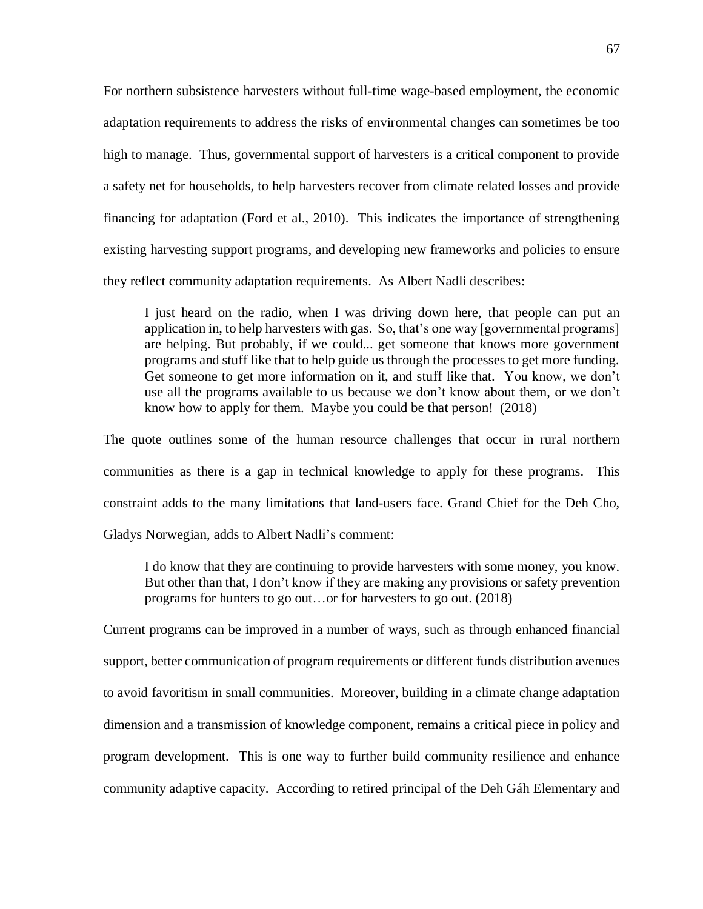For northern subsistence harvesters without full-time wage-based employment, the economic adaptation requirements to address the risks of environmental changes can sometimes be too high to manage. Thus, governmental support of harvesters is a critical component to provide a safety net for households, to help harvesters recover from climate related losses and provide financing for adaptation (Ford et al., 2010). This indicates the importance of strengthening existing harvesting support programs, and developing new frameworks and policies to ensure they reflect community adaptation requirements. As Albert Nadli describes:

I just heard on the radio, when I was driving down here, that people can put an application in, to help harvesters with gas. So, that's one way [governmental programs] are helping. But probably, if we could... get someone that knows more government programs and stuff like that to help guide us through the processes to get more funding. Get someone to get more information on it, and stuff like that. You know, we don't use all the programs available to us because we don't know about them, or we don't know how to apply for them. Maybe you could be that person! (2018)

The quote outlines some of the human resource challenges that occur in rural northern communities as there is a gap in technical knowledge to apply for these programs. This constraint adds to the many limitations that land-users face. Grand Chief for the Deh Cho, Gladys Norwegian, adds to Albert Nadli's comment:

I do know that they are continuing to provide harvesters with some money, you know. But other than that, I don't know if they are making any provisions or safety prevention programs for hunters to go out…or for harvesters to go out. (2018)

Current programs can be improved in a number of ways, such as through enhanced financial support, better communication of program requirements or different funds distribution avenues to avoid favoritism in small communities. Moreover, building in a climate change adaptation dimension and a transmission of knowledge component, remains a critical piece in policy and program development. This is one way to further build community resilience and enhance community adaptive capacity. According to retired principal of the Deh Gáh Elementary and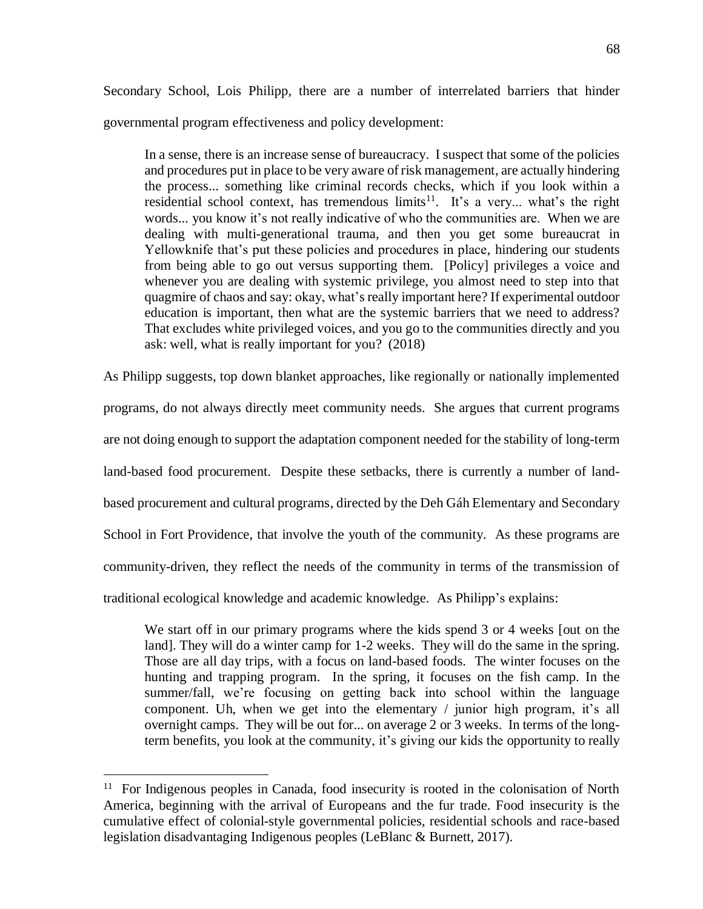Secondary School, Lois Philipp, there are a number of interrelated barriers that hinder governmental program effectiveness and policy development:

In a sense, there is an increase sense of bureaucracy. I suspect that some of the policies and procedures put in place to be very aware of risk management, are actually hindering the process... something like criminal records checks, which if you look within a residential school context, has tremendous limits<sup>11</sup>. It's a very... what's the right words... you know it's not really indicative of who the communities are. When we are dealing with multi-generational trauma, and then you get some bureaucrat in Yellowknife that's put these policies and procedures in place, hindering our students from being able to go out versus supporting them. [Policy] privileges a voice and whenever you are dealing with systemic privilege, you almost need to step into that quagmire of chaos and say: okay, what's really important here? If experimental outdoor education is important, then what are the systemic barriers that we need to address? That excludes white privileged voices, and you go to the communities directly and you ask: well, what is really important for you? (2018)

As Philipp suggests, top down blanket approaches, like regionally or nationally implemented programs, do not always directly meet community needs. She argues that current programs are not doing enough to support the adaptation component needed for the stability of long-term land-based food procurement. Despite these setbacks, there is currently a number of landbased procurement and cultural programs, directed by the Deh Gáh Elementary and Secondary School in Fort Providence, that involve the youth of the community. As these programs are community-driven, they reflect the needs of the community in terms of the transmission of traditional ecological knowledge and academic knowledge. As Philipp's explains:

We start off in our primary programs where the kids spend 3 or 4 weeks [out on the land]. They will do a winter camp for 1-2 weeks. They will do the same in the spring. Those are all day trips, with a focus on land-based foods. The winter focuses on the hunting and trapping program. In the spring, it focuses on the fish camp. In the summer/fall, we're focusing on getting back into school within the language component. Uh, when we get into the elementary / junior high program, it's all overnight camps. They will be out for... on average 2 or 3 weeks. In terms of the longterm benefits, you look at the community, it's giving our kids the opportunity to really

 $\overline{a}$ 

<sup>&</sup>lt;sup>11</sup> For Indigenous peoples in Canada, food insecurity is rooted in the colonisation of North America, beginning with the arrival of Europeans and the fur trade. Food insecurity is the cumulative effect of colonial-style governmental policies, residential schools and race-based legislation disadvantaging Indigenous peoples (LeBlanc & Burnett, 2017).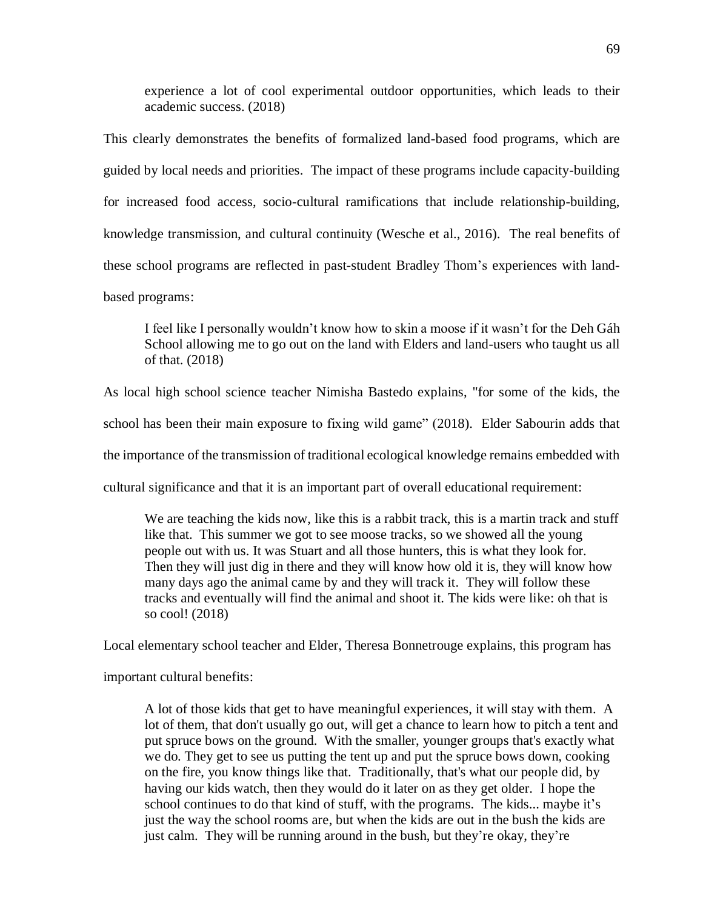experience a lot of cool experimental outdoor opportunities, which leads to their academic success. (2018)

This clearly demonstrates the benefits of formalized land-based food programs, which are guided by local needs and priorities. The impact of these programs include capacity-building for increased food access, socio-cultural ramifications that include relationship-building, knowledge transmission, and cultural continuity (Wesche et al., 2016). The real benefits of these school programs are reflected in past-student Bradley Thom's experiences with landbased programs:

I feel like I personally wouldn't know how to skin a moose if it wasn't for the Deh Gáh School allowing me to go out on the land with Elders and land-users who taught us all of that. (2018)

As local high school science teacher Nimisha Bastedo explains, "for some of the kids, the school has been their main exposure to fixing wild game" (2018). Elder Sabourin adds that the importance of the transmission of traditional ecological knowledge remains embedded with cultural significance and that it is an important part of overall educational requirement:

We are teaching the kids now, like this is a rabbit track, this is a martin track and stuff like that. This summer we got to see moose tracks, so we showed all the young people out with us. It was Stuart and all those hunters, this is what they look for. Then they will just dig in there and they will know how old it is, they will know how many days ago the animal came by and they will track it. They will follow these tracks and eventually will find the animal and shoot it. The kids were like: oh that is so cool! (2018)

Local elementary school teacher and Elder, Theresa Bonnetrouge explains, this program has

important cultural benefits:

A lot of those kids that get to have meaningful experiences, it will stay with them. A lot of them, that don't usually go out, will get a chance to learn how to pitch a tent and put spruce bows on the ground. With the smaller, younger groups that's exactly what we do. They get to see us putting the tent up and put the spruce bows down, cooking on the fire, you know things like that. Traditionally, that's what our people did, by having our kids watch, then they would do it later on as they get older. I hope the school continues to do that kind of stuff, with the programs. The kids... maybe it's just the way the school rooms are, but when the kids are out in the bush the kids are just calm. They will be running around in the bush, but they're okay, they're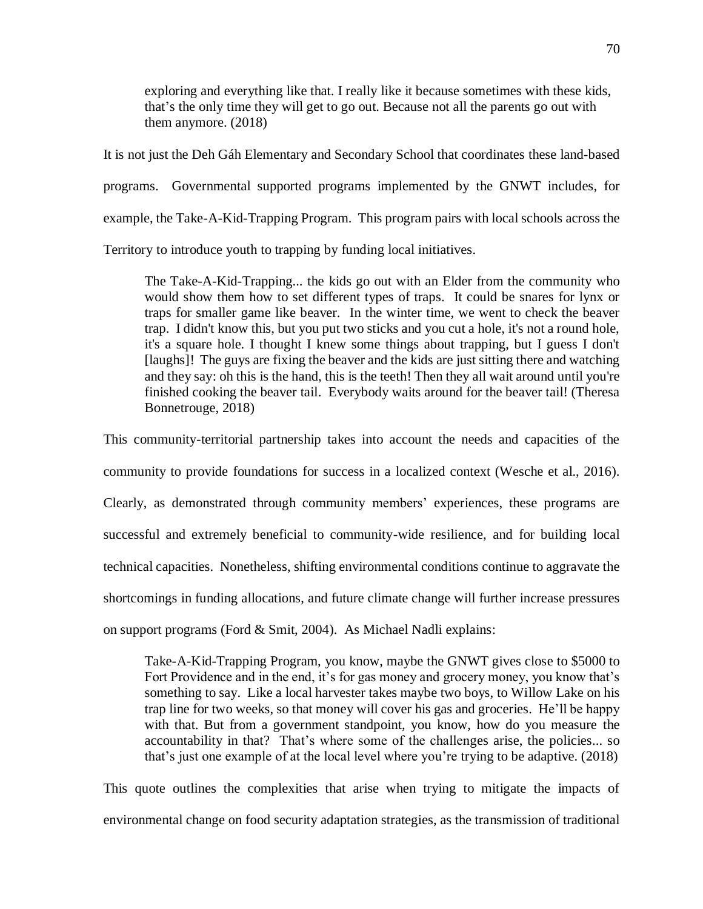exploring and everything like that. I really like it because sometimes with these kids, that's the only time they will get to go out. Because not all the parents go out with them anymore. (2018)

It is not just the Deh Gáh Elementary and Secondary School that coordinates these land-based programs. Governmental supported programs implemented by the GNWT includes, for example, the Take-A-Kid-Trapping Program. This program pairs with local schools across the

Territory to introduce youth to trapping by funding local initiatives.

The Take-A-Kid-Trapping... the kids go out with an Elder from the community who would show them how to set different types of traps. It could be snares for lynx or traps for smaller game like beaver. In the winter time, we went to check the beaver trap. I didn't know this, but you put two sticks and you cut a hole, it's not a round hole, it's a square hole. I thought I knew some things about trapping, but I guess I don't [laughs]! The guys are fixing the beaver and the kids are just sitting there and watching and they say: oh this is the hand, this is the teeth! Then they all wait around until you're finished cooking the beaver tail. Everybody waits around for the beaver tail! (Theresa Bonnetrouge, 2018)

This community-territorial partnership takes into account the needs and capacities of the

community to provide foundations for success in a localized context (Wesche et al., 2016).

Clearly, as demonstrated through community members' experiences, these programs are successful and extremely beneficial to community-wide resilience, and for building local technical capacities.Nonetheless, shifting environmental conditions continue to aggravate the shortcomings in funding allocations, and future climate change will further increase pressures on support programs (Ford & Smit, 2004). As Michael Nadli explains:

Take-A-Kid-Trapping Program, you know, maybe the GNWT gives close to \$5000 to Fort Providence and in the end, it's for gas money and grocery money, you know that's something to say. Like a local harvester takes maybe two boys, to Willow Lake on his trap line for two weeks, so that money will cover his gas and groceries. He'll be happy with that. But from a government standpoint, you know, how do you measure the accountability in that? That's where some of the challenges arise, the policies... so that's just one example of at the local level where you're trying to be adaptive. (2018)

This quote outlines the complexities that arise when trying to mitigate the impacts of environmental change on food security adaptation strategies, as the transmission of traditional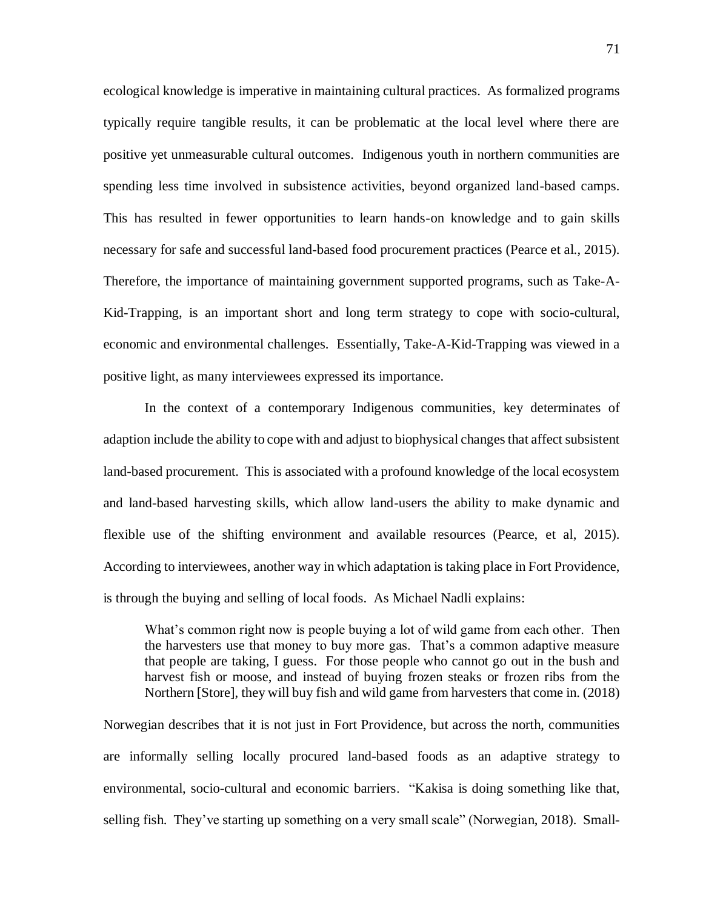ecological knowledge is imperative in maintaining cultural practices. As formalized programs typically require tangible results, it can be problematic at the local level where there are positive yet unmeasurable cultural outcomes. Indigenous youth in northern communities are spending less time involved in subsistence activities, beyond organized land-based camps. This has resulted in fewer opportunities to learn hands-on knowledge and to gain skills necessary for safe and successful land-based food procurement practices (Pearce et al., 2015). Therefore, the importance of maintaining government supported programs, such as Take-A-Kid-Trapping, is an important short and long term strategy to cope with socio-cultural, economic and environmental challenges. Essentially, Take-A-Kid-Trapping was viewed in a positive light, as many interviewees expressed its importance.

In the context of a contemporary Indigenous communities, key determinates of adaption include the ability to cope with and adjust to biophysical changes that affect subsistent land-based procurement. This is associated with a profound knowledge of the local ecosystem and land-based harvesting skills, which allow land-users the ability to make dynamic and flexible use of the shifting environment and available resources (Pearce, et al, 2015). According to interviewees, another way in which adaptation is taking place in Fort Providence, is through the buying and selling of local foods. As Michael Nadli explains:

What's common right now is people buying a lot of wild game from each other. Then the harvesters use that money to buy more gas. That's a common adaptive measure that people are taking, I guess. For those people who cannot go out in the bush and harvest fish or moose, and instead of buying frozen steaks or frozen ribs from the Northern [Store], they will buy fish and wild game from harvesters that come in. (2018)

Norwegian describes that it is not just in Fort Providence, but across the north, communities are informally selling locally procured land-based foods as an adaptive strategy to environmental, socio-cultural and economic barriers. "Kakisa is doing something like that, selling fish. They've starting up something on a very small scale" (Norwegian, 2018). Small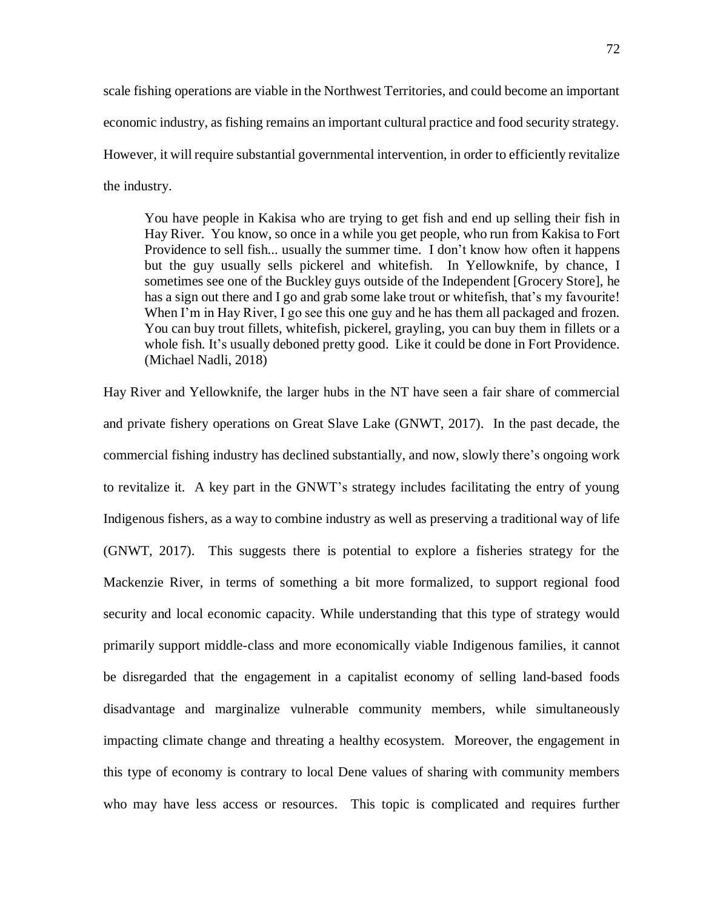scale fishing operations are viable in the Northwest Territories, and could become an important economic industry, as fishing remains an important cultural practice and food security strategy. However, it will require substantial governmental intervention, in order to efficiently revitalize the industry.

You have people in Kakisa who are trying to get fish and end up selling their fish in Hay River. You know, so once in a while you get people, who run from Kakisa to Fort Providence to sell fish... usually the summer time. I don't know how often it happens but the guy usually sells pickerel and whitefish. In Yellowknife, by chance, I sometimes see one of the Buckley guys outside of the Independent [Grocery Store], he has a sign out there and I go and grab some lake trout or whitefish, that's my favourite! When I'm in Hay River, I go see this one guy and he has them all packaged and frozen. You can buy trout fillets, whitefish, pickerel, grayling, you can buy them in fillets or a whole fish. It's usually deboned pretty good. Like it could be done in Fort Providence. (Michael Nadli, 2018)

Hay River and Yellowknife, the larger hubs in the NT have seen a fair share of commercial and private fishery operations on Great Slave Lake (GNWT, 2017). In the past decade, the commercial fishing industry has declined substantially, and now, slowly there's ongoing work to revitalize it. A key part in the GNWT's strategy includes facilitating the entry of young Indigenous fishers, as a way to combine industry as well as preserving a traditional way of life (GNWT, 2017). This suggests there is potential to explore a fisheries strategy for the Mackenzie River, in terms of something a bit more formalized, to support regional food security and local economic capacity. While understanding that this type of strategy would primarily support middle-class and more economically viable Indigenous families, it cannot be disregarded that the engagement in a capitalist economy of selling land-based foods disadvantage and marginalize vulnerable community members, while simultaneously impacting climate change and threating a healthy ecosystem. Moreover, the engagement in this type of economy is contrary to local Dene values of sharing with community members who may have less access or resources. This topic is complicated and requires further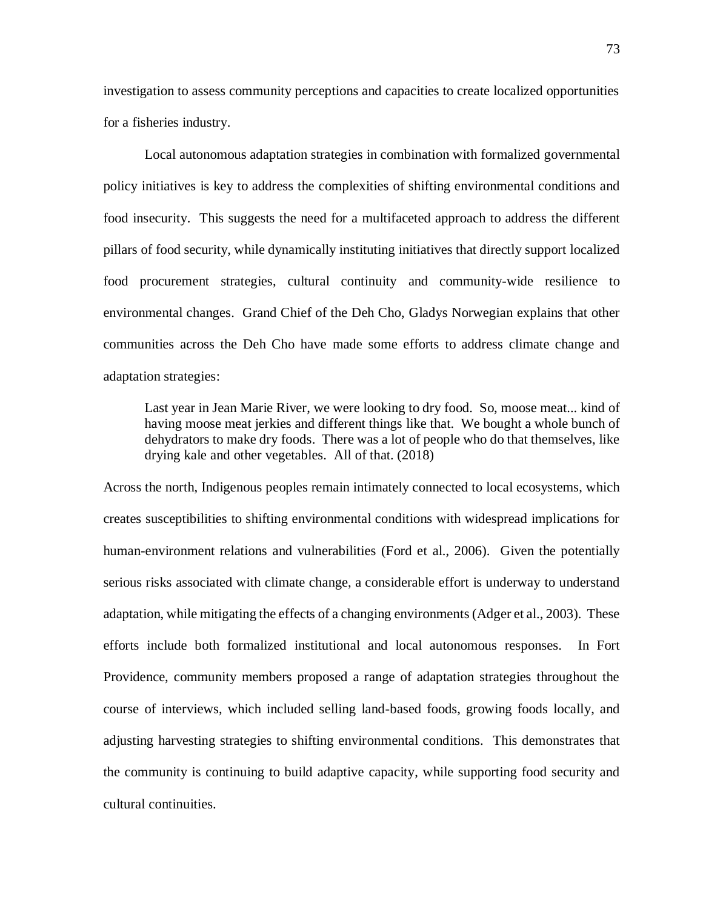investigation to assess community perceptions and capacities to create localized opportunities for a fisheries industry.

Local autonomous adaptation strategies in combination with formalized governmental policy initiatives is key to address the complexities of shifting environmental conditions and food insecurity. This suggests the need for a multifaceted approach to address the different pillars of food security, while dynamically instituting initiatives that directly support localized food procurement strategies, cultural continuity and community-wide resilience to environmental changes. Grand Chief of the Deh Cho, Gladys Norwegian explains that other communities across the Deh Cho have made some efforts to address climate change and adaptation strategies:

Last year in Jean Marie River, we were looking to dry food. So, moose meat... kind of having moose meat jerkies and different things like that. We bought a whole bunch of dehydrators to make dry foods. There was a lot of people who do that themselves, like drying kale and other vegetables. All of that. (2018)

Across the north, Indigenous peoples remain intimately connected to local ecosystems, which creates susceptibilities to shifting environmental conditions with widespread implications for human-environment relations and vulnerabilities (Ford et al., 2006). Given the potentially serious risks associated with climate change, a considerable effort is underway to understand adaptation, while mitigating the effects of a changing environments (Adger et al., 2003). These efforts include both formalized institutional and local autonomous responses. In Fort Providence, community members proposed a range of adaptation strategies throughout the course of interviews, which included selling land-based foods, growing foods locally, and adjusting harvesting strategies to shifting environmental conditions. This demonstrates that the community is continuing to build adaptive capacity, while supporting food security and cultural continuities.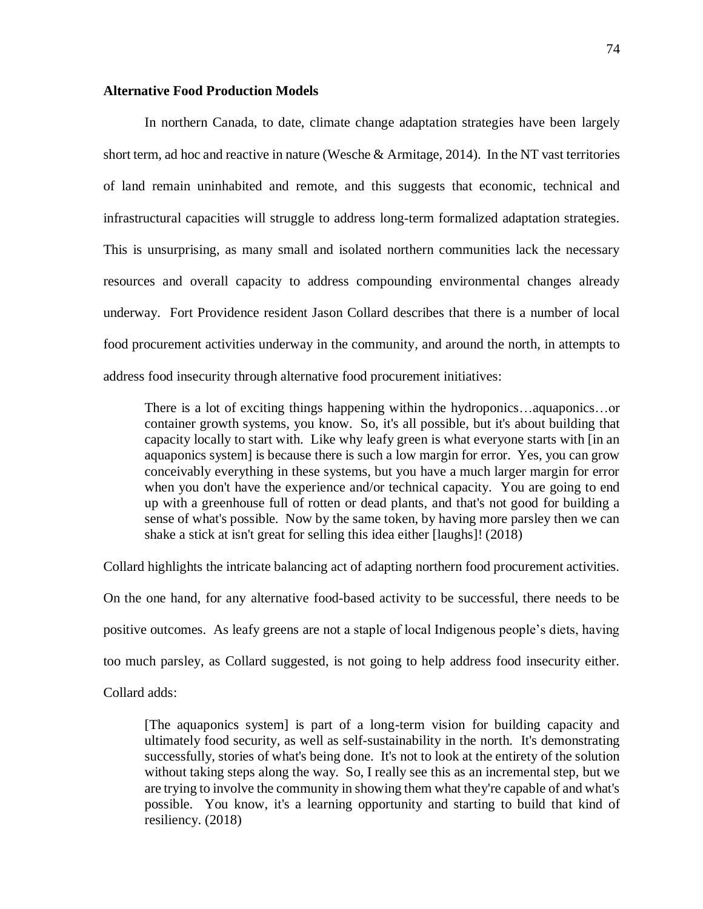#### **Alternative Food Production Models**

In northern Canada, to date, climate change adaptation strategies have been largely short term, ad hoc and reactive in nature (Wesche & Armitage, 2014). In the NT vast territories of land remain uninhabited and remote, and this suggests that economic, technical and infrastructural capacities will struggle to address long-term formalized adaptation strategies. This is unsurprising, as many small and isolated northern communities lack the necessary resources and overall capacity to address compounding environmental changes already underway. Fort Providence resident Jason Collard describes that there is a number of local food procurement activities underway in the community, and around the north, in attempts to address food insecurity through alternative food procurement initiatives:

There is a lot of exciting things happening within the hydroponics…aquaponics…or container growth systems, you know. So, it's all possible, but it's about building that capacity locally to start with. Like why leafy green is what everyone starts with [in an aquaponics system] is because there is such a low margin for error. Yes, you can grow conceivably everything in these systems, but you have a much larger margin for error when you don't have the experience and/or technical capacity. You are going to end up with a greenhouse full of rotten or dead plants, and that's not good for building a sense of what's possible. Now by the same token, by having more parsley then we can shake a stick at isn't great for selling this idea either [laughs]! (2018)

Collard highlights the intricate balancing act of adapting northern food procurement activities.

On the one hand, for any alternative food-based activity to be successful, there needs to be

positive outcomes. As leafy greens are not a staple of local Indigenous people's diets, having

too much parsley, as Collard suggested, is not going to help address food insecurity either.

Collard adds:

[The aquaponics system] is part of a long-term vision for building capacity and ultimately food security, as well as self-sustainability in the north. It's demonstrating successfully, stories of what's being done. It's not to look at the entirety of the solution without taking steps along the way. So, I really see this as an incremental step, but we are trying to involve the community in showing them what they're capable of and what's possible. You know, it's a learning opportunity and starting to build that kind of resiliency. (2018)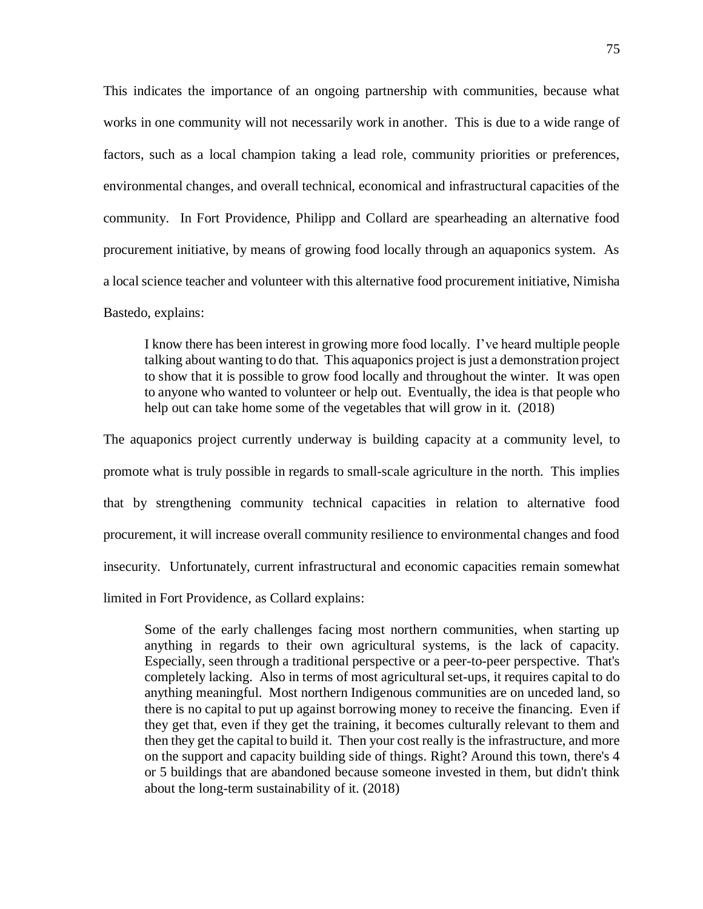This indicates the importance of an ongoing partnership with communities, because what works in one community will not necessarily work in another. This is due to a wide range of factors, such as a local champion taking a lead role, community priorities or preferences, environmental changes, and overall technical, economical and infrastructural capacities of the community. In Fort Providence, Philipp and Collard are spearheading an alternative food procurement initiative, by means of growing food locally through an aquaponics system. As a local science teacher and volunteer with this alternative food procurement initiative, Nimisha Bastedo, explains:

I know there has been interest in growing more food locally. I've heard multiple people talking about wanting to do that. This aquaponics project is just a demonstration project to show that it is possible to grow food locally and throughout the winter. It was open to anyone who wanted to volunteer or help out. Eventually, the idea is that people who help out can take home some of the vegetables that will grow in it. (2018)

The aquaponics project currently underway is building capacity at a community level, to promote what is truly possible in regards to small-scale agriculture in the north. This implies that by strengthening community technical capacities in relation to alternative food procurement, it will increase overall community resilience to environmental changes and food insecurity. Unfortunately, current infrastructural and economic capacities remain somewhat limited in Fort Providence, as Collard explains:

Some of the early challenges facing most northern communities, when starting up anything in regards to their own agricultural systems, is the lack of capacity. Especially, seen through a traditional perspective or a peer-to-peer perspective. That's completely lacking. Also in terms of most agricultural set-ups, it requires capital to do anything meaningful. Most northern Indigenous communities are on unceded land, so there is no capital to put up against borrowing money to receive the financing. Even if they get that, even if they get the training, it becomes culturally relevant to them and then they get the capital to build it. Then your cost really is the infrastructure, and more on the support and capacity building side of things. Right? Around this town, there's 4 or 5 buildings that are abandoned because someone invested in them, but didn't think about the long-term sustainability of it. (2018)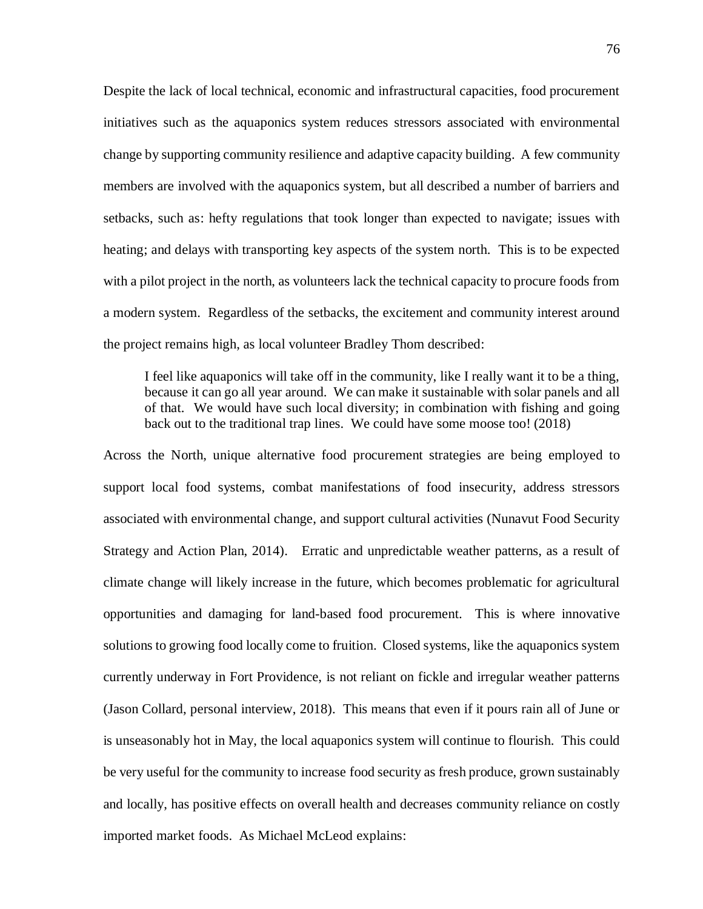Despite the lack of local technical, economic and infrastructural capacities, food procurement initiatives such as the aquaponics system reduces stressors associated with environmental change by supporting community resilience and adaptive capacity building. A few community members are involved with the aquaponics system, but all described a number of barriers and setbacks, such as: hefty regulations that took longer than expected to navigate; issues with heating; and delays with transporting key aspects of the system north. This is to be expected with a pilot project in the north, as volunteers lack the technical capacity to procure foods from a modern system. Regardless of the setbacks, the excitement and community interest around the project remains high, as local volunteer Bradley Thom described:

I feel like aquaponics will take off in the community, like I really want it to be a thing, because it can go all year around. We can make it sustainable with solar panels and all of that. We would have such local diversity; in combination with fishing and going back out to the traditional trap lines. We could have some moose too! (2018)

Across the North, unique alternative food procurement strategies are being employed to support local food systems, combat manifestations of food insecurity, address stressors associated with environmental change, and support cultural activities (Nunavut Food Security Strategy and Action Plan, 2014). Erratic and unpredictable weather patterns, as a result of climate change will likely increase in the future, which becomes problematic for agricultural opportunities and damaging for land-based food procurement. This is where innovative solutions to growing food locally come to fruition. Closed systems, like the aquaponics system currently underway in Fort Providence, is not reliant on fickle and irregular weather patterns (Jason Collard, personal interview, 2018). This means that even if it pours rain all of June or is unseasonably hot in May, the local aquaponics system will continue to flourish. This could be very useful for the community to increase food security as fresh produce, grown sustainably and locally, has positive effects on overall health and decreases community reliance on costly imported market foods. As Michael McLeod explains: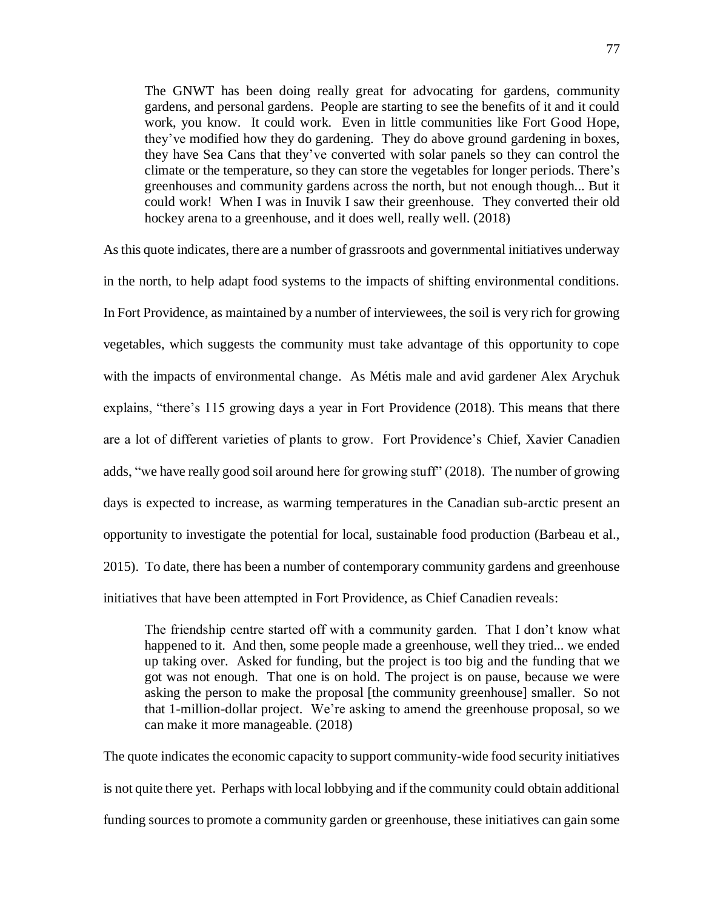The GNWT has been doing really great for advocating for gardens, community gardens, and personal gardens. People are starting to see the benefits of it and it could work, you know. It could work. Even in little communities like Fort Good Hope, they've modified how they do gardening. They do above ground gardening in boxes, they have Sea Cans that they've converted with solar panels so they can control the climate or the temperature, so they can store the vegetables for longer periods. There's greenhouses and community gardens across the north, but not enough though... But it could work! When I was in Inuvik I saw their greenhouse. They converted their old hockey arena to a greenhouse, and it does well, really well. (2018)

As this quote indicates, there are a number of grassroots and governmental initiatives underway in the north, to help adapt food systems to the impacts of shifting environmental conditions. In Fort Providence, as maintained by a number of interviewees, the soil is very rich for growing vegetables, which suggests the community must take advantage of this opportunity to cope with the impacts of environmental change. As Métis male and avid gardener Alex Arychuk explains, "there's 115 growing days a year in Fort Providence (2018). This means that there are a lot of different varieties of plants to grow. Fort Providence's Chief, Xavier Canadien adds, "we have really good soil around here for growing stuff" (2018). The number of growing days is expected to increase, as warming temperatures in the Canadian sub-arctic present an opportunity to investigate the potential for local, sustainable food production (Barbeau et al., 2015). To date, there has been a number of contemporary community gardens and greenhouse initiatives that have been attempted in Fort Providence, as Chief Canadien reveals:

The friendship centre started off with a community garden. That I don't know what happened to it. And then, some people made a greenhouse, well they tried... we ended up taking over. Asked for funding, but the project is too big and the funding that we got was not enough. That one is on hold. The project is on pause, because we were asking the person to make the proposal [the community greenhouse] smaller. So not that 1-million-dollar project. We're asking to amend the greenhouse proposal, so we can make it more manageable. (2018)

The quote indicates the economic capacity to support community-wide food security initiatives is not quite there yet. Perhaps with local lobbying and if the community could obtain additional funding sources to promote a community garden or greenhouse, these initiatives can gain some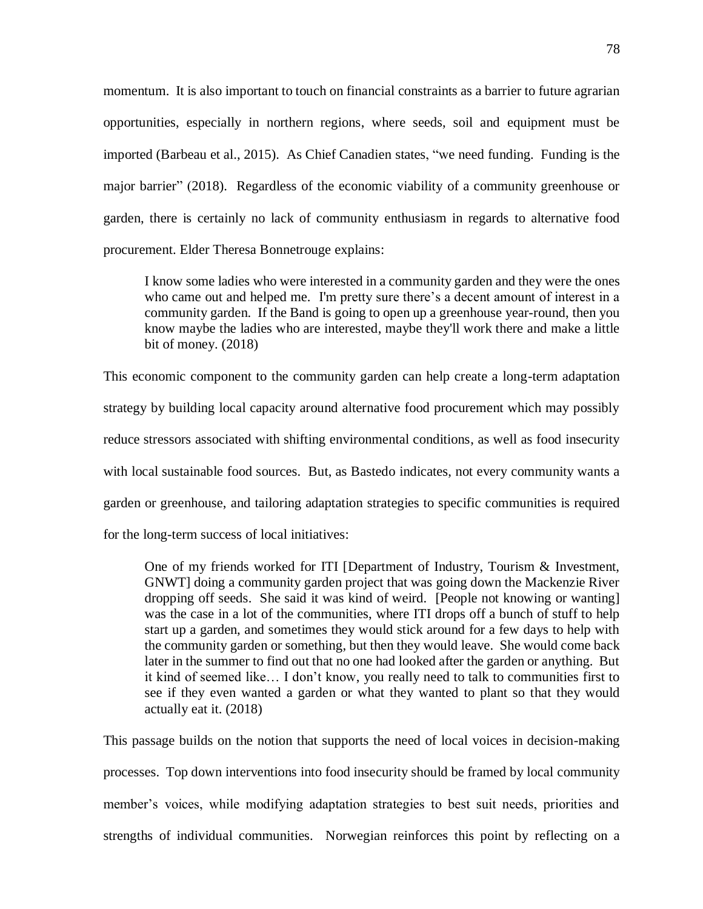momentum. It is also important to touch on financial constraints as a barrier to future agrarian opportunities, especially in northern regions, where seeds, soil and equipment must be imported (Barbeau et al., 2015). As Chief Canadien states, "we need funding. Funding is the major barrier" (2018). Regardless of the economic viability of a community greenhouse or garden, there is certainly no lack of community enthusiasm in regards to alternative food procurement. Elder Theresa Bonnetrouge explains:

I know some ladies who were interested in a community garden and they were the ones who came out and helped me. I'm pretty sure there's a decent amount of interest in a community garden. If the Band is going to open up a greenhouse year-round, then you know maybe the ladies who are interested, maybe they'll work there and make a little bit of money. (2018)

This economic component to the community garden can help create a long-term adaptation strategy by building local capacity around alternative food procurement which may possibly reduce stressors associated with shifting environmental conditions, as well as food insecurity with local sustainable food sources. But, as Bastedo indicates, not every community wants a garden or greenhouse, and tailoring adaptation strategies to specific communities is required for the long-term success of local initiatives:

One of my friends worked for ITI [Department of Industry, Tourism & Investment, GNWT] doing a community garden project that was going down the Mackenzie River dropping off seeds. She said it was kind of weird. [People not knowing or wanting] was the case in a lot of the communities, where ITI drops off a bunch of stuff to help start up a garden, and sometimes they would stick around for a few days to help with the community garden or something, but then they would leave. She would come back later in the summer to find out that no one had looked after the garden or anything. But it kind of seemed like… I don't know, you really need to talk to communities first to see if they even wanted a garden or what they wanted to plant so that they would actually eat it. (2018)

This passage builds on the notion that supports the need of local voices in decision-making processes. Top down interventions into food insecurity should be framed by local community member's voices, while modifying adaptation strategies to best suit needs, priorities and strengths of individual communities. Norwegian reinforces this point by reflecting on a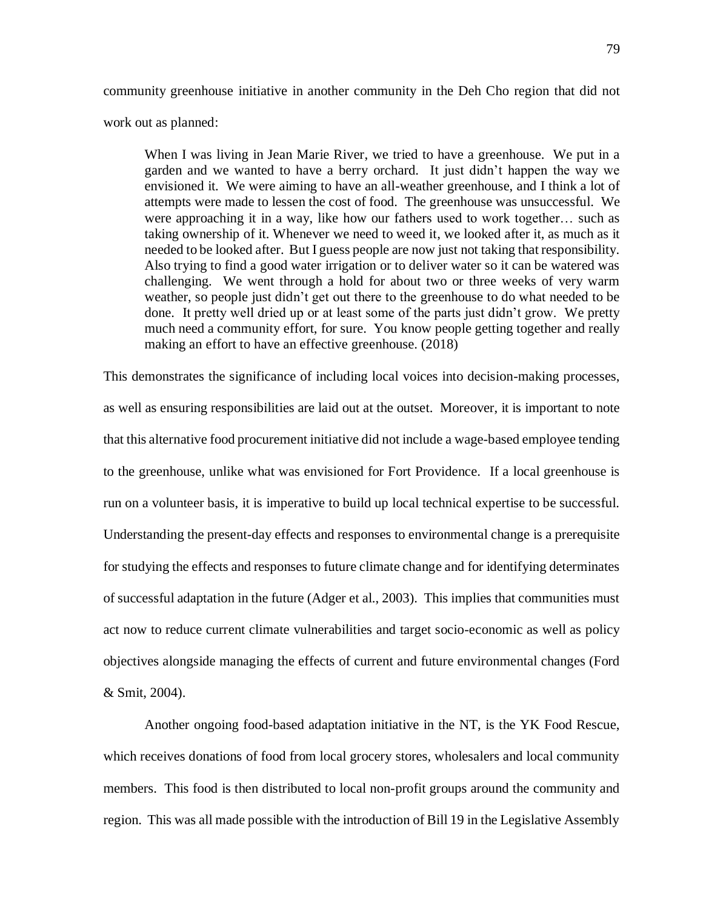community greenhouse initiative in another community in the Deh Cho region that did not work out as planned:

When I was living in Jean Marie River, we tried to have a greenhouse. We put in a garden and we wanted to have a berry orchard. It just didn't happen the way we envisioned it. We were aiming to have an all-weather greenhouse, and I think a lot of attempts were made to lessen the cost of food. The greenhouse was unsuccessful. We were approaching it in a way, like how our fathers used to work together… such as taking ownership of it. Whenever we need to weed it, we looked after it, as much as it needed to be looked after. But I guess people are now just not taking that responsibility. Also trying to find a good water irrigation or to deliver water so it can be watered was challenging. We went through a hold for about two or three weeks of very warm weather, so people just didn't get out there to the greenhouse to do what needed to be done. It pretty well dried up or at least some of the parts just didn't grow. We pretty much need a community effort, for sure. You know people getting together and really making an effort to have an effective greenhouse. (2018)

This demonstrates the significance of including local voices into decision-making processes, as well as ensuring responsibilities are laid out at the outset. Moreover, it is important to note that this alternative food procurement initiative did not include a wage-based employee tending to the greenhouse, unlike what was envisioned for Fort Providence. If a local greenhouse is run on a volunteer basis, it is imperative to build up local technical expertise to be successful. Understanding the present-day effects and responses to environmental change is a prerequisite for studying the effects and responses to future climate change and for identifying determinates of successful adaptation in the future (Adger et al., 2003). This implies that communities must act now to reduce current climate vulnerabilities and target socio-economic as well as policy objectives alongside managing the effects of current and future environmental changes (Ford & Smit, 2004).

Another ongoing food-based adaptation initiative in the NT, is the YK Food Rescue, which receives donations of food from local grocery stores, wholesalers and local community members. This food is then distributed to local non-profit groups around the community and region. This was all made possible with the introduction of Bill 19 in the Legislative Assembly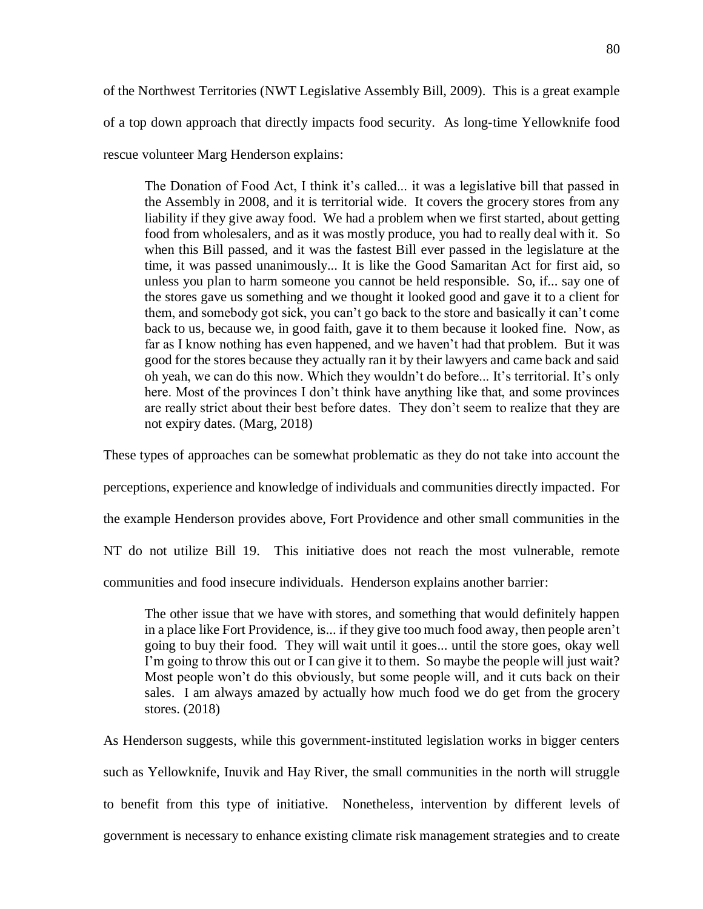of the Northwest Territories (NWT Legislative Assembly Bill, 2009). This is a great example of a top down approach that directly impacts food security. As long-time Yellowknife food rescue volunteer Marg Henderson explains:

The Donation of Food Act, I think it's called... it was a legislative bill that passed in the Assembly in 2008, and it is territorial wide. It covers the grocery stores from any liability if they give away food. We had a problem when we first started, about getting food from wholesalers, and as it was mostly produce, you had to really deal with it. So when this Bill passed, and it was the fastest Bill ever passed in the legislature at the time, it was passed unanimously... It is like the Good Samaritan Act for first aid, so unless you plan to harm someone you cannot be held responsible. So, if... say one of the stores gave us something and we thought it looked good and gave it to a client for them, and somebody got sick, you can't go back to the store and basically it can't come back to us, because we, in good faith, gave it to them because it looked fine. Now, as far as I know nothing has even happened, and we haven't had that problem. But it was good for the stores because they actually ran it by their lawyers and came back and said oh yeah, we can do this now. Which they wouldn't do before... It's territorial. It's only here. Most of the provinces I don't think have anything like that, and some provinces are really strict about their best before dates. They don't seem to realize that they are not expiry dates. (Marg, 2018)

These types of approaches can be somewhat problematic as they do not take into account the

perceptions, experience and knowledge of individuals and communities directly impacted. For

the example Henderson provides above, Fort Providence and other small communities in the

NT do not utilize Bill 19. This initiative does not reach the most vulnerable, remote

communities and food insecure individuals. Henderson explains another barrier:

The other issue that we have with stores, and something that would definitely happen in a place like Fort Providence, is... if they give too much food away, then people aren't going to buy their food. They will wait until it goes... until the store goes, okay well I'm going to throw this out or I can give it to them. So maybe the people will just wait? Most people won't do this obviously, but some people will, and it cuts back on their sales. I am always amazed by actually how much food we do get from the grocery stores. (2018)

As Henderson suggests, while this government-instituted legislation works in bigger centers such as Yellowknife, Inuvik and Hay River, the small communities in the north will struggle to benefit from this type of initiative. Nonetheless, intervention by different levels of government is necessary to enhance existing climate risk management strategies and to create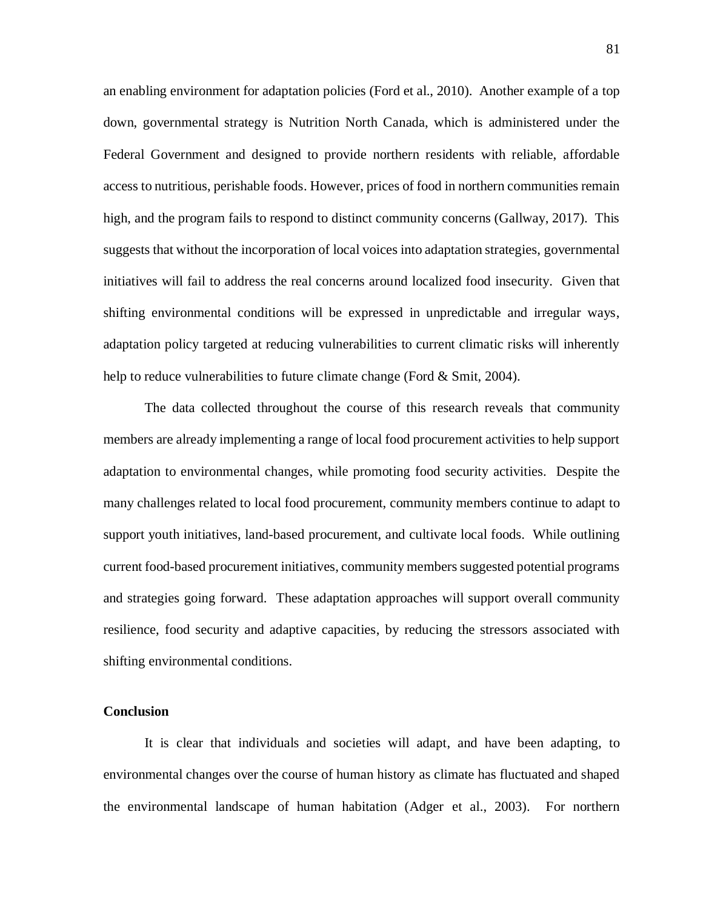an enabling environment for adaptation policies (Ford et al., 2010). Another example of a top down, governmental strategy is Nutrition North Canada, which is administered under the Federal Government and designed to provide northern residents with reliable, affordable access to nutritious, perishable foods. However, prices of food in northern communities remain high, and the program fails to respond to distinct community concerns (Gallway, 2017). This suggests that without the incorporation of local voices into adaptation strategies, governmental initiatives will fail to address the real concerns around localized food insecurity. Given that shifting environmental conditions will be expressed in unpredictable and irregular ways, adaptation policy targeted at reducing vulnerabilities to current climatic risks will inherently help to reduce vulnerabilities to future climate change (Ford & Smit, 2004).

The data collected throughout the course of this research reveals that community members are already implementing a range of local food procurement activities to help support adaptation to environmental changes, while promoting food security activities. Despite the many challenges related to local food procurement, community members continue to adapt to support youth initiatives, land-based procurement, and cultivate local foods. While outlining current food-based procurement initiatives, community members suggested potential programs and strategies going forward. These adaptation approaches will support overall community resilience, food security and adaptive capacities, by reducing the stressors associated with shifting environmental conditions.

#### **Conclusion**

It is clear that individuals and societies will adapt, and have been adapting, to environmental changes over the course of human history as climate has fluctuated and shaped the environmental landscape of human habitation (Adger et al., 2003). For northern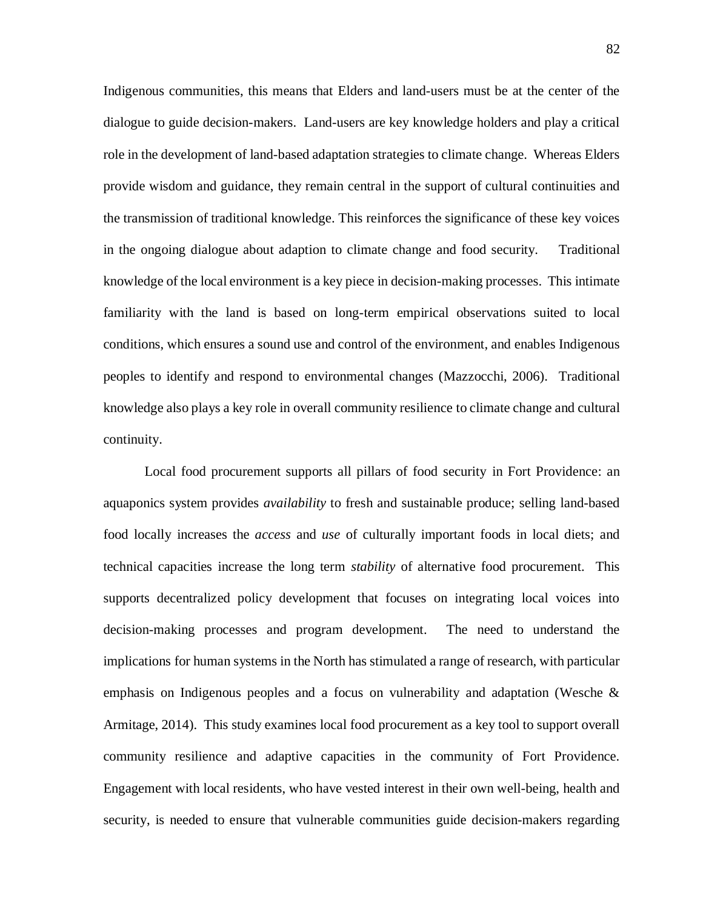Indigenous communities, this means that Elders and land-users must be at the center of the dialogue to guide decision-makers. Land-users are key knowledge holders and play a critical role in the development of land-based adaptation strategies to climate change. Whereas Elders provide wisdom and guidance, they remain central in the support of cultural continuities and the transmission of traditional knowledge. This reinforces the significance of these key voices in the ongoing dialogue about adaption to climate change and food security. Traditional knowledge of the local environment is a key piece in decision-making processes. This intimate familiarity with the land is based on long-term empirical observations suited to local conditions, which ensures a sound use and control of the environment, and enables Indigenous peoples to identify and respond to environmental changes (Mazzocchi, 2006). Traditional knowledge also plays a key role in overall community resilience to climate change and cultural continuity.

Local food procurement supports all pillars of food security in Fort Providence: an aquaponics system provides *availability* to fresh and sustainable produce; selling land-based food locally increases the *access* and *use* of culturally important foods in local diets; and technical capacities increase the long term *stability* of alternative food procurement. This supports decentralized policy development that focuses on integrating local voices into decision-making processes and program development. The need to understand the implications for human systems in the North has stimulated a range of research, with particular emphasis on Indigenous peoples and a focus on vulnerability and adaptation (Wesche & Armitage, 2014). This study examines local food procurement as a key tool to support overall community resilience and adaptive capacities in the community of Fort Providence. Engagement with local residents, who have vested interest in their own well-being, health and security, is needed to ensure that vulnerable communities guide decision-makers regarding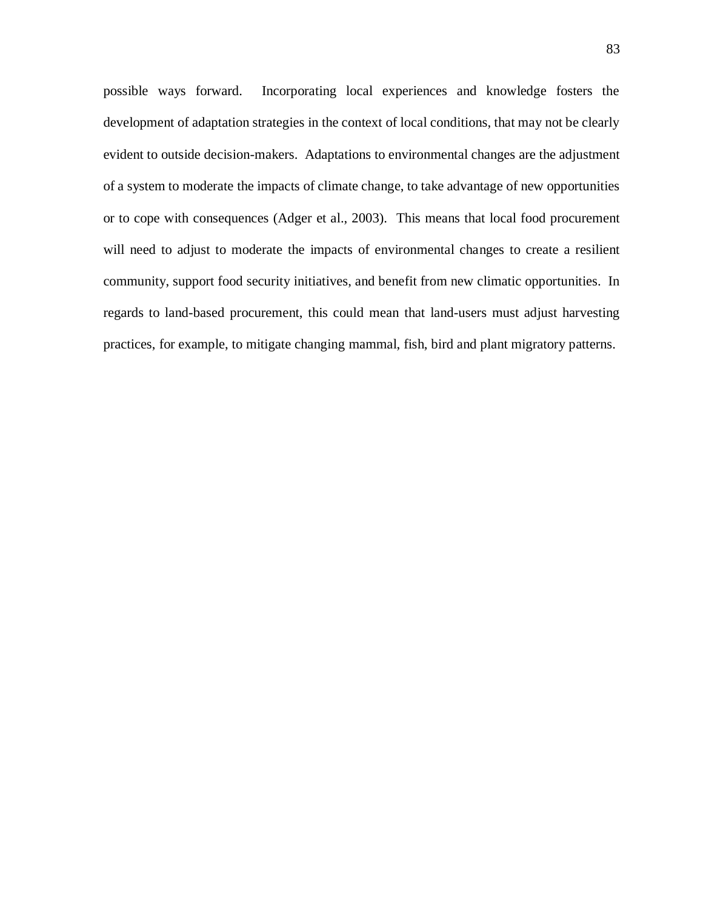possible ways forward. Incorporating local experiences and knowledge fosters the development of adaptation strategies in the context of local conditions, that may not be clearly evident to outside decision-makers. Adaptations to environmental changes are the adjustment of a system to moderate the impacts of climate change, to take advantage of new opportunities or to cope with consequences (Adger et al., 2003). This means that local food procurement will need to adjust to moderate the impacts of environmental changes to create a resilient community, support food security initiatives, and benefit from new climatic opportunities. In regards to land-based procurement, this could mean that land-users must adjust harvesting practices, for example, to mitigate changing mammal, fish, bird and plant migratory patterns.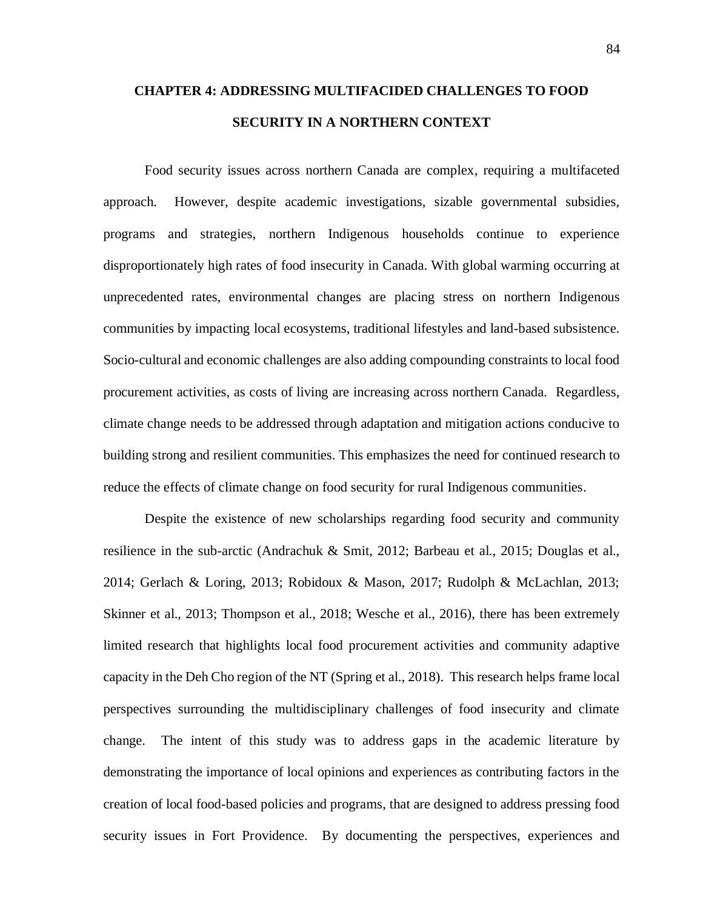# **CHAPTER 4: ADDRESSING MULTIFACIDED CHALLENGES TO FOOD SECURITY IN A NORTHERN CONTEXT**

Food security issues across northern Canada are complex, requiring a multifaceted approach. However, despite academic investigations, sizable governmental subsidies, programs and strategies, northern Indigenous households continue to experience disproportionately high rates of food insecurity in Canada. With global warming occurring at unprecedented rates, environmental changes are placing stress on northern Indigenous communities by impacting local ecosystems, traditional lifestyles and land-based subsistence. Socio-cultural and economic challenges are also adding compounding constraints to local food procurement activities, as costs of living are increasing across northern Canada. Regardless, climate change needs to be addressed through adaptation and mitigation actions conducive to building strong and resilient communities. This emphasizes the need for continued research to reduce the effects of climate change on food security for rural Indigenous communities.

Despite the existence of new scholarships regarding food security and community resilience in the sub-arctic (Andrachuk & Smit, 2012; Barbeau et al., 2015; Douglas et al., 2014; Gerlach & Loring, 2013; Robidoux & Mason, 2017; Rudolph & McLachlan, 2013; Skinner et al., 2013; Thompson et al., 2018; Wesche et al., 2016), there has been extremely limited research that highlights local food procurement activities and community adaptive capacity in the Deh Cho region of the NT (Spring et al., 2018). This research helps frame local perspectives surrounding the multidisciplinary challenges of food insecurity and climate change. The intent of this study was to address gaps in the academic literature by demonstrating the importance of local opinions and experiences as contributing factors in the creation of local food-based policies and programs, that are designed to address pressing food security issues in Fort Providence. By documenting the perspectives, experiences and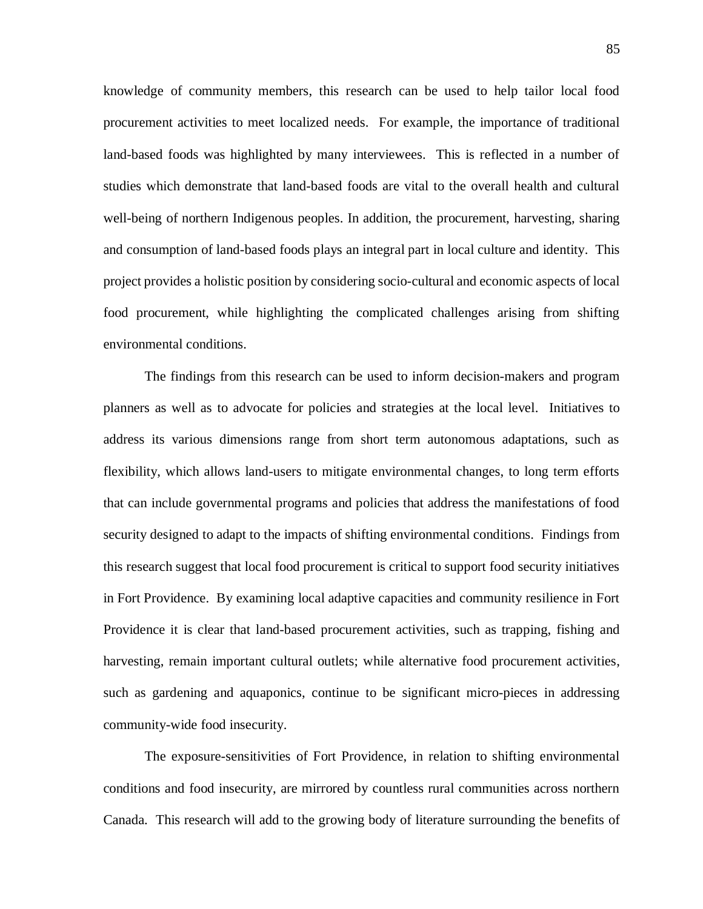knowledge of community members, this research can be used to help tailor local food procurement activities to meet localized needs. For example, the importance of traditional land-based foods was highlighted by many interviewees. This is reflected in a number of studies which demonstrate that land-based foods are vital to the overall health and cultural well-being of northern Indigenous peoples. In addition, the procurement, harvesting, sharing and consumption of land-based foods plays an integral part in local culture and identity. This project provides a holistic position by considering socio-cultural and economic aspects of local food procurement, while highlighting the complicated challenges arising from shifting environmental conditions.

The findings from this research can be used to inform decision-makers and program planners as well as to advocate for policies and strategies at the local level. Initiatives to address its various dimensions range from short term autonomous adaptations, such as flexibility, which allows land-users to mitigate environmental changes, to long term efforts that can include governmental programs and policies that address the manifestations of food security designed to adapt to the impacts of shifting environmental conditions. Findings from this research suggest that local food procurement is critical to support food security initiatives in Fort Providence. By examining local adaptive capacities and community resilience in Fort Providence it is clear that land-based procurement activities, such as trapping, fishing and harvesting, remain important cultural outlets; while alternative food procurement activities, such as gardening and aquaponics, continue to be significant micro-pieces in addressing community-wide food insecurity.

The exposure-sensitivities of Fort Providence, in relation to shifting environmental conditions and food insecurity, are mirrored by countless rural communities across northern Canada. This research will add to the growing body of literature surrounding the benefits of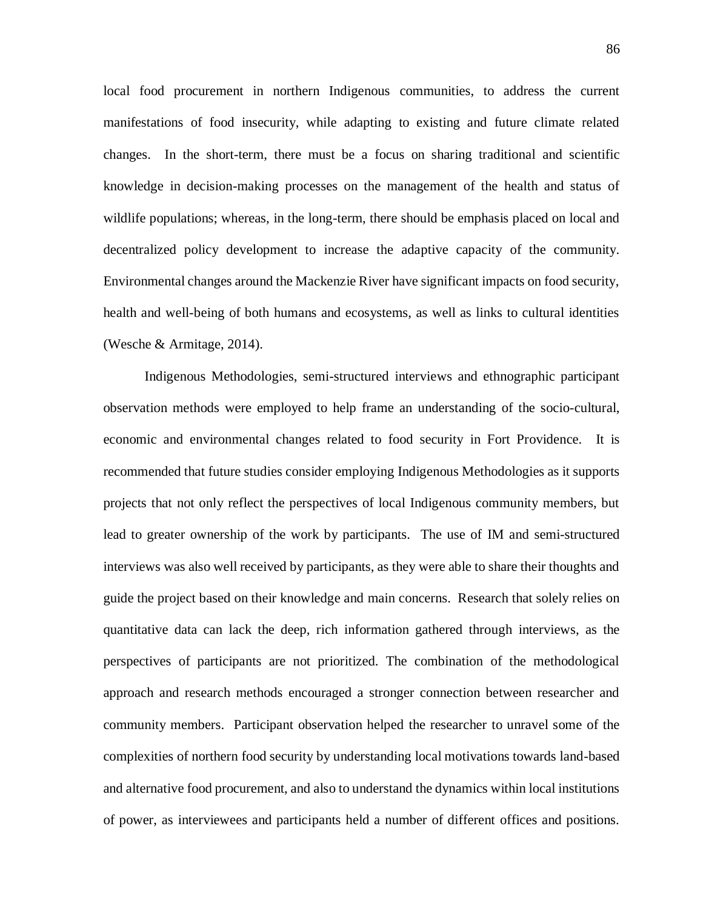local food procurement in northern Indigenous communities, to address the current manifestations of food insecurity, while adapting to existing and future climate related changes. In the short-term, there must be a focus on sharing traditional and scientific knowledge in decision-making processes on the management of the health and status of wildlife populations; whereas, in the long-term, there should be emphasis placed on local and decentralized policy development to increase the adaptive capacity of the community. Environmental changes around the Mackenzie River have significant impacts on food security, health and well-being of both humans and ecosystems, as well as links to cultural identities (Wesche & Armitage, 2014).

Indigenous Methodologies, semi-structured interviews and ethnographic participant observation methods were employed to help frame an understanding of the socio-cultural, economic and environmental changes related to food security in Fort Providence. It is recommended that future studies consider employing Indigenous Methodologies as it supports projects that not only reflect the perspectives of local Indigenous community members, but lead to greater ownership of the work by participants. The use of IM and semi-structured interviews was also well received by participants, as they were able to share their thoughts and guide the project based on their knowledge and main concerns. Research that solely relies on quantitative data can lack the deep, rich information gathered through interviews, as the perspectives of participants are not prioritized. The combination of the methodological approach and research methods encouraged a stronger connection between researcher and community members. Participant observation helped the researcher to unravel some of the complexities of northern food security by understanding local motivations towards land-based and alternative food procurement, and also to understand the dynamics within local institutions of power, as interviewees and participants held a number of different offices and positions.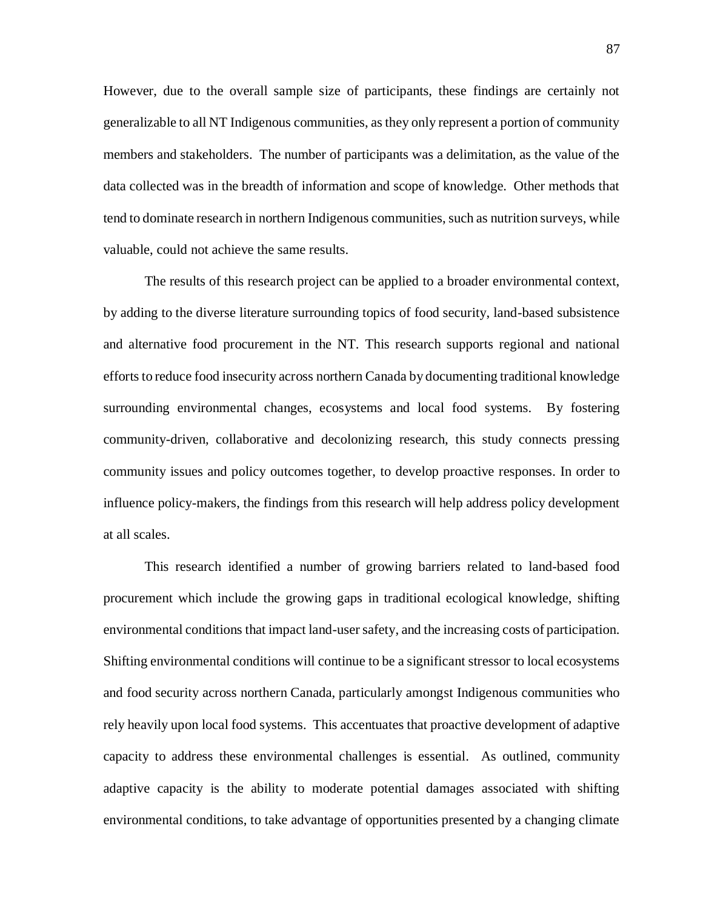However, due to the overall sample size of participants, these findings are certainly not generalizable to all NT Indigenous communities, as they only represent a portion of community members and stakeholders. The number of participants was a delimitation, as the value of the data collected was in the breadth of information and scope of knowledge. Other methods that tend to dominate research in northern Indigenous communities, such as nutrition surveys, while valuable, could not achieve the same results.

The results of this research project can be applied to a broader environmental context, by adding to the diverse literature surrounding topics of food security, land-based subsistence and alternative food procurement in the NT. This research supports regional and national efforts to reduce food insecurity across northern Canada by documenting traditional knowledge surrounding environmental changes, ecosystems and local food systems. By fostering community-driven, collaborative and decolonizing research, this study connects pressing community issues and policy outcomes together, to develop proactive responses. In order to influence policy-makers, the findings from this research will help address policy development at all scales.

This research identified a number of growing barriers related to land-based food procurement which include the growing gaps in traditional ecological knowledge, shifting environmental conditions that impact land-user safety, and the increasing costs of participation. Shifting environmental conditions will continue to be a significant stressor to local ecosystems and food security across northern Canada, particularly amongst Indigenous communities who rely heavily upon local food systems. This accentuates that proactive development of adaptive capacity to address these environmental challenges is essential. As outlined, community adaptive capacity is the ability to moderate potential damages associated with shifting environmental conditions, to take advantage of opportunities presented by a changing climate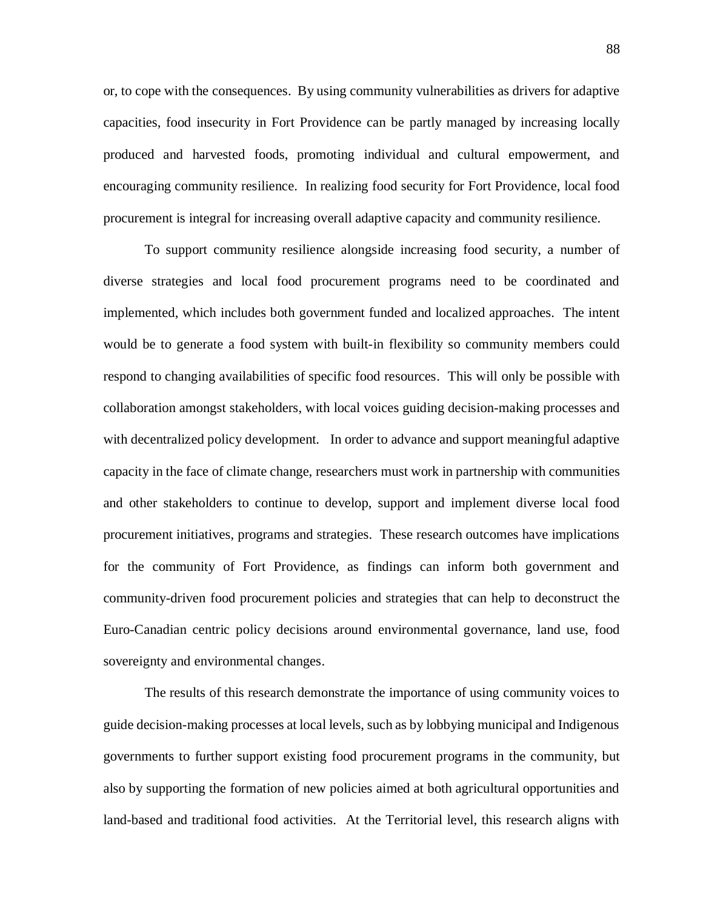or, to cope with the consequences. By using community vulnerabilities as drivers for adaptive capacities, food insecurity in Fort Providence can be partly managed by increasing locally produced and harvested foods, promoting individual and cultural empowerment, and encouraging community resilience. In realizing food security for Fort Providence, local food procurement is integral for increasing overall adaptive capacity and community resilience.

To support community resilience alongside increasing food security, a number of diverse strategies and local food procurement programs need to be coordinated and implemented, which includes both government funded and localized approaches. The intent would be to generate a food system with built-in flexibility so community members could respond to changing availabilities of specific food resources. This will only be possible with collaboration amongst stakeholders, with local voices guiding decision-making processes and with decentralized policy development. In order to advance and support meaningful adaptive capacity in the face of climate change, researchers must work in partnership with communities and other stakeholders to continue to develop, support and implement diverse local food procurement initiatives, programs and strategies. These research outcomes have implications for the community of Fort Providence, as findings can inform both government and community-driven food procurement policies and strategies that can help to deconstruct the Euro-Canadian centric policy decisions around environmental governance, land use, food sovereignty and environmental changes.

The results of this research demonstrate the importance of using community voices to guide decision-making processes at local levels, such as by lobbying municipal and Indigenous governments to further support existing food procurement programs in the community, but also by supporting the formation of new policies aimed at both agricultural opportunities and land-based and traditional food activities. At the Territorial level, this research aligns with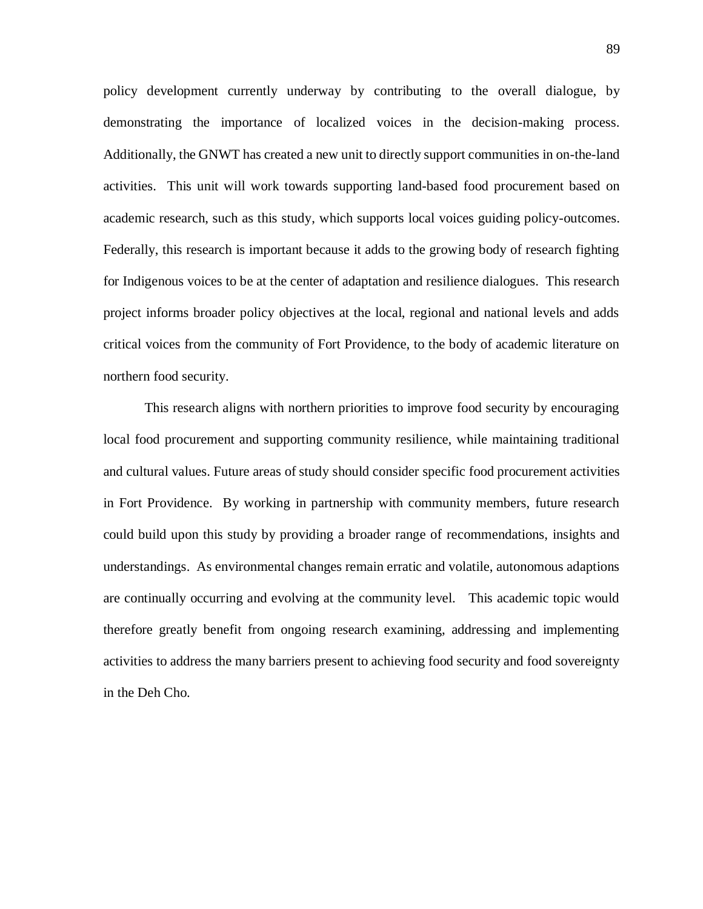policy development currently underway by contributing to the overall dialogue, by demonstrating the importance of localized voices in the decision-making process. Additionally, the GNWT has created a new unit to directly support communities in on-the-land activities. This unit will work towards supporting land-based food procurement based on academic research, such as this study, which supports local voices guiding policy-outcomes. Federally, this research is important because it adds to the growing body of research fighting for Indigenous voices to be at the center of adaptation and resilience dialogues. This research project informs broader policy objectives at the local, regional and national levels and adds critical voices from the community of Fort Providence, to the body of academic literature on northern food security.

This research aligns with northern priorities to improve food security by encouraging local food procurement and supporting community resilience, while maintaining traditional and cultural values. Future areas of study should consider specific food procurement activities in Fort Providence. By working in partnership with community members, future research could build upon this study by providing a broader range of recommendations, insights and understandings. As environmental changes remain erratic and volatile, autonomous adaptions are continually occurring and evolving at the community level. This academic topic would therefore greatly benefit from ongoing research examining, addressing and implementing activities to address the many barriers present to achieving food security and food sovereignty in the Deh Cho.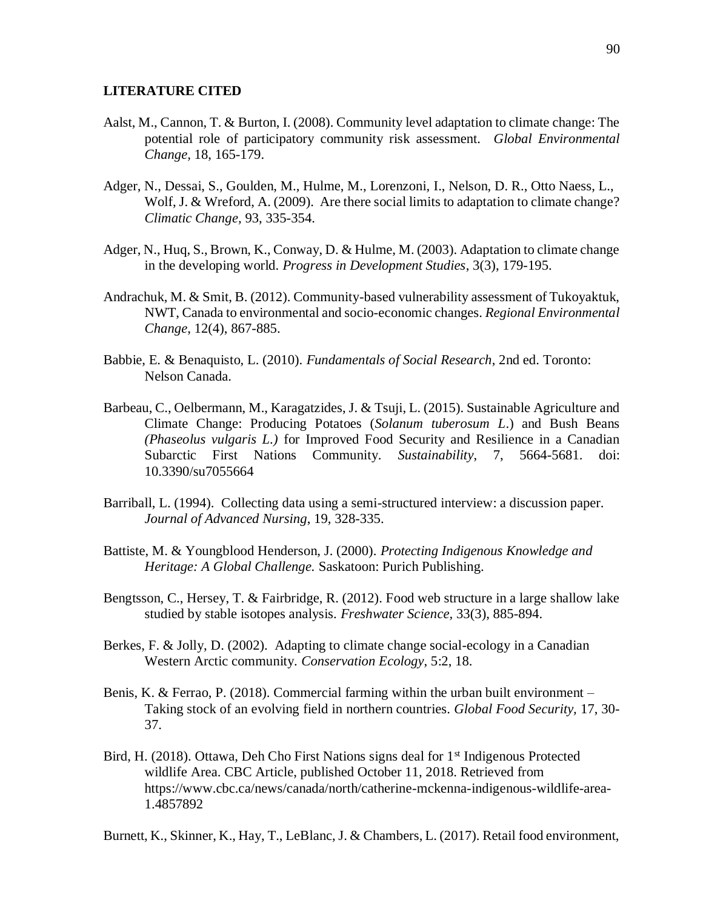#### **LITERATURE CITED**

- Aalst, M., Cannon, T. & Burton, I. (2008). Community level adaptation to climate change: The potential role of participatory community risk assessment. *Global Environmental Change,* 18, 165-179.
- Adger, N., Dessai, S., Goulden, M., Hulme, M., Lorenzoni, I., Nelson, D. R., Otto Naess, L., Wolf, J. & Wreford, A. (2009). Are there social limits to adaptation to climate change? *Climatic Change,* 93, 335-354.
- Adger, N., Huq, S., Brown, K., Conway, D. & Hulme, M. (2003). Adaptation to climate change in the developing world. *Progress in Development Studies*, 3(3), 179-195.
- Andrachuk, M. & Smit, B. (2012). Community-based vulnerability assessment of Tukoyaktuk, NWT, Canada to environmental and socio-economic changes. *Regional Environmental Change*, 12(4), 867-885.
- Babbie, E. & Benaquisto, L. (2010). *Fundamentals of Social Research*, 2nd ed. Toronto: Nelson Canada.
- Barbeau, C., Oelbermann, M., Karagatzides, J. & Tsuji, L. (2015). Sustainable Agriculture and Climate Change: Producing Potatoes (*Solanum tuberosum L*.) and Bush Beans *(Phaseolus vulgaris L.)* for Improved Food Security and Resilience in a Canadian Subarctic First Nations Community. *Sustainability*, 7, 5664-5681. doi: 10.3390/su7055664
- Barriball, L. (1994). Collecting data using a semi-structured interview: a discussion paper. *Journal of Advanced Nursing*, 19, 328-335.
- Battiste, M. & Youngblood Henderson, J. (2000). *Protecting Indigenous Knowledge and Heritage: A Global Challenge.* Saskatoon: Purich Publishing.
- Bengtsson, C., Hersey, T. & Fairbridge, R. (2012). Food web structure in a large shallow lake studied by stable isotopes analysis. *Freshwater Science,* 33(3), 885-894.
- Berkes, F. & Jolly, D. (2002). Adapting to climate change social-ecology in a Canadian Western Arctic community. *Conservation Ecology*, 5:2, 18.
- Benis, K. & Ferrao, P. (2018). Commercial farming within the urban built environment Taking stock of an evolving field in northern countries. *Global Food Security,* 17, 30- 37.
- Bird, H. (2018). Ottawa, Deh Cho First Nations signs deal for 1<sup>st</sup> Indigenous Protected wildlife Area. CBC Article, published October 11, 2018. Retrieved from https://www.cbc.ca/news/canada/north/catherine-mckenna-indigenous-wildlife-area-1.4857892
- Burnett, K., Skinner, K., Hay, T., LeBlanc, J. & Chambers, L. (2017). Retail food environment,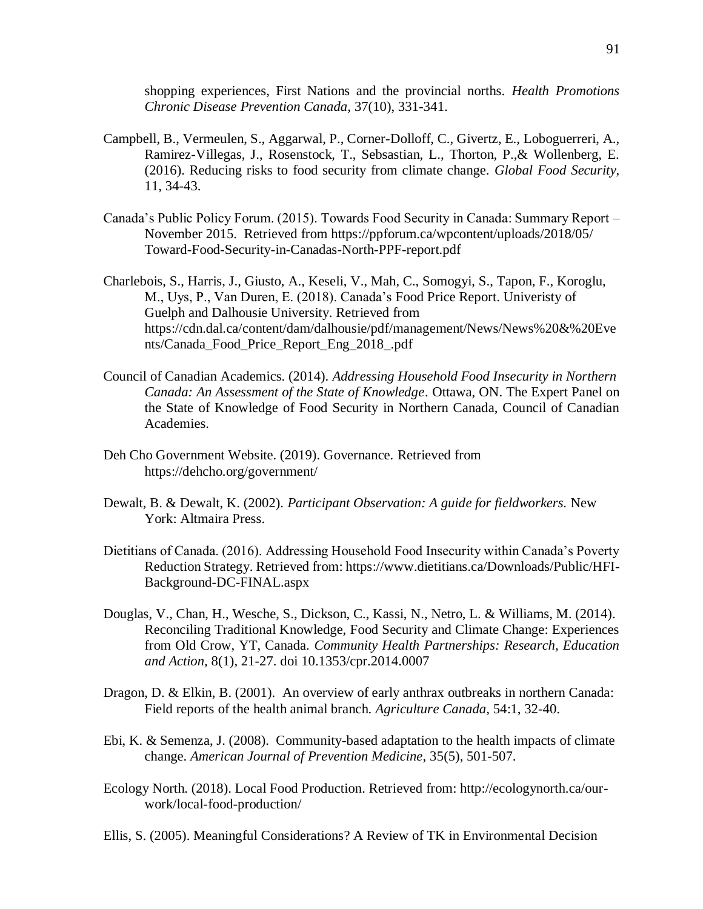shopping experiences, First Nations and the provincial norths. *Health Promotions Chronic Disease Prevention Canada,* 37(10), 331-341.

- Campbell, B., Vermeulen, S., Aggarwal, P., Corner-Dolloff, C., Givertz, E., Loboguerreri, A., Ramirez-Villegas, J., Rosenstock, T., Sebsastian, L., Thorton, P.,& Wollenberg, E. (2016). Reducing risks to food security from climate change. *Global Food Security,*  11, 34-43.
- Canada's Public Policy Forum. (2015). Towards Food Security in Canada: Summary Report November 2015. Retrieved from https://ppforum.ca/wpcontent/uploads/2018/05/ Toward-Food-Security-in-Canadas-North-PPF-report.pdf
- Charlebois, S., Harris, J., Giusto, A., Keseli, V., Mah, C., Somogyi, S., Tapon, F., Koroglu, M., Uys, P., Van Duren, E. (2018). Canada's Food Price Report. Univeristy of Guelph and Dalhousie University. Retrieved from https://cdn.dal.ca/content/dam/dalhousie/pdf/management/News/News%20&%20Eve nts/Canada\_Food\_Price\_Report\_Eng\_2018\_.pdf
- Council of Canadian Academics. (2014). *Addressing Household Food Insecurity in Northern Canada: An Assessment of the State of Knowledge*. Ottawa, ON. The Expert Panel on the State of Knowledge of Food Security in Northern Canada, Council of Canadian Academies.
- Deh Cho Government Website. (2019). Governance. Retrieved from https://dehcho.org/government/
- Dewalt, B. & Dewalt, K. (2002). *Participant Observation: A guide for fieldworkers.* New York: Altmaira Press.
- Dietitians of Canada. (2016). Addressing Household Food Insecurity within Canada's Poverty Reduction Strategy. Retrieved from: https://www.dietitians.ca/Downloads/Public/HFI-Background-DC-FINAL.aspx
- Douglas, V., Chan, H., Wesche, S., Dickson, C., Kassi, N., Netro, L. & Williams, M. (2014). Reconciling Traditional Knowledge, Food Security and Climate Change: Experiences from Old Crow, YT, Canada. *Community Health Partnerships: Research, Education and Action,* 8(1), 21-27. doi 10.1353/cpr.2014.0007
- Dragon, D. & Elkin, B. (2001). An overview of early anthrax outbreaks in northern Canada: Field reports of the health animal branch. *Agriculture Canada,* 54:1, 32-40.
- Ebi, K. & Semenza, J. (2008). Community-based adaptation to the health impacts of climate change. *American Journal of Prevention Medicine*, 35(5), 501-507.
- Ecology North. (2018). Local Food Production. Retrieved from: http://ecologynorth.ca/ourwork/local-food-production/
- Ellis, S. (2005). Meaningful Considerations? A Review of TK in Environmental Decision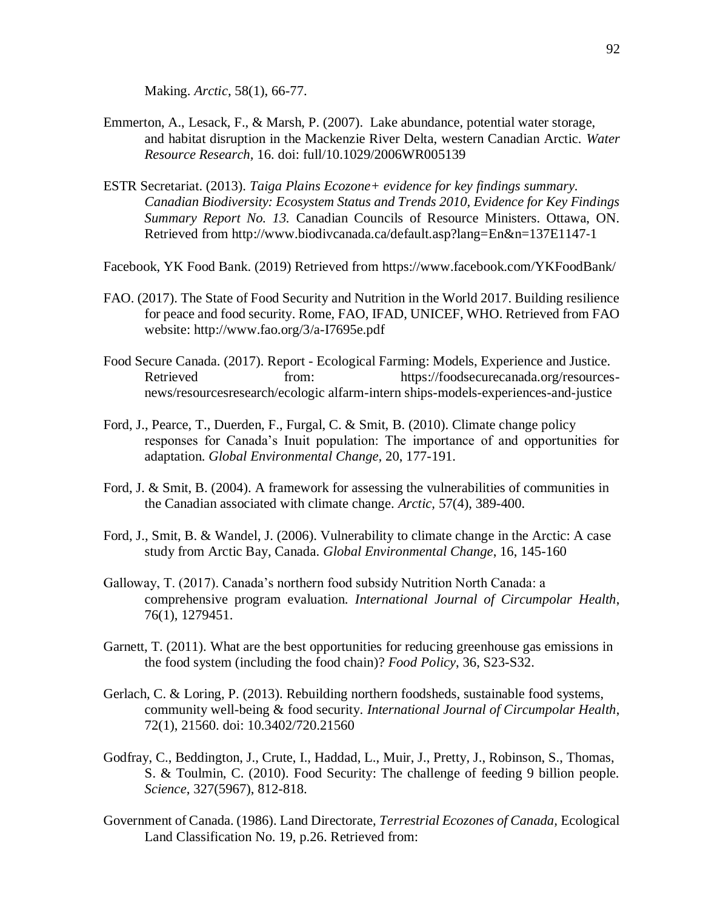Making. *Arctic*, 58(1), 66-77.

- Emmerton, A., Lesack, F., & Marsh, P. (2007). Lake abundance, potential water storage, and habitat disruption in the Mackenzie River Delta, western Canadian Arctic. *Water Resource Research,* 16. doi: full/10.1029/2006WR005139
- ESTR Secretariat. (2013). *Taiga Plains Ecozone+ evidence for key findings summary. Canadian Biodiversity: Ecosystem Status and Trends 2010, Evidence for Key Findings Summary Report No. 13.* Canadian Councils of Resource Ministers. Ottawa, ON. Retrieved from http://www.biodivcanada.ca/default.asp?lang=En&n=137E1147‐1
- Facebook, YK Food Bank. (2019) Retrieved from https://www.facebook.com/YKFoodBank/
- FAO. (2017). The State of Food Security and Nutrition in the World 2017. Building resilience for peace and food security. Rome, FAO, IFAD, UNICEF, WHO. Retrieved from FAO website: http://www.fao.org/3/a-I7695e.pdf
- Food Secure Canada. (2017). Report Ecological Farming: Models, Experience and Justice. Retrieved from: https://foodsecurecanada.org/resourcesnews/resourcesresearch/ecologic alfarm-intern ships-models-experiences-and-justice
- Ford, J., Pearce, T., Duerden, F., Furgal, C. & Smit, B. (2010). Climate change policy responses for Canada's Inuit population: The importance of and opportunities for adaptation. *Global Environmental Change,* 20, 177-191.
- Ford, J. & Smit, B. (2004). A framework for assessing the vulnerabilities of communities in the Canadian associated with climate change. *Arctic,* 57(4), 389-400.
- Ford, J., Smit, B. & Wandel, J. (2006). Vulnerability to climate change in the Arctic: A case study from Arctic Bay, Canada. *Global Environmental Change*, 16, 145-160
- Galloway, T. (2017). Canada's northern food subsidy Nutrition North Canada: a comprehensive program evaluation. *International Journal of Circumpolar Health*, 76(1), 1279451.
- Garnett, T. (2011). What are the best opportunities for reducing greenhouse gas emissions in the food system (including the food chain)? *Food Policy*, 36, S23-S32.
- Gerlach, C. & Loring, P. (2013). Rebuilding northern foodsheds, sustainable food systems, community well-being & food security. *International Journal of Circumpolar Health*, 72(1), 21560. doi: 10.3402/720.21560
- Godfray, C., Beddington, J., Crute, I., Haddad, L., Muir, J., Pretty, J., Robinson, S., Thomas, S. & Toulmin, C. (2010). Food Security: The challenge of feeding 9 billion people. *Science*, 327(5967), 812-818.
- Government of Canada. (1986). Land Directorate, *Terrestrial Ecozones of Canada,* Ecological Land Classification No. 19, p.26. Retrieved from: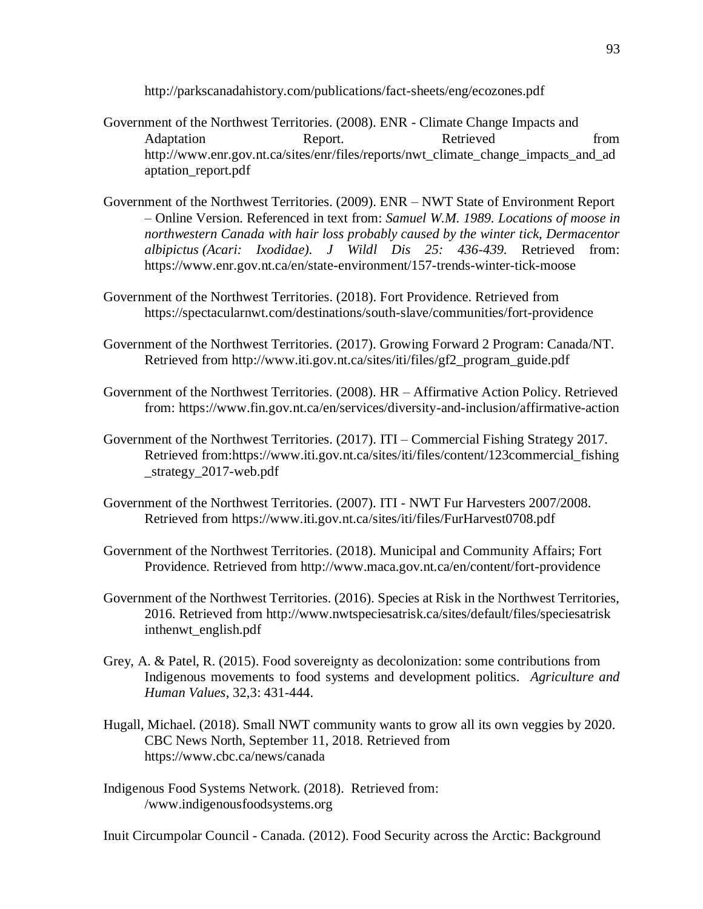http://parkscanadahistory.com/publications/fact-sheets/eng/ecozones.pdf

- Government of the Northwest Territories. (2008). ENR Climate Change Impacts and Adaptation **Report.** Report. Retrieved **Report** http://www.enr.gov.nt.ca/sites/enr/files/reports/nwt\_climate\_change\_impacts\_and\_ad aptation\_report.pdf
- Government of the Northwest Territories. (2009). ENR NWT State of Environment Report – Online Version. Referenced in text from: *Samuel W.M. 1989. Locations of moose in northwestern Canada with hair loss probably caused by the winter tick, Dermacentor albipictus (Acari: Ixodidae). J Wildl Dis 25: 436-439.* Retrieved from: https://www.enr.gov.nt.ca/en/state-environment/157-trends-winter-tick-moose
- Government of the Northwest Territories. (2018). Fort Providence. Retrieved from https://spectacularnwt.com/destinations/south-slave/communities/fort-providence
- Government of the Northwest Territories. (2017). Growing Forward 2 Program: Canada/NT. Retrieved from http://www.iti.gov.nt.ca/sites/iti/files/gf2\_program\_guide.pdf
- Government of the Northwest Territories. (2008). HR Affirmative Action Policy. Retrieved from: https://www.fin.gov.nt.ca/en/services/diversity-and-inclusion/affirmative-action
- Government of the Northwest Territories. (2017). ITI Commercial Fishing Strategy 2017. Retrieved from:https://www.iti.gov.nt.ca/sites/iti/files/content/123commercial\_fishing \_strategy\_2017-web.pdf
- Government of the Northwest Territories. (2007). ITI NWT Fur Harvesters 2007/2008. Retrieved from https://www.iti.gov.nt.ca/sites/iti/files/FurHarvest0708.pdf
- Government of the Northwest Territories. (2018). Municipal and Community Affairs; Fort Providence. Retrieved from http://www.maca.gov.nt.ca/en/content/fort-providence
- Government of the Northwest Territories. (2016). Species at Risk in the Northwest Territories, 2016. Retrieved from http://www.nwtspeciesatrisk.ca/sites/default/files/speciesatrisk inthenwt\_english.pdf
- Grey, A. & Patel, R. (2015). Food sovereignty as decolonization: some contributions from Indigenous movements to food systems and development politics. *Agriculture and Human Values*, 32,3: 431-444.
- Hugall, Michael. (2018). Small NWT community wants to grow all its own veggies by 2020. CBC News North, September 11, 2018. Retrieved from https://www.cbc.ca/news/canada
- Indigenous Food Systems Network. (2018). Retrieved from: /www.indigenousfoodsystems.org

Inuit Circumpolar Council - Canada. (2012). Food Security across the Arctic: Background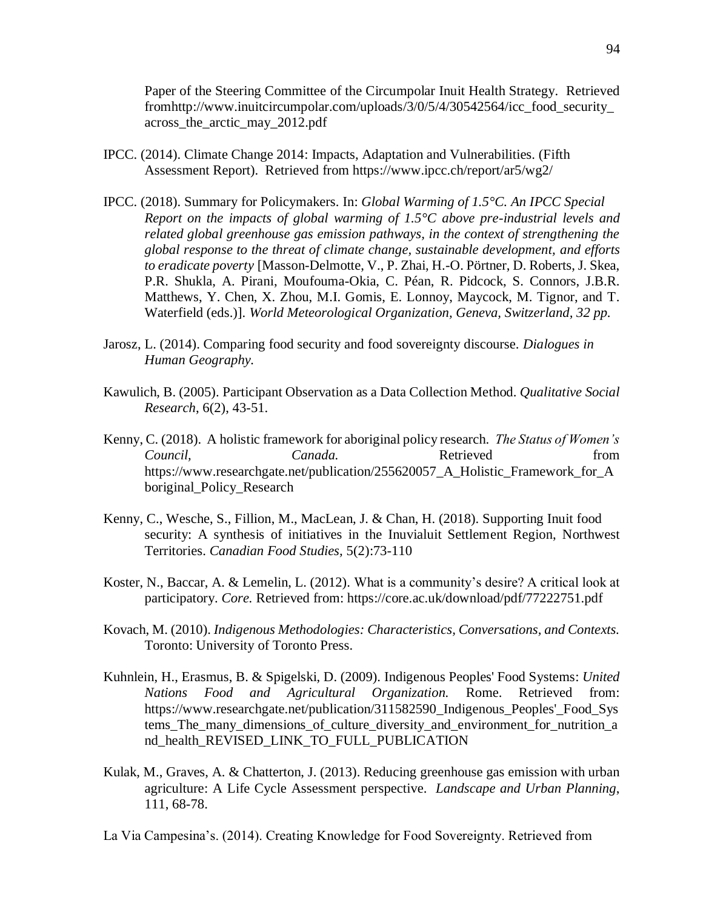Paper of the Steering Committee of the Circumpolar Inuit Health Strategy. Retrieved fromhttp://www.inuitcircumpolar.com/uploads/3/0/5/4/30542564/icc\_food\_security\_ across\_the\_arctic\_may\_2012.pdf

- IPCC. (2014). Climate Change 2014: Impacts, Adaptation and Vulnerabilities. (Fifth Assessment Report). Retrieved from https://www.ipcc.ch/report/ar5/wg2/
- IPCC. (2018). Summary for Policymakers. In: *Global Warming of 1.5°C. An IPCC Special Report on the impacts of global warming of 1.5°C above pre-industrial levels and related global greenhouse gas emission pathways, in the context of strengthening the global response to the threat of climate change, sustainable development, and efforts to eradicate poverty* [Masson-Delmotte, V., P. Zhai, H.-O. Pörtner, D. Roberts, J. Skea, P.R. Shukla, A. Pirani, Moufouma-Okia, C. Péan, R. Pidcock, S. Connors, J.B.R. Matthews, Y. Chen, X. Zhou, M.I. Gomis, E. Lonnoy, Maycock, M. Tignor, and T. Waterfield (eds.)]. *World Meteorological Organization, Geneva, Switzerland, 32 pp.*
- Jarosz, L. (2014). Comparing food security and food sovereignty discourse. *Dialogues in Human Geography.*
- Kawulich, B. (2005). Participant Observation as a Data Collection Method. *Qualitative Social Research*, 6(2), 43-51.
- Kenny, C. (2018). A holistic framework for aboriginal policy research. *The Status of Women's Council, Canada.* **Canada.** Retrieved from https://www.researchgate.net/publication/255620057\_A\_Holistic\_Framework\_for\_A boriginal\_Policy\_Research
- Kenny, C., Wesche, S., Fillion, M., MacLean, J. & Chan, H. (2018). Supporting Inuit food security: A synthesis of initiatives in the Inuvialuit Settlement Region, Northwest Territories. *Canadian Food Studies,* 5(2):73-110
- Koster, N., Baccar, A. & Lemelin, L. (2012). What is a community's desire? A critical look at participatory. *Core.* Retrieved from: https://core.ac.uk/download/pdf/77222751.pdf
- Kovach, M. (2010). *Indigenous Methodologies: Characteristics, Conversations, and Contexts.*  Toronto: University of Toronto Press.
- Kuhnlein, H., Erasmus, B. & Spigelski, D. (2009). Indigenous Peoples' Food Systems: *United Nations Food and Agricultural Organization.* Rome. Retrieved from: https://www.researchgate.net/publication/311582590\_Indigenous\_Peoples'\_Food\_Sys tems\_The\_many\_dimensions\_of\_culture\_diversity\_and\_environment\_for\_nutrition\_a nd\_health\_REVISED\_LINK\_TO\_FULL\_PUBLICATION
- Kulak, M., Graves, A. & Chatterton, J. (2013). Reducing greenhouse gas emission with urban agriculture: A Life Cycle Assessment perspective. *Landscape and Urban Planning*, 111, 68-78.
- La Via Campesina's. (2014). Creating Knowledge for Food Sovereignty. Retrieved from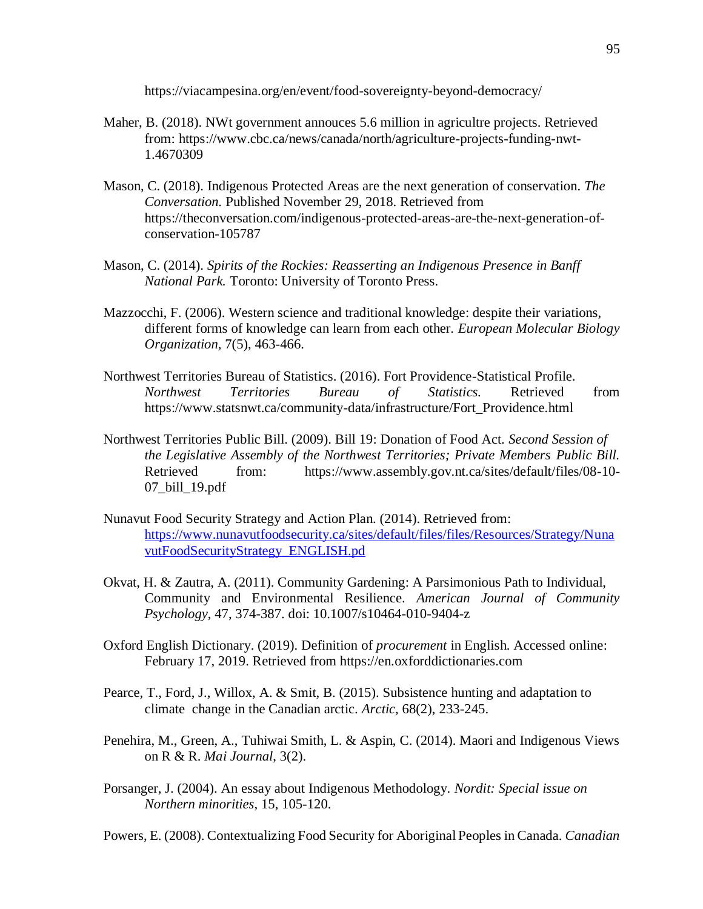https://viacampesina.org/en/event/food-sovereignty-beyond-democracy/

- Maher, B. (2018). NWt government annouces 5.6 million in agricultre projects. Retrieved from: https://www.cbc.ca/news/canada/north/agriculture-projects-funding-nwt-1.4670309
- Mason, C. (2018). Indigenous Protected Areas are the next generation of conservation. *The Conversation.* Published November 29, 2018. Retrieved from https://theconversation.com/indigenous-protected-areas-are-the-next-generation-ofconservation-105787
- Mason, C. (2014). *Spirits of the Rockies: Reasserting an Indigenous Presence in Banff National Park.* Toronto: University of Toronto Press.
- Mazzocchi, F. (2006). Western science and traditional knowledge: despite their variations, different forms of knowledge can learn from each other. *European Molecular Biology Organization,* 7(5), 463-466.
- Northwest Territories Bureau of Statistics. (2016). Fort Providence-Statistical Profile. *Northwest Territories Bureau of Statistics.* Retrieved from https://www.statsnwt.ca/community-data/infrastructure/Fort\_Providence.html
- Northwest Territories Public Bill. (2009). Bill 19: Donation of Food Act. *Second Session of the Legislative Assembly of the Northwest Territories; Private Members Public Bill.*  Retrieved from: https://www.assembly.gov.nt.ca/sites/default/files/08-10- 07\_bill\_19.pdf
- Nunavut Food Security Strategy and Action Plan. (2014). Retrieved from: https://www.nunavutfoodsecurity.ca/sites/default/files/files/Resources/Strategy/Nuna vutFoodSecurityStrategy\_ENGLISH.pd
- Okvat, H. & Zautra, A. (2011). Community Gardening: A Parsimonious Path to Individual, Community and Environmental Resilience. *American Journal of Community Psychology*, 47, 374-387. doi: 10.1007/s10464-010-9404-z
- Oxford English Dictionary. (2019). Definition of *procurement* in English. Accessed online: February 17, 2019. Retrieved from https://en.oxforddictionaries.com
- Pearce, T., Ford, J., Willox, A. & Smit, B. (2015). Subsistence hunting and adaptation to climate change in the Canadian arctic. *Arctic,* 68(2), 233-245.
- Penehira, M., Green, A., Tuhiwai Smith, L. & Aspin, C. (2014). Maori and Indigenous Views on R & R. *Mai Journal*, 3(2).
- Porsanger, J. (2004). An essay about Indigenous Methodology. *Nordit: Special issue on Northern minorities,* 15, 105-120.
- Powers, E. (2008). Contextualizing Food Security for Aboriginal Peoples in Canada. *Canadian*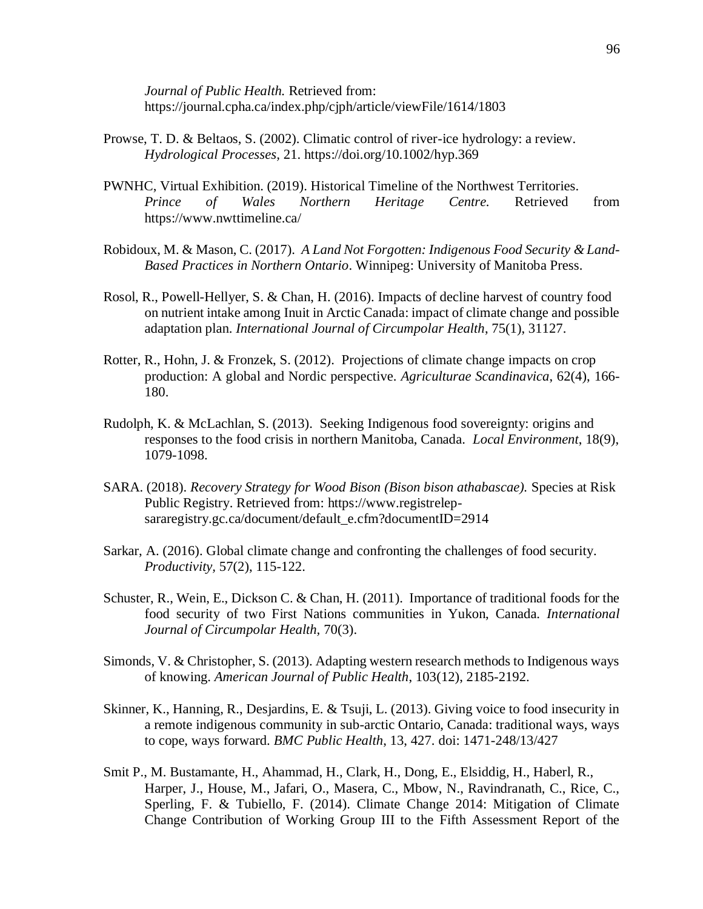*Journal of Public Health.* Retrieved from: https://journal.cpha.ca/index.php/cjph/article/viewFile/1614/1803

- Prowse, T. D. & Beltaos, S. (2002). Climatic control of river-ice hydrology: a review. *Hydrological Processes,* 21.<https://doi.org/10.1002/hyp.369>
- PWNHC, Virtual Exhibition. (2019). Historical Timeline of the Northwest Territories. *Prince of Wales Northern Heritage Centre.* Retrieved from https://www.nwttimeline.ca/
- Robidoux, M. & Mason, C. (2017). *A Land Not Forgotten: Indigenous Food Security & Land-Based Practices in Northern Ontario*. Winnipeg: University of Manitoba Press.
- Rosol, R., Powell-Hellyer, S. & Chan, H. (2016). Impacts of decline harvest of country food on nutrient intake among Inuit in Arctic Canada: impact of climate change and possible adaptation plan. *International Journal of Circumpolar Health*, 75(1), 31127.
- Rotter, R., Hohn, J. & Fronzek, S. (2012). Projections of climate change impacts on crop production: A global and Nordic perspective. *Agriculturae Scandinavica*, 62(4), 166- 180.
- Rudolph, K. & McLachlan, S. (2013). Seeking Indigenous food sovereignty: origins and responses to the food crisis in northern Manitoba, Canada. *Local Environment*, 18(9), 1079-1098.
- SARA. (2018). *Recovery Strategy for Wood Bison (Bison bison athabascae).* Species at Risk Public Registry. Retrieved from: https://www.registrelepsararegistry.gc.ca/document/default\_e.cfm?documentID=2914
- Sarkar, A. (2016). Global climate change and confronting the challenges of food security. *Productivity,* 57(2), 115-122.
- Schuster, R., Wein, E., Dickson C. & Chan, H. (2011). Importance of traditional foods for the food security of two First Nations communities in Yukon, Canada. *International Journal of Circumpolar Health,* 70(3).
- Simonds, V. & Christopher, S. (2013). Adapting western research methods to Indigenous ways of knowing. *American Journal of Public Health*, 103(12), 2185-2192.
- Skinner, K., Hanning, R., Desjardins, E. & Tsuji, L. (2013). Giving voice to food insecurity in a remote indigenous community in sub-arctic Ontario, Canada: traditional ways, ways to cope, ways forward. *BMC Public Health*, 13, 427. doi: 1471-248/13/427
- Smit P., M. Bustamante, H., Ahammad, H., Clark, H., Dong, E., Elsiddig, H., Haberl, R., Harper, J., House, M., Jafari, O., Masera, C., Mbow, N., Ravindranath, C., Rice, C., Sperling, F. & Tubiello, F. (2014). Climate Change 2014: Mitigation of Climate Change Contribution of Working Group III to the Fifth Assessment Report of the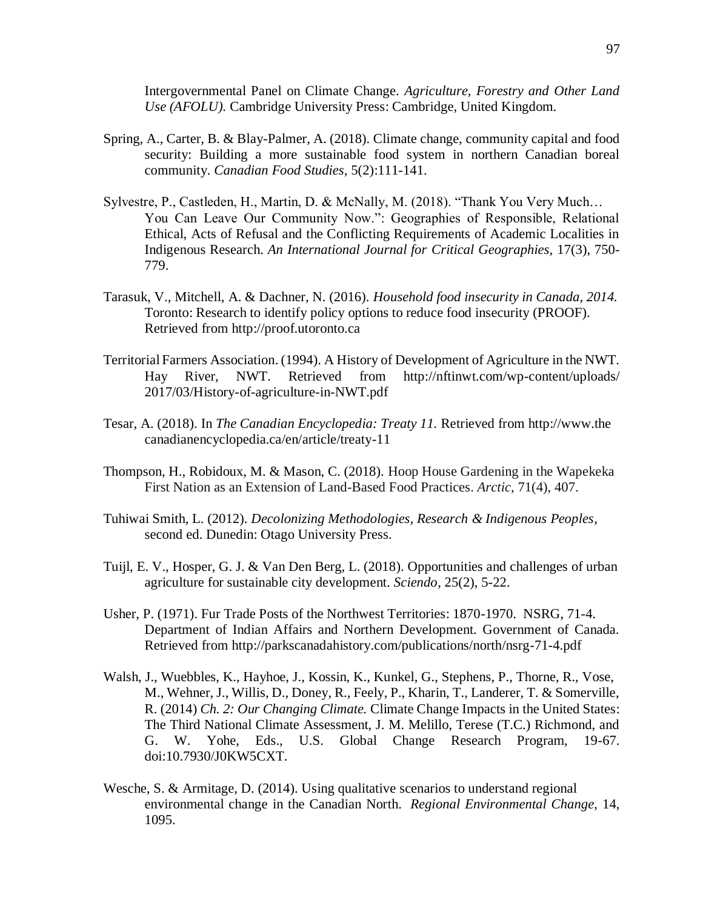Intergovernmental Panel on Climate Change. *Agriculture, Forestry and Other Land Use (AFOLU).* Cambridge University Press: Cambridge, United Kingdom.

- Spring, A., Carter, B. & Blay-Palmer, A. (2018). Climate change, community capital and food security: Building a more sustainable food system in northern Canadian boreal community. *Canadian Food Studies,* 5(2):111-141.
- Sylvestre, P., Castleden, H., Martin, D. & McNally, M. (2018). "Thank You Very Much… You Can Leave Our Community Now.": Geographies of Responsible, Relational Ethical, Acts of Refusal and the Conflicting Requirements of Academic Localities in Indigenous Research. *An International Journal for Critical Geographies,* 17(3), 750- 779.
- Tarasuk, V., Mitchell, A. & Dachner, N. (2016). *Household food insecurity in Canada, 2014.*  Toronto: Research to identify policy options to reduce food insecurity (PROOF). Retrieved from http://proof.utoronto.ca
- Territorial Farmers Association. (1994). A History of Development of Agriculture in the NWT. Hay River, NWT. Retrieved from http://nftinwt.com/wp-content/uploads/ 2017/03/History-of-agriculture-in-NWT.pdf
- Tesar, A. (2018). In *The Canadian Encyclopedia: Treaty 11.* Retrieved from http://www.the canadianencyclopedia.ca/en/article/treaty-11
- Thompson, H., Robidoux, M. & Mason, C. (2018). Hoop House Gardening in the Wapekeka First Nation as an Extension of Land-Based Food Practices. *Arctic*, 71(4), 407.
- Tuhiwai Smith, L. (2012). *Decolonizing Methodologies, Research & Indigenous Peoples*, second ed. Dunedin: Otago University Press.
- Tuijl, E. V., Hosper, G. J. & Van Den Berg, L. (2018). Opportunities and challenges of urban agriculture for sustainable city development. *Sciendo,* 25(2), 5-22.
- Usher, P. (1971). Fur Trade Posts of the Northwest Territories: 1870-1970. NSRG, 71-4. Department of Indian Affairs and Northern Development. Government of Canada. Retrieved from http://parkscanadahistory.com/publications/north/nsrg-71-4.pdf
- Walsh, J., Wuebbles, K., Hayhoe, J., Kossin, K., Kunkel, G., Stephens, P., Thorne, R., Vose, M., Wehner, J., Willis, D., Doney, R., Feely, P., Kharin, T., Landerer, T. & Somerville, R. (2014) *Ch. 2: Our Changing Climate.* Climate Change Impacts in the United States: The Third National Climate Assessment, J. M. Melillo, Terese (T.C.) Richmond, and G. W. Yohe, Eds., U.S. Global Change Research Program, 19-67. doi:10.7930/J0KW5CXT.
- Wesche, S. & Armitage, D. (2014). Using qualitative scenarios to understand regional environmental change in the Canadian North. *Regional Environmental Change*, 14, 1095.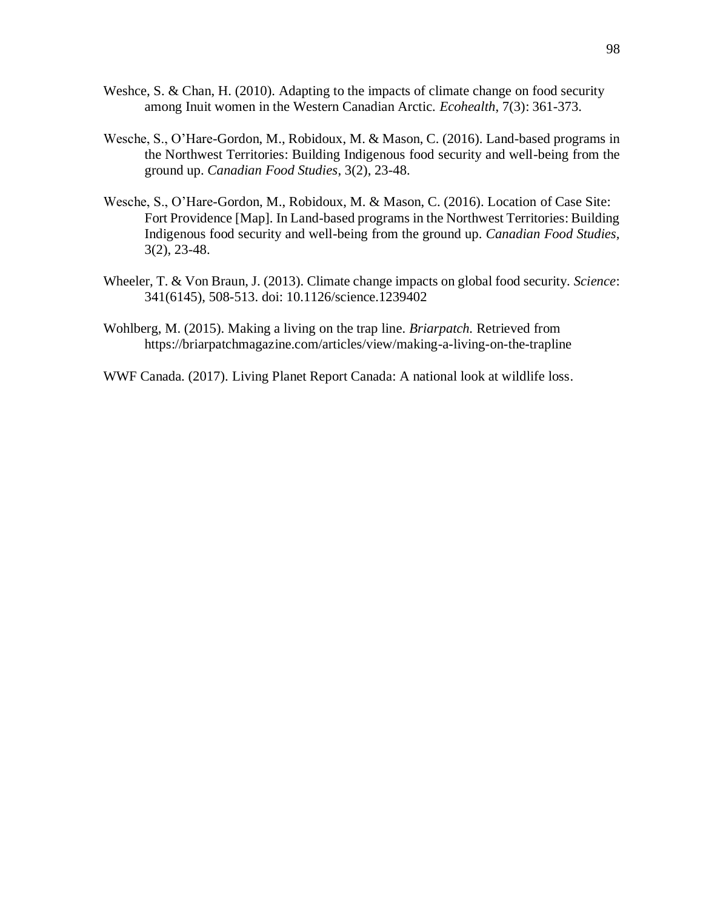- Weshce, S. & Chan, H. (2010). Adapting to the impacts of climate change on food security among Inuit women in the Western Canadian Arctic. *Ecohealth*, 7(3): 361-373.
- Wesche, S., O'Hare-Gordon, M., Robidoux, M. & Mason, C. (2016). Land-based programs in the Northwest Territories: Building Indigenous food security and well-being from the ground up. *Canadian Food Studies*, 3(2), 23-48.
- Wesche, S., O'Hare-Gordon, M., Robidoux, M. & Mason, C. (2016). Location of Case Site: Fort Providence [Map]. In Land-based programs in the Northwest Territories: Building Indigenous food security and well-being from the ground up. *Canadian Food Studies,* 3(2), 23-48.
- Wheeler, T. & Von Braun, J. (2013). Climate change impacts on global food security. *Science*: 341(6145), 508-513. doi: 10.1126/science.1239402
- Wohlberg, M. (2015). Making a living on the trap line. *Briarpatch.* Retrieved from https://briarpatchmagazine.com/articles/view/making-a-living-on-the-trapline
- WWF Canada. (2017). Living Planet Report Canada: A national look at wildlife loss.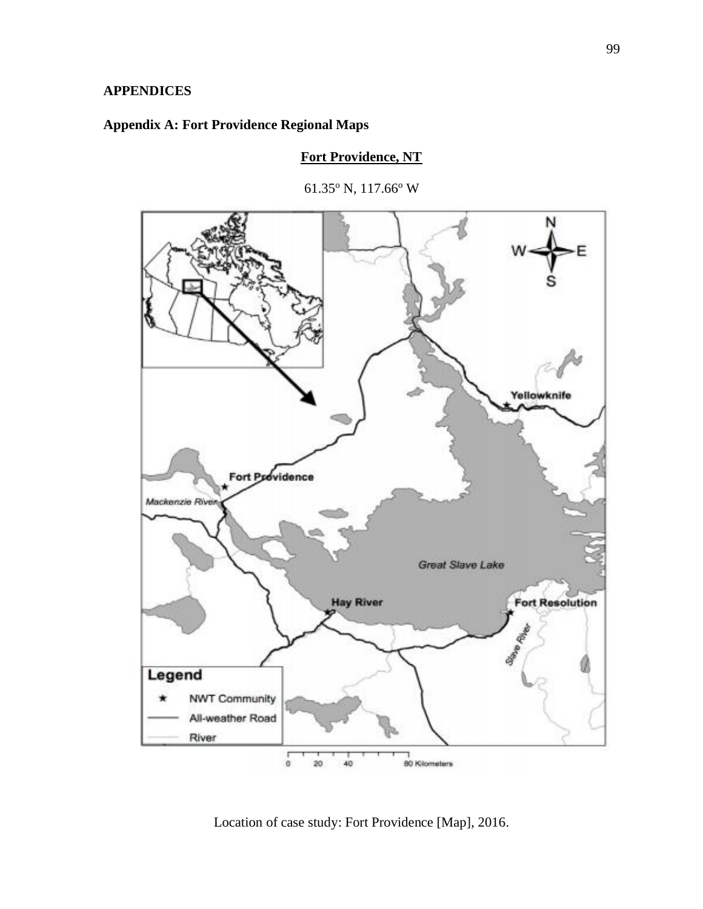## **APPENDICES**

## **Appendix A: Fort Providence Regional Maps**

### **Fort Providence, NT**





Location of case study: Fort Providence [Map], 2016.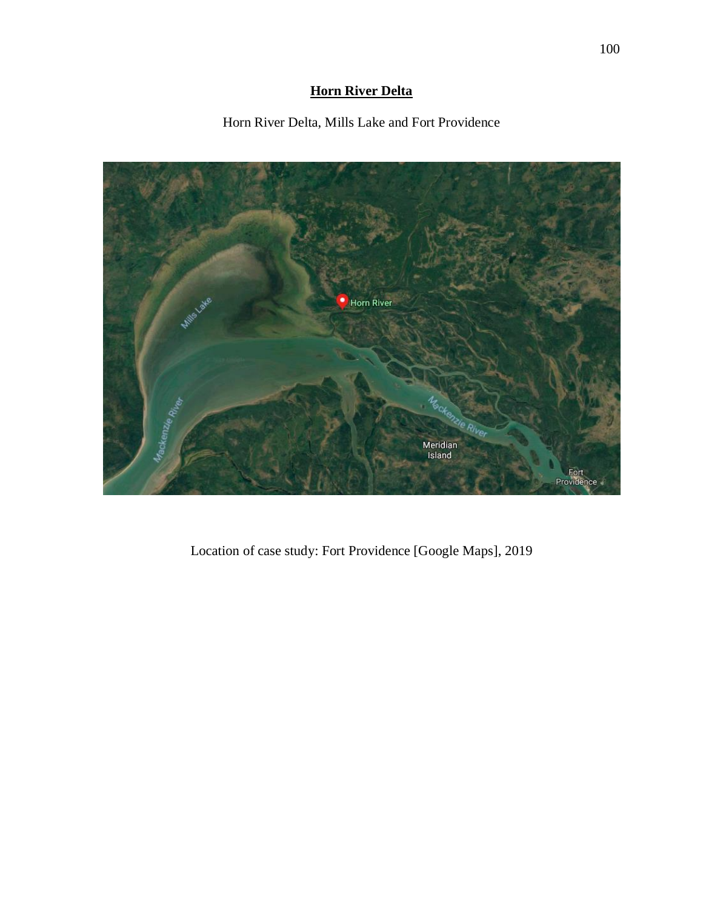## **Horn River Delta**

Horn River Delta, Mills Lake and Fort Providence



Location of case study: Fort Providence [Google Maps], 2019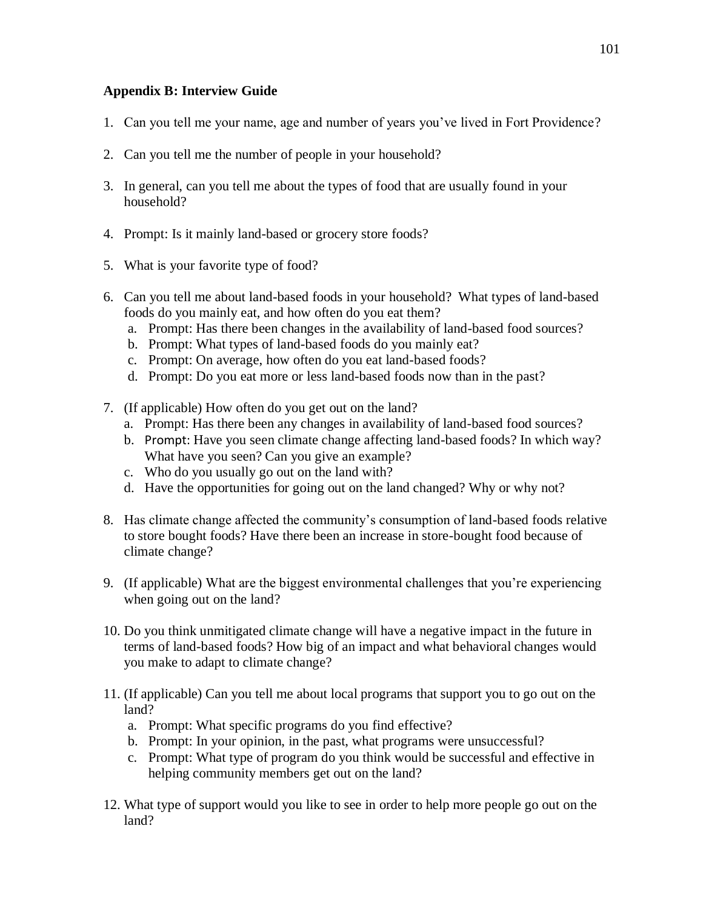## **Appendix B: Interview Guide**

- 1. Can you tell me your name, age and number of years you've lived in Fort Providence?
- 2. Can you tell me the number of people in your household?
- 3. In general, can you tell me about the types of food that are usually found in your household?
- 4. Prompt: Is it mainly land-based or grocery store foods?
- 5. What is your favorite type of food?
- 6. Can you tell me about land-based foods in your household? What types of land-based foods do you mainly eat, and how often do you eat them?
	- a. Prompt: Has there been changes in the availability of land-based food sources?
	- b. Prompt: What types of land-based foods do you mainly eat?
	- c. Prompt: On average, how often do you eat land-based foods?
	- d. Prompt: Do you eat more or less land-based foods now than in the past?
- 7. (If applicable) How often do you get out on the land?
	- a. Prompt: Has there been any changes in availability of land-based food sources?
	- b. Prompt: Have you seen climate change affecting land-based foods? In which way? What have you seen? Can you give an example?
	- c. Who do you usually go out on the land with?
	- d. Have the opportunities for going out on the land changed? Why or why not?
- 8. Has climate change affected the community's consumption of land-based foods relative to store bought foods? Have there been an increase in store-bought food because of climate change?
- 9. (If applicable) What are the biggest environmental challenges that you're experiencing when going out on the land?
- 10. Do you think unmitigated climate change will have a negative impact in the future in terms of land-based foods? How big of an impact and what behavioral changes would you make to adapt to climate change?
- 11. (If applicable) Can you tell me about local programs that support you to go out on the land?
	- a. Prompt: What specific programs do you find effective?
	- b. Prompt: In your opinion, in the past, what programs were unsuccessful?
	- c. Prompt: What type of program do you think would be successful and effective in helping community members get out on the land?
- 12. What type of support would you like to see in order to help more people go out on the land?